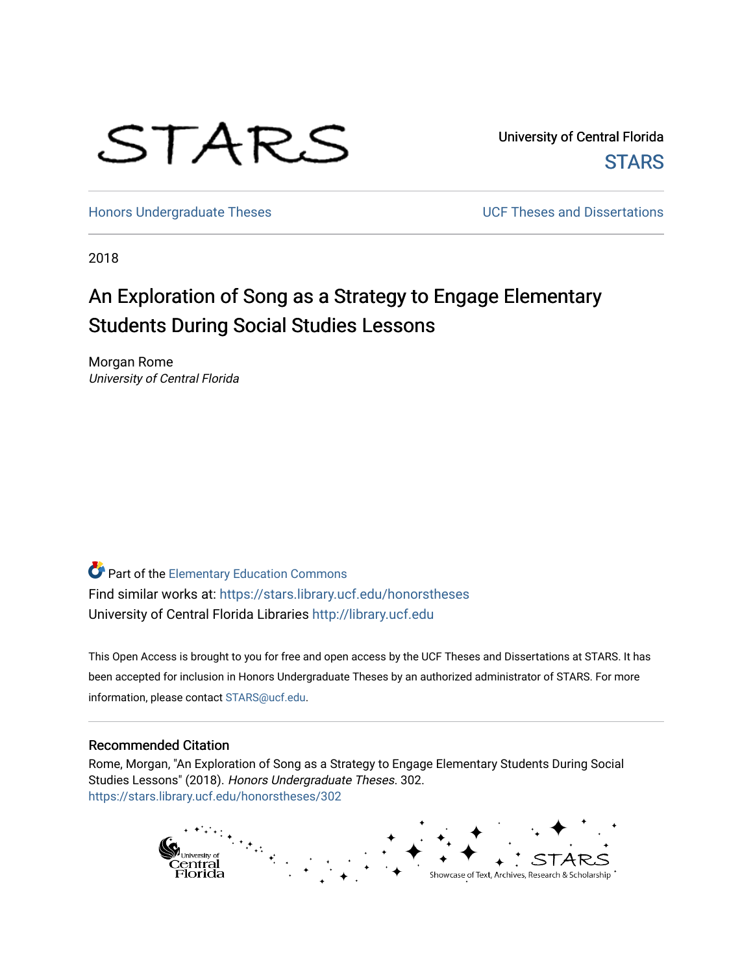# STARS

University of Central Florida **STARS** 

[Honors Undergraduate Theses](https://stars.library.ucf.edu/honorstheses) **Exercise 2018** UCF Theses and Dissertations

2018

# An Exploration of Song as a Strategy to Engage Elementary Students During Social Studies Lessons

Morgan Rome University of Central Florida

Part of the [Elementary Education Commons](http://network.bepress.com/hgg/discipline/1378?utm_source=stars.library.ucf.edu%2Fhonorstheses%2F302&utm_medium=PDF&utm_campaign=PDFCoverPages)  Find similar works at: <https://stars.library.ucf.edu/honorstheses> University of Central Florida Libraries [http://library.ucf.edu](http://library.ucf.edu/) 

This Open Access is brought to you for free and open access by the UCF Theses and Dissertations at STARS. It has been accepted for inclusion in Honors Undergraduate Theses by an authorized administrator of STARS. For more information, please contact [STARS@ucf.edu.](mailto:STARS@ucf.edu)

#### Recommended Citation

Rome, Morgan, "An Exploration of Song as a Strategy to Engage Elementary Students During Social Studies Lessons" (2018). Honors Undergraduate Theses. 302. [https://stars.library.ucf.edu/honorstheses/302](https://stars.library.ucf.edu/honorstheses/302?utm_source=stars.library.ucf.edu%2Fhonorstheses%2F302&utm_medium=PDF&utm_campaign=PDFCoverPages) 

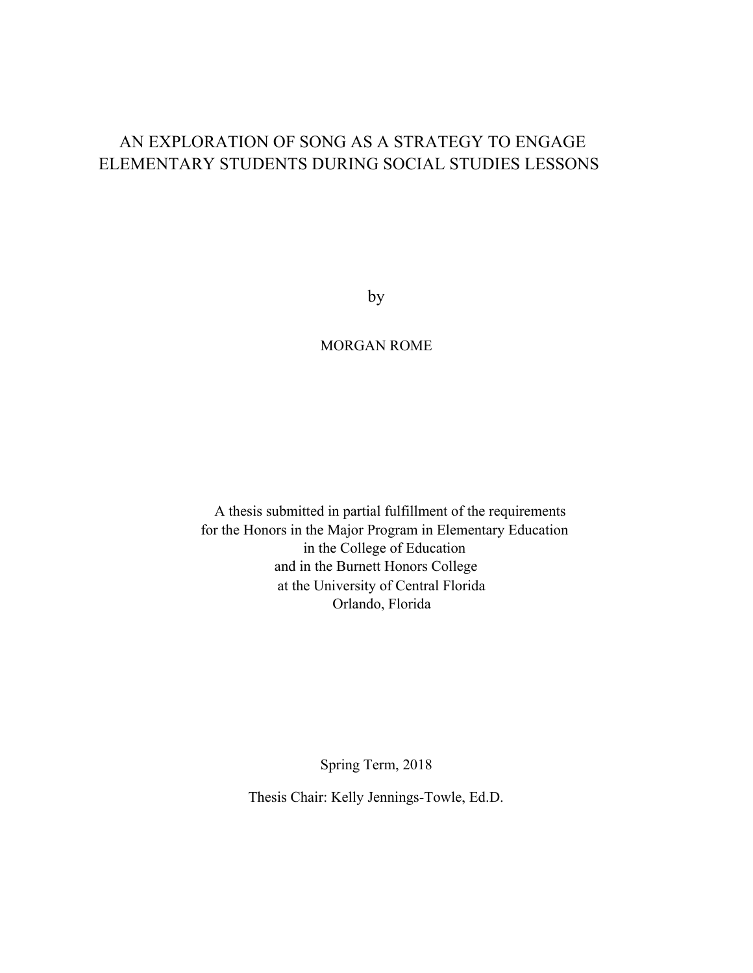# AN EXPLORATION OF SONG AS A STRATEGY TO ENGAGE ELEMENTARY STUDENTS DURING SOCIAL STUDIES LESSONS

by

# MORGAN ROME

A thesis submitted in partial fulfillment of the requirements for the Honors in the Major Program in Elementary Education in the College of Education and in the Burnett Honors College at the University of Central Florida Orlando, Florida

Spring Term, 2018

Thesis Chair: Kelly Jennings-Towle, Ed.D.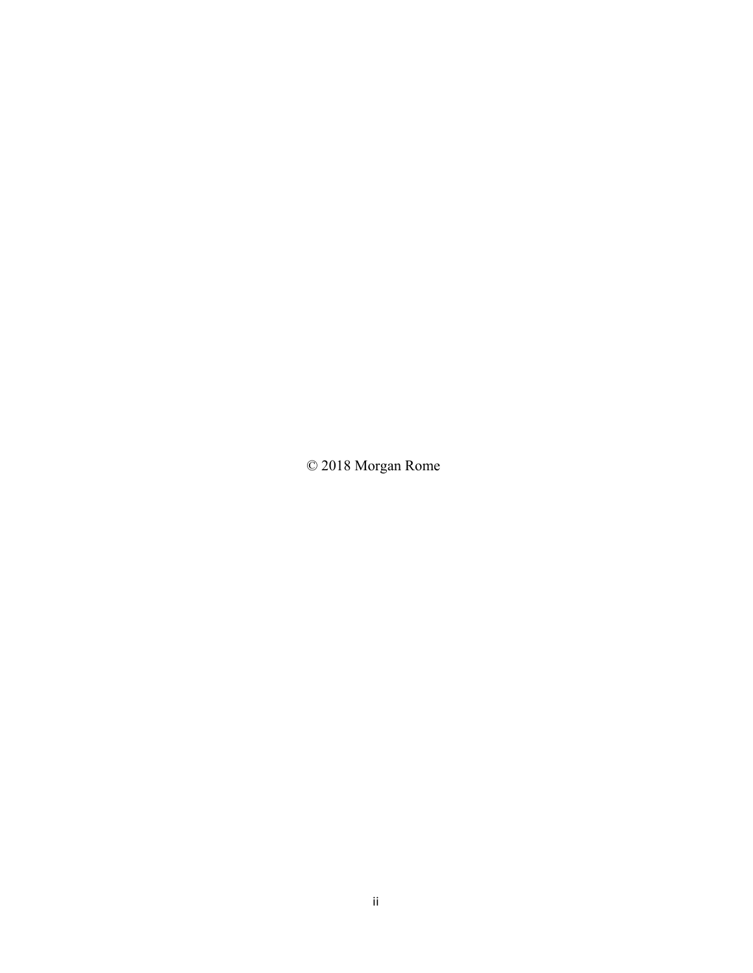© 2018 Morgan Rome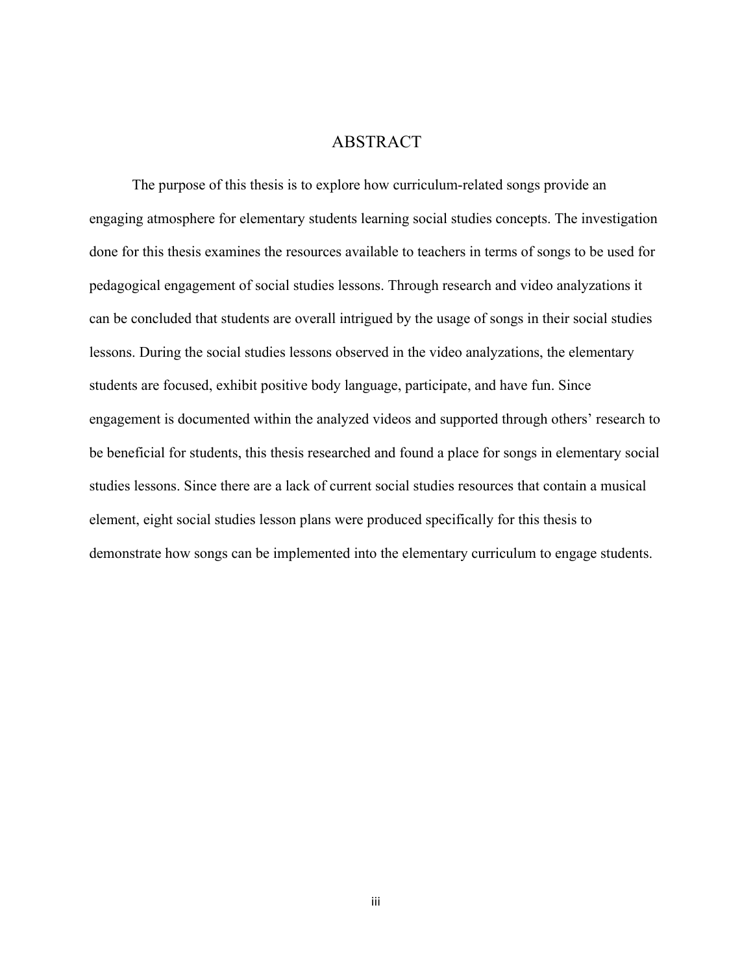# ABSTRACT

The purpose of this thesis is to explore how curriculum-related songs provide an engaging atmosphere for elementary students learning social studies concepts. The investigation done for this thesis examines the resources available to teachers in terms of songs to be used for pedagogical engagement of social studies lessons. Through research and video analyzations it can be concluded that students are overall intrigued by the usage of songs in their social studies lessons. During the social studies lessons observed in the video analyzations, the elementary students are focused, exhibit positive body language, participate, and have fun. Since engagement is documented within the analyzed videos and supported through others' research to be beneficial for students, this thesis researched and found a place for songs in elementary social studies lessons. Since there are a lack of current social studies resources that contain a musical element, eight social studies lesson plans were produced specifically for this thesis to demonstrate how songs can be implemented into the elementary curriculum to engage students.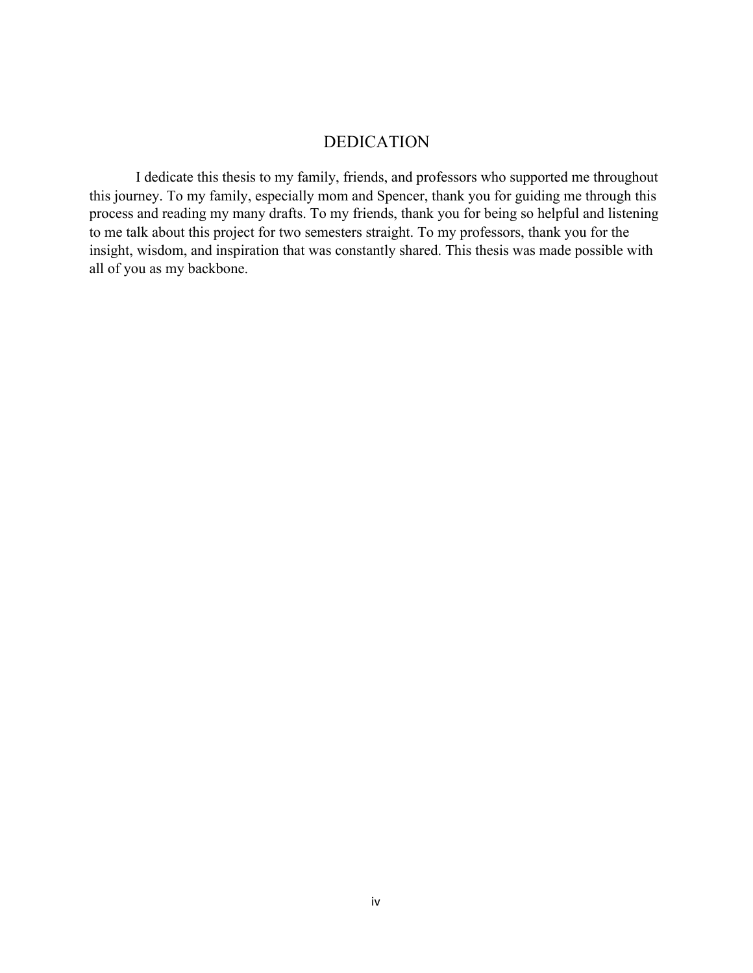## DEDICATION

 I dedicate this thesis to my family, friends, and professors who supported me throughout this journey. To my family, especially mom and Spencer, thank you for guiding me through this process and reading my many drafts. To my friends, thank you for being so helpful and listening to me talk about this project for two semesters straight. To my professors, thank you for the insight, wisdom, and inspiration that was constantly shared. This thesis was made possible with all of you as my backbone.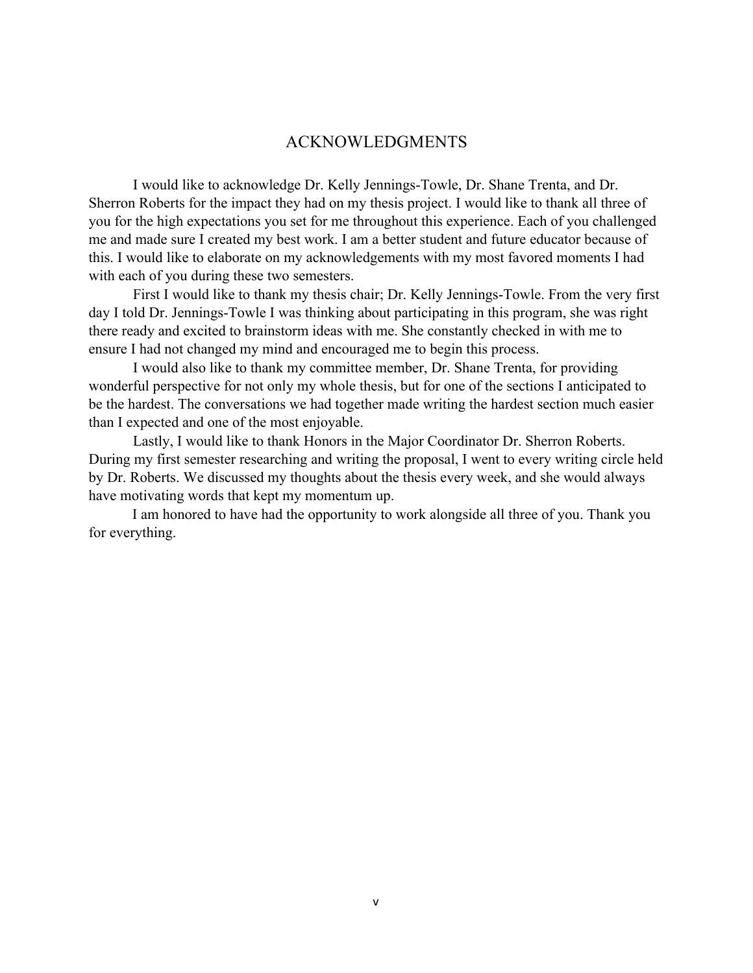## ACKNOWLEDGMENTS

I would like to acknowledge Dr. Kelly Jennings-Towle, Dr. Shane Trenta, and Dr. Sherron Roberts for the impact they had on my thesis project. I would like to thank all three of you for the high expectations you set for me throughout this experience. Each of you challenged me and made sure I created my best work. I am a better student and future educator because of this. I would like to elaborate on my acknowledgements with my most favored moments I had with each of you during these two semesters.

First I would like to thank my thesis chair; Dr. Kelly Jennings-Towle. From the very first day I told Dr. Jennings-Towle I was thinking about participating in this program, she was right there ready and excited to brainstorm ideas with me. She constantly checked in with me to ensure I had not changed my mind and encouraged me to begin this process.

I would also like to thank my committee member, Dr. Shane Trenta, for providing wonderful perspective for not only my whole thesis, but for one of the sections I anticipated to be the hardest. The conversations we had together made writing the hardest section much easier than I expected and one of the most enjoyable.

Lastly, I would like to thank Honors in the Major Coordinator Dr. Sherron Roberts. During my first semester researching and writing the proposal, I went to every writing circle held by Dr. Roberts. We discussed my thoughts about the thesis every week, and she would always have motivating words that kept my momentum up.

I am honored to have had the opportunity to work alongside all three of you. Thank you for everything.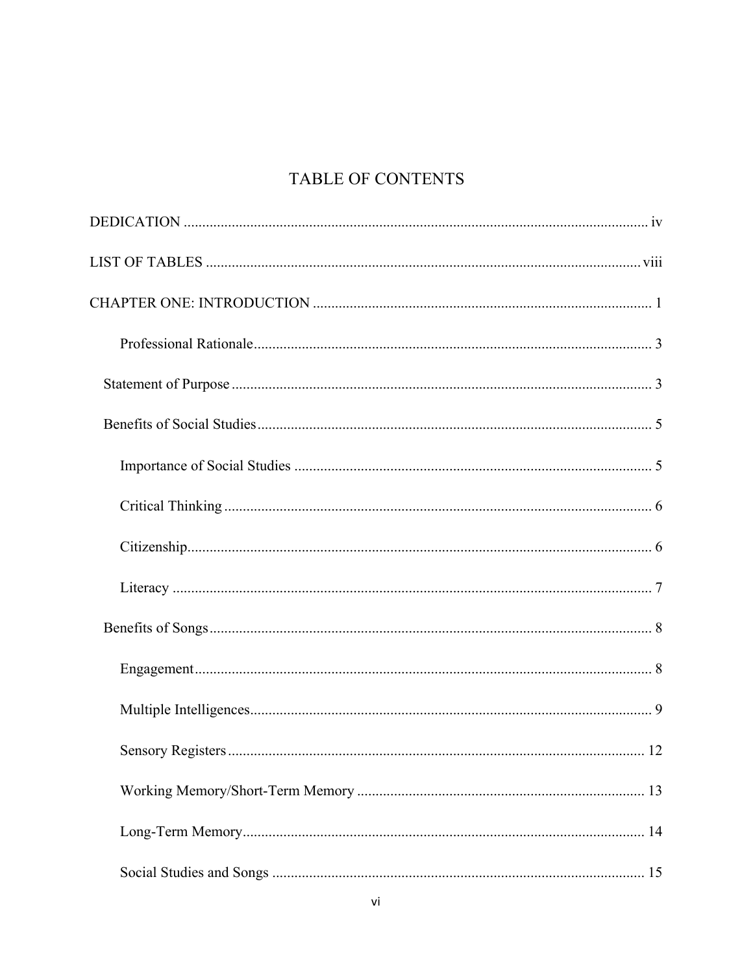# TABLE OF CONTENTS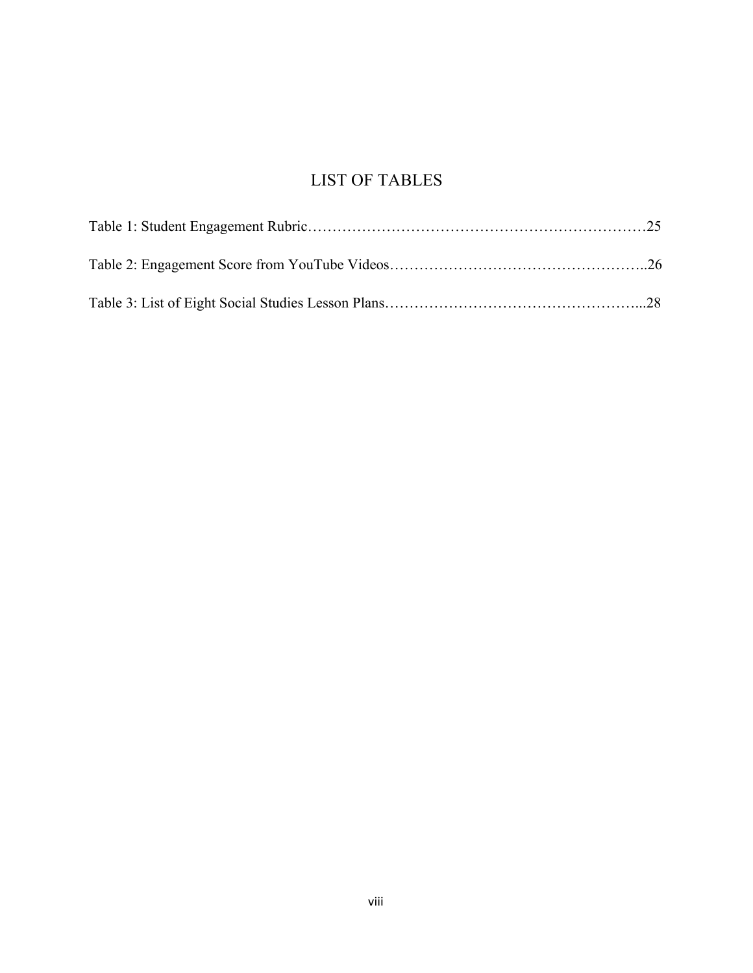# LIST OF TABLES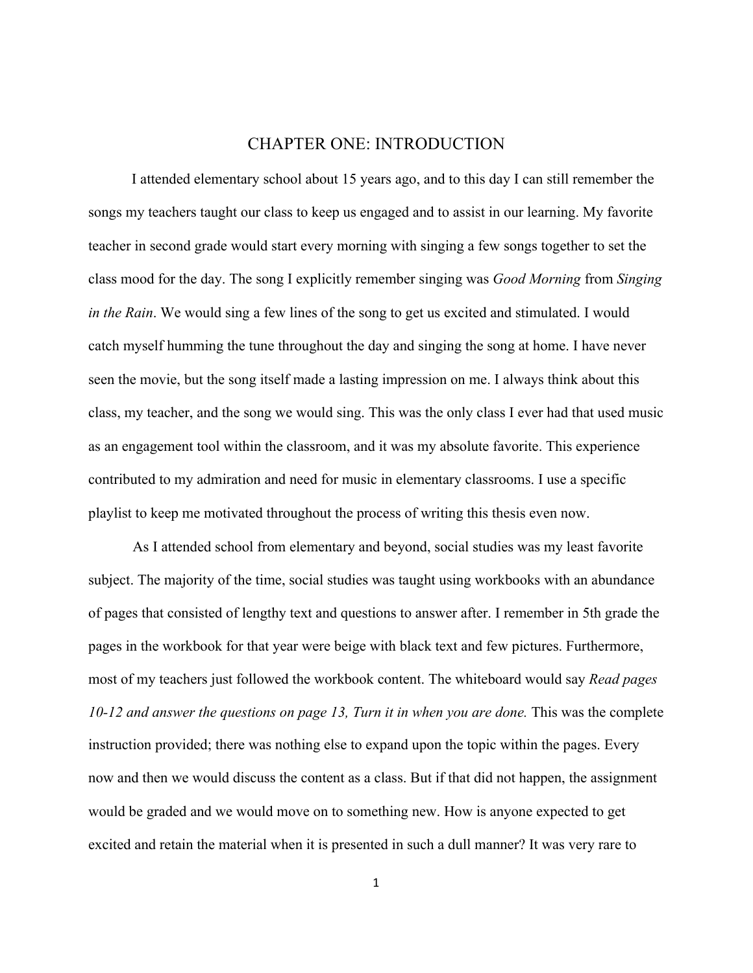# CHAPTER ONE: INTRODUCTION

I attended elementary school about 15 years ago, and to this day I can still remember the songs my teachers taught our class to keep us engaged and to assist in our learning. My favorite teacher in second grade would start every morning with singing a few songs together to set the class mood for the day. The song I explicitly remember singing was *Good Morning* from *Singing in the Rain*. We would sing a few lines of the song to get us excited and stimulated. I would catch myself humming the tune throughout the day and singing the song at home. I have never seen the movie, but the song itself made a lasting impression on me. I always think about this class, my teacher, and the song we would sing. This was the only class I ever had that used music as an engagement tool within the classroom, and it was my absolute favorite. This experience contributed to my admiration and need for music in elementary classrooms. I use a specific playlist to keep me motivated throughout the process of writing this thesis even now.

As I attended school from elementary and beyond, social studies was my least favorite subject. The majority of the time, social studies was taught using workbooks with an abundance of pages that consisted of lengthy text and questions to answer after. I remember in 5th grade the pages in the workbook for that year were beige with black text and few pictures. Furthermore, most of my teachers just followed the workbook content. The whiteboard would say *Read pages 10-12 and answer the questions on page 13, Turn it in when you are done. This was the complete* instruction provided; there was nothing else to expand upon the topic within the pages. Every now and then we would discuss the content as a class. But if that did not happen, the assignment would be graded and we would move on to something new. How is anyone expected to get excited and retain the material when it is presented in such a dull manner? It was very rare to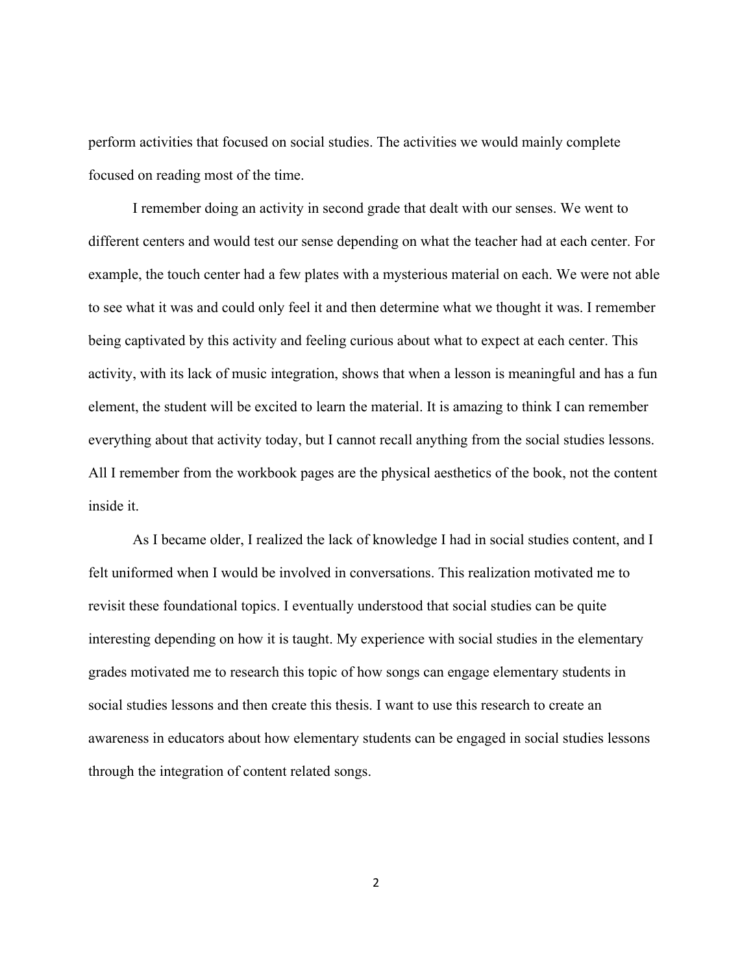perform activities that focused on social studies. The activities we would mainly complete focused on reading most of the time.

I remember doing an activity in second grade that dealt with our senses. We went to different centers and would test our sense depending on what the teacher had at each center. For example, the touch center had a few plates with a mysterious material on each. We were not able to see what it was and could only feel it and then determine what we thought it was. I remember being captivated by this activity and feeling curious about what to expect at each center. This activity, with its lack of music integration, shows that when a lesson is meaningful and has a fun element, the student will be excited to learn the material. It is amazing to think I can remember everything about that activity today, but I cannot recall anything from the social studies lessons. All I remember from the workbook pages are the physical aesthetics of the book, not the content inside it.

As I became older, I realized the lack of knowledge I had in social studies content, and I felt uniformed when I would be involved in conversations. This realization motivated me to revisit these foundational topics. I eventually understood that social studies can be quite interesting depending on how it is taught. My experience with social studies in the elementary grades motivated me to research this topic of how songs can engage elementary students in social studies lessons and then create this thesis. I want to use this research to create an awareness in educators about how elementary students can be engaged in social studies lessons through the integration of content related songs.

2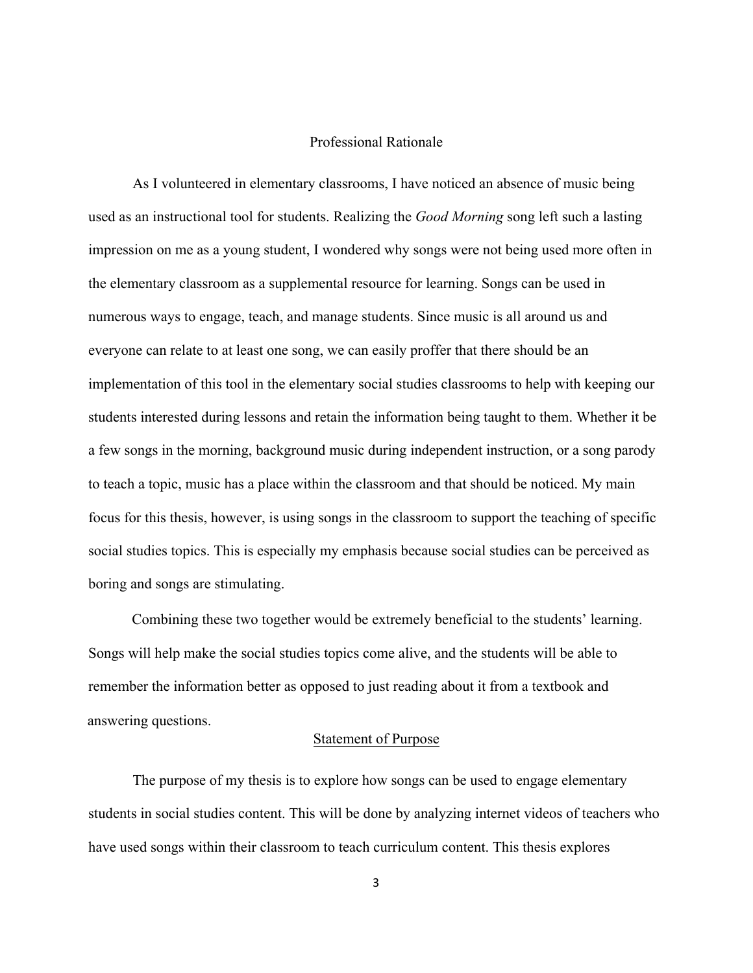#### Professional Rationale

As I volunteered in elementary classrooms, I have noticed an absence of music being used as an instructional tool for students. Realizing the *Good Morning* song left such a lasting impression on me as a young student, I wondered why songs were not being used more often in the elementary classroom as a supplemental resource for learning. Songs can be used in numerous ways to engage, teach, and manage students. Since music is all around us and everyone can relate to at least one song, we can easily proffer that there should be an implementation of this tool in the elementary social studies classrooms to help with keeping our students interested during lessons and retain the information being taught to them. Whether it be a few songs in the morning, background music during independent instruction, or a song parody to teach a topic, music has a place within the classroom and that should be noticed. My main focus for this thesis, however, is using songs in the classroom to support the teaching of specific social studies topics. This is especially my emphasis because social studies can be perceived as boring and songs are stimulating.

Combining these two together would be extremely beneficial to the students' learning. Songs will help make the social studies topics come alive, and the students will be able to remember the information better as opposed to just reading about it from a textbook and answering questions.

#### Statement of Purpose

The purpose of my thesis is to explore how songs can be used to engage elementary students in social studies content. This will be done by analyzing internet videos of teachers who have used songs within their classroom to teach curriculum content. This thesis explores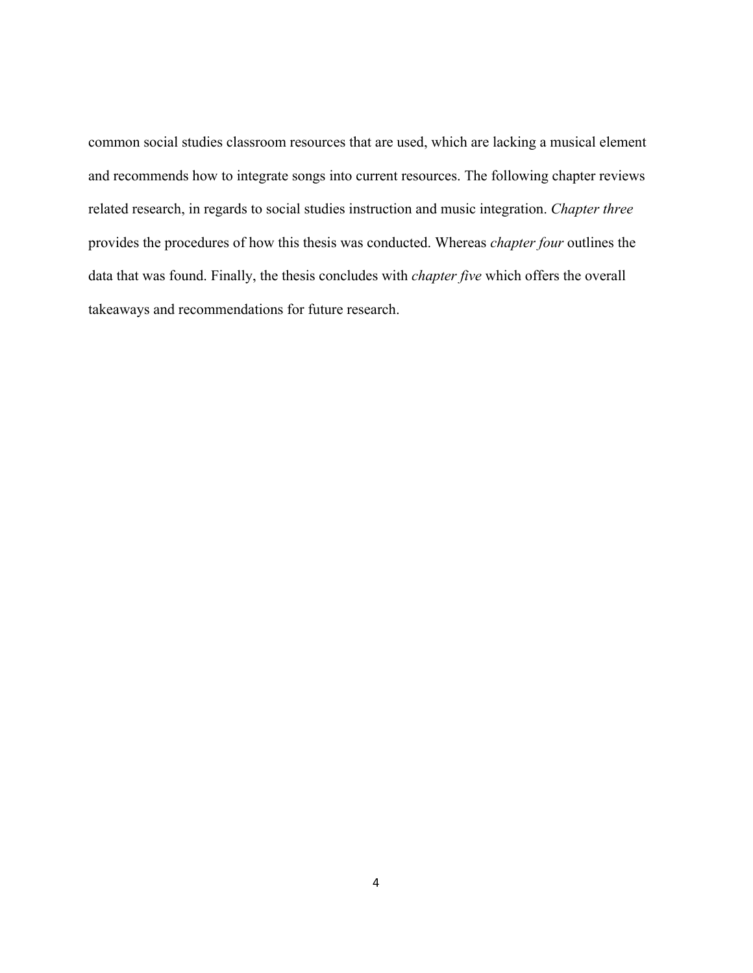common social studies classroom resources that are used, which are lacking a musical element and recommends how to integrate songs into current resources. The following chapter reviews related research, in regards to social studies instruction and music integration. *Chapter three* provides the procedures of how this thesis was conducted. Whereas *chapter four* outlines the data that was found. Finally, the thesis concludes with *chapter five* which offers the overall takeaways and recommendations for future research.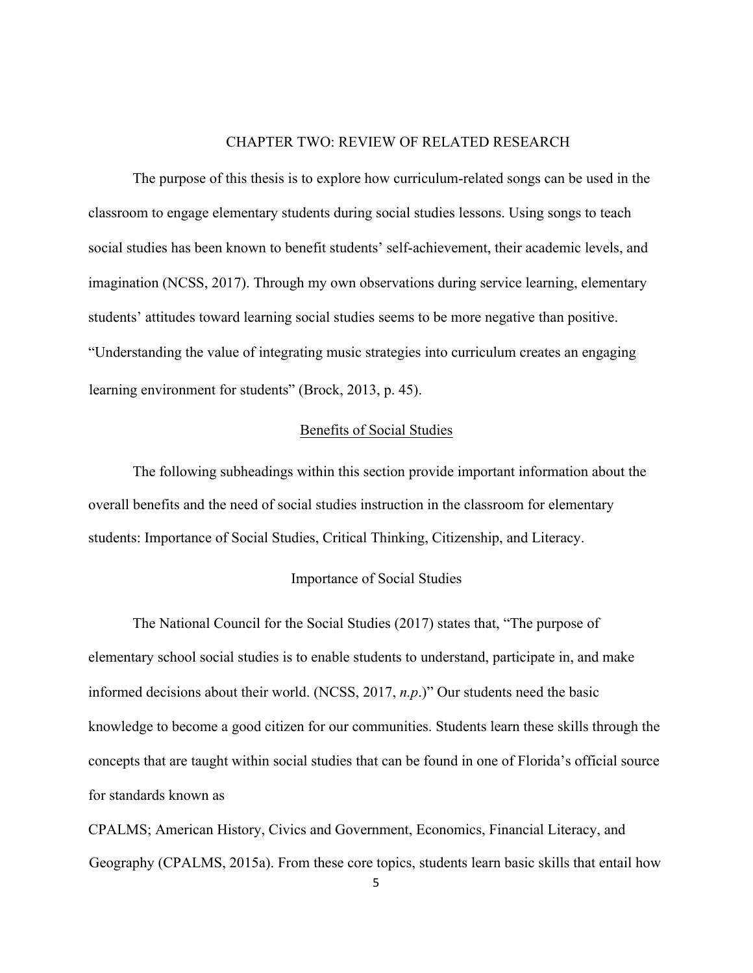#### CHAPTER TWO: REVIEW OF RELATED RESEARCH

The purpose of this thesis is to explore how curriculum-related songs can be used in the classroom to engage elementary students during social studies lessons. Using songs to teach social studies has been known to benefit students' self-achievement, their academic levels, and imagination (NCSS, 2017). Through my own observations during service learning, elementary students' attitudes toward learning social studies seems to be more negative than positive. "Understanding the value of integrating music strategies into curriculum creates an engaging learning environment for students" (Brock, 2013, p. 45).

#### Benefits of Social Studies

The following subheadings within this section provide important information about the overall benefits and the need of social studies instruction in the classroom for elementary students: Importance of Social Studies, Critical Thinking, Citizenship, and Literacy.

#### Importance of Social Studies

The National Council for the Social Studies (2017) states that, "The purpose of elementary school social studies is to enable students to understand, participate in, and make informed decisions about their world. (NCSS, 2017, *n.p*.)" Our students need the basic knowledge to become a good citizen for our communities. Students learn these skills through the concepts that are taught within social studies that can be found in one of Florida's official source for standards known as

CPALMS; American History, Civics and Government, Economics, Financial Literacy, and Geography (CPALMS, 2015a). From these core topics, students learn basic skills that entail how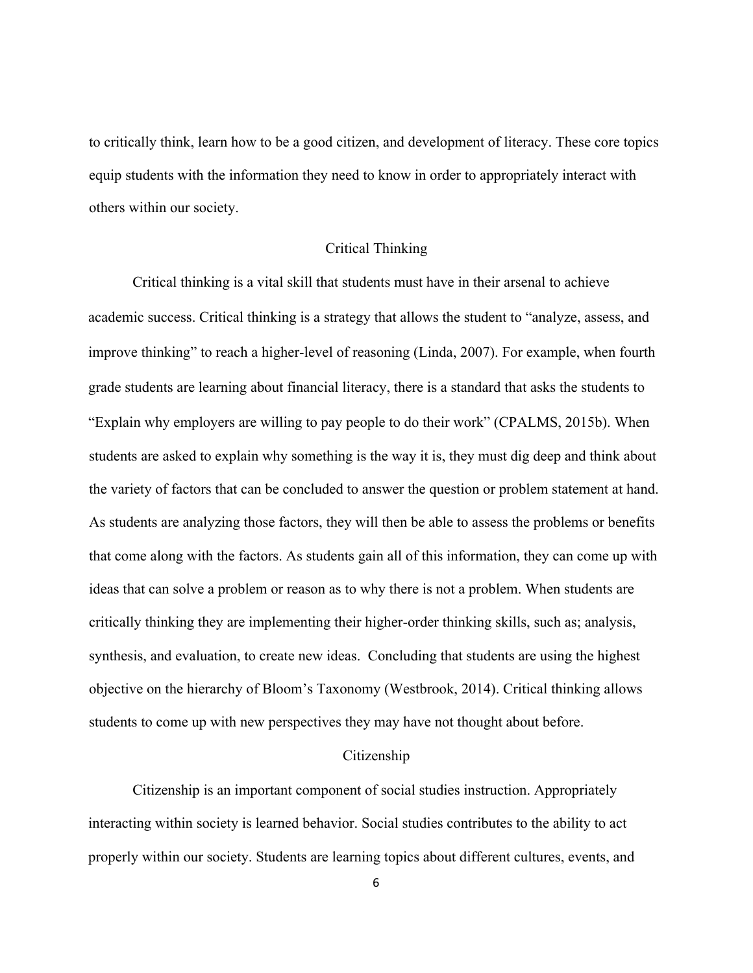to critically think, learn how to be a good citizen, and development of literacy. These core topics equip students with the information they need to know in order to appropriately interact with others within our society.

#### Critical Thinking

Critical thinking is a vital skill that students must have in their arsenal to achieve academic success. Critical thinking is a strategy that allows the student to "analyze, assess, and improve thinking" to reach a higher-level of reasoning (Linda, 2007). For example, when fourth grade students are learning about financial literacy, there is a standard that asks the students to "Explain why employers are willing to pay people to do their work" (CPALMS, 2015b). When students are asked to explain why something is the way it is, they must dig deep and think about the variety of factors that can be concluded to answer the question or problem statement at hand. As students are analyzing those factors, they will then be able to assess the problems or benefits that come along with the factors. As students gain all of this information, they can come up with ideas that can solve a problem or reason as to why there is not a problem. When students are critically thinking they are implementing their higher-order thinking skills, such as; analysis, synthesis, and evaluation, to create new ideas. Concluding that students are using the highest objective on the hierarchy of Bloom's Taxonomy (Westbrook, 2014). Critical thinking allows students to come up with new perspectives they may have not thought about before.

#### Citizenship

Citizenship is an important component of social studies instruction. Appropriately interacting within society is learned behavior. Social studies contributes to the ability to act properly within our society. Students are learning topics about different cultures, events, and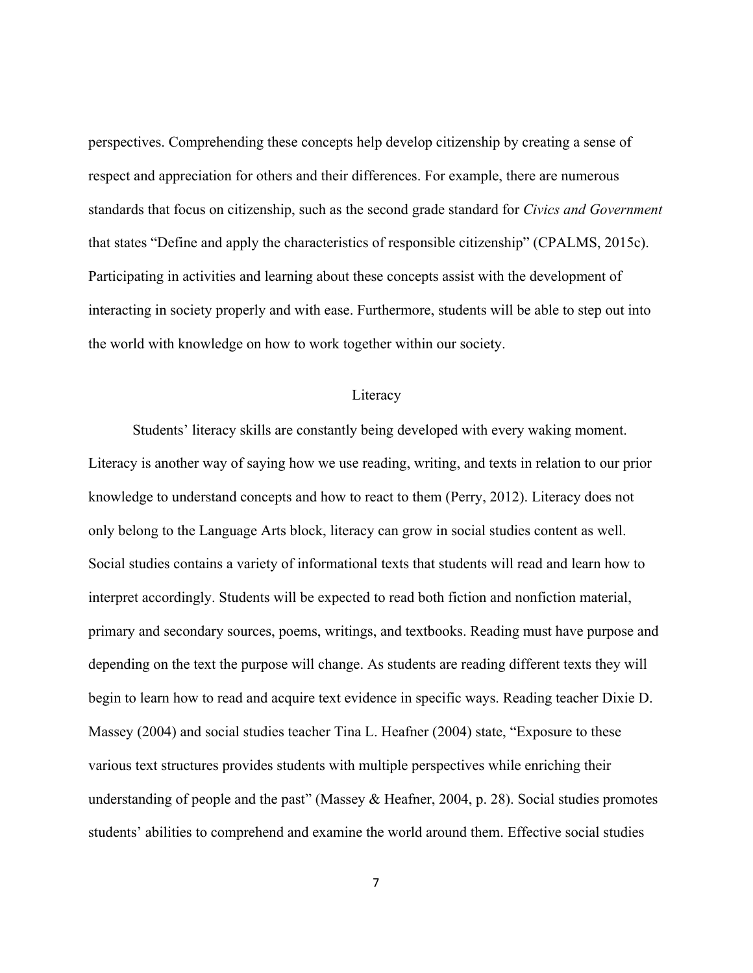perspectives. Comprehending these concepts help develop citizenship by creating a sense of respect and appreciation for others and their differences. For example, there are numerous standards that focus on citizenship, such as the second grade standard for *Civics and Government*  that states "Define and apply the characteristics of responsible citizenship" (CPALMS, 2015c). Participating in activities and learning about these concepts assist with the development of interacting in society properly and with ease. Furthermore, students will be able to step out into the world with knowledge on how to work together within our society.

#### **Literacy**

Students' literacy skills are constantly being developed with every waking moment. Literacy is another way of saying how we use reading, writing, and texts in relation to our prior knowledge to understand concepts and how to react to them (Perry, 2012). Literacy does not only belong to the Language Arts block, literacy can grow in social studies content as well. Social studies contains a variety of informational texts that students will read and learn how to interpret accordingly. Students will be expected to read both fiction and nonfiction material, primary and secondary sources, poems, writings, and textbooks. Reading must have purpose and depending on the text the purpose will change. As students are reading different texts they will begin to learn how to read and acquire text evidence in specific ways. Reading teacher Dixie D. Massey (2004) and social studies teacher Tina L. Heafner (2004) state, "Exposure to these various text structures provides students with multiple perspectives while enriching their understanding of people and the past" (Massey & Heafner, 2004, p. 28). Social studies promotes students' abilities to comprehend and examine the world around them. Effective social studies

7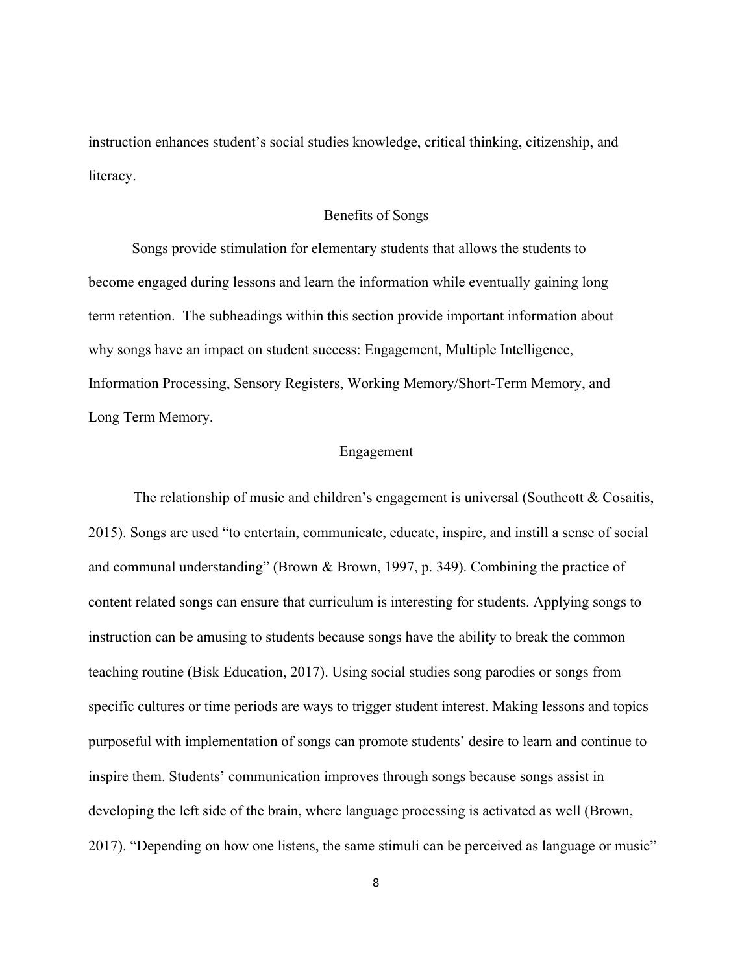instruction enhances student's social studies knowledge, critical thinking, citizenship, and literacy.

#### Benefits of Songs

Songs provide stimulation for elementary students that allows the students to become engaged during lessons and learn the information while eventually gaining long term retention. The subheadings within this section provide important information about why songs have an impact on student success: Engagement, Multiple Intelligence, Information Processing, Sensory Registers, Working Memory/Short-Term Memory, and Long Term Memory.

#### Engagement

The relationship of music and children's engagement is universal (Southcott  $&$  Cosaitis, 2015). Songs are used "to entertain, communicate, educate, inspire, and instill a sense of social and communal understanding" (Brown & Brown, 1997, p. 349). Combining the practice of content related songs can ensure that curriculum is interesting for students. Applying songs to instruction can be amusing to students because songs have the ability to break the common teaching routine (Bisk Education, 2017). Using social studies song parodies or songs from specific cultures or time periods are ways to trigger student interest. Making lessons and topics purposeful with implementation of songs can promote students' desire to learn and continue to inspire them. Students' communication improves through songs because songs assist in developing the left side of the brain, where language processing is activated as well (Brown, 2017). "Depending on how one listens, the same stimuli can be perceived as language or music"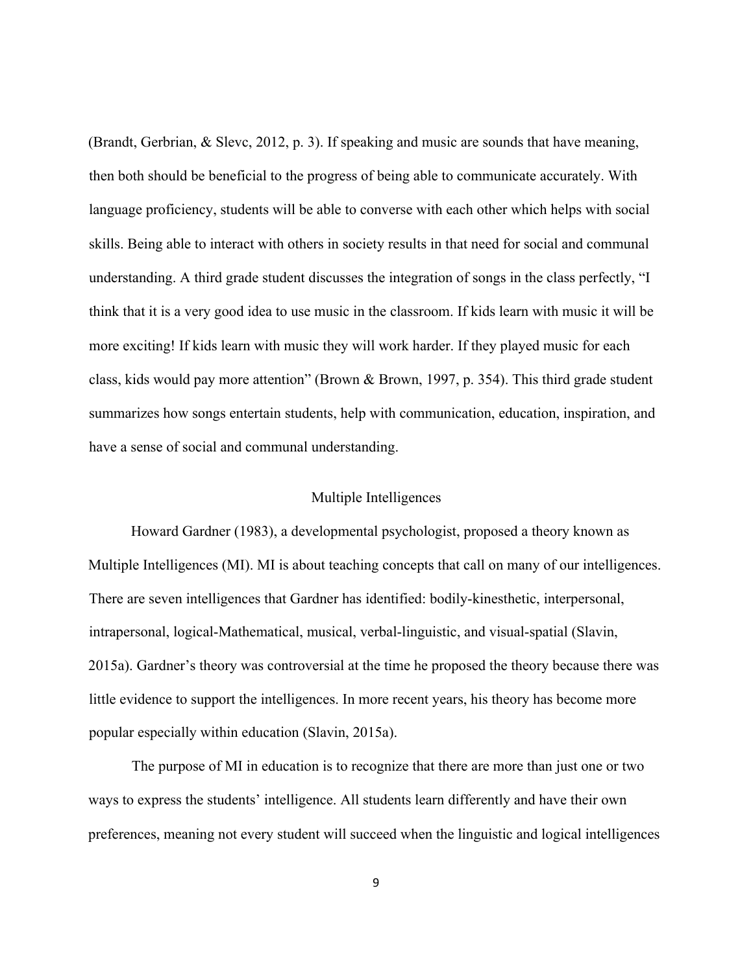(Brandt, Gerbrian, & Slevc, 2012, p. 3). If speaking and music are sounds that have meaning, then both should be beneficial to the progress of being able to communicate accurately. With language proficiency, students will be able to converse with each other which helps with social skills. Being able to interact with others in society results in that need for social and communal understanding. A third grade student discusses the integration of songs in the class perfectly, "I think that it is a very good idea to use music in the classroom. If kids learn with music it will be more exciting! If kids learn with music they will work harder. If they played music for each class, kids would pay more attention" (Brown & Brown, 1997, p. 354). This third grade student summarizes how songs entertain students, help with communication, education, inspiration, and have a sense of social and communal understanding.

#### Multiple Intelligences

Howard Gardner (1983), a developmental psychologist, proposed a theory known as Multiple Intelligences (MI). MI is about teaching concepts that call on many of our intelligences. There are seven intelligences that Gardner has identified: bodily-kinesthetic, interpersonal, intrapersonal, logical-Mathematical, musical, verbal-linguistic, and visual-spatial (Slavin, 2015a). Gardner's theory was controversial at the time he proposed the theory because there was little evidence to support the intelligences. In more recent years, his theory has become more popular especially within education (Slavin, 2015a).

The purpose of MI in education is to recognize that there are more than just one or two ways to express the students' intelligence. All students learn differently and have their own preferences, meaning not every student will succeed when the linguistic and logical intelligences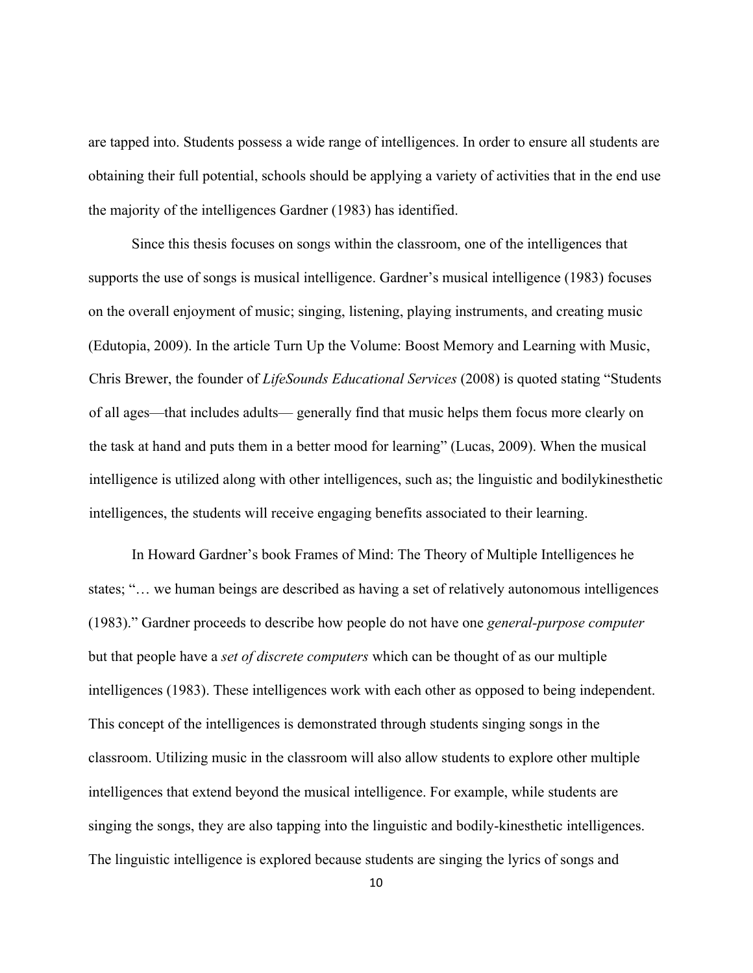are tapped into. Students possess a wide range of intelligences. In order to ensure all students are obtaining their full potential, schools should be applying a variety of activities that in the end use the majority of the intelligences Gardner (1983) has identified.

Since this thesis focuses on songs within the classroom, one of the intelligences that supports the use of songs is musical intelligence. Gardner's musical intelligence (1983) focuses on the overall enjoyment of music; singing, listening, playing instruments, and creating music (Edutopia, 2009). In the article Turn Up the Volume: Boost Memory and Learning with Music, Chris Brewer, the founder of *LifeSounds Educational Services* (2008) is quoted stating "Students of all ages—that includes adults— generally find that music helps them focus more clearly on the task at hand and puts them in a better mood for learning" (Lucas, 2009). When the musical intelligence is utilized along with other intelligences, such as; the linguistic and bodilykinesthetic intelligences, the students will receive engaging benefits associated to their learning.

In Howard Gardner's book Frames of Mind: The Theory of Multiple Intelligences he states; "… we human beings are described as having a set of relatively autonomous intelligences (1983)." Gardner proceeds to describe how people do not have one *general-purpose computer*  but that people have a *set of discrete computers* which can be thought of as our multiple intelligences (1983). These intelligences work with each other as opposed to being independent. This concept of the intelligences is demonstrated through students singing songs in the classroom. Utilizing music in the classroom will also allow students to explore other multiple intelligences that extend beyond the musical intelligence. For example, while students are singing the songs, they are also tapping into the linguistic and bodily-kinesthetic intelligences. The linguistic intelligence is explored because students are singing the lyrics of songs and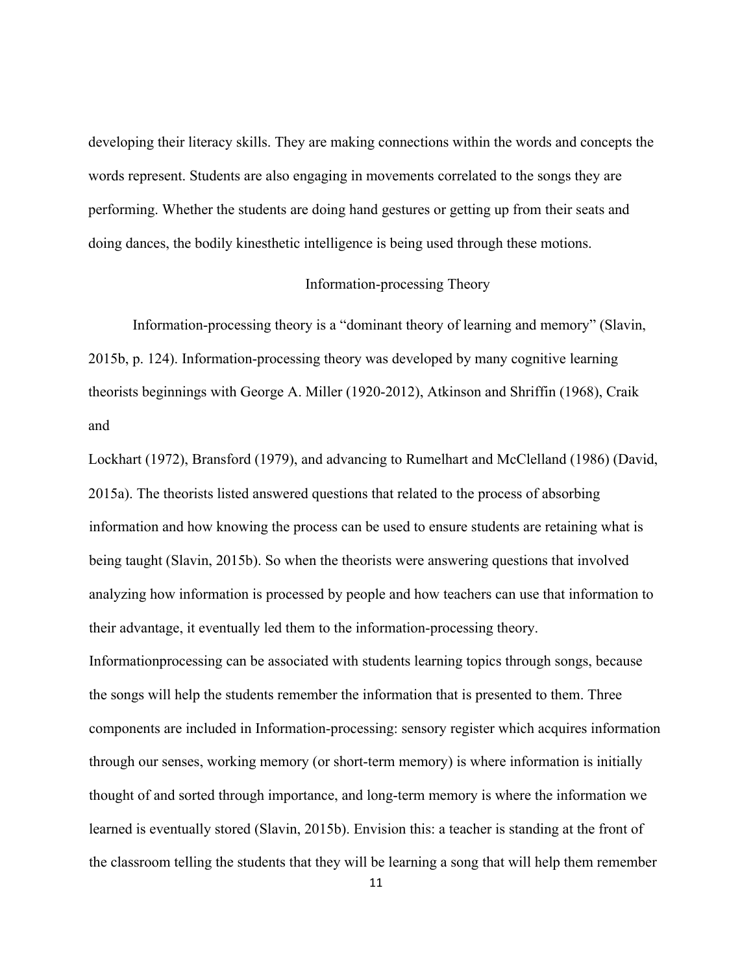developing their literacy skills. They are making connections within the words and concepts the words represent. Students are also engaging in movements correlated to the songs they are performing. Whether the students are doing hand gestures or getting up from their seats and doing dances, the bodily kinesthetic intelligence is being used through these motions.

#### Information-processing Theory

Information-processing theory is a "dominant theory of learning and memory" (Slavin, 2015b, p. 124). Information-processing theory was developed by many cognitive learning theorists beginnings with George A. Miller (1920-2012), Atkinson and Shriffin (1968), Craik and

Lockhart (1972), Bransford (1979), and advancing to Rumelhart and McClelland (1986) (David, 2015a). The theorists listed answered questions that related to the process of absorbing information and how knowing the process can be used to ensure students are retaining what is being taught (Slavin, 2015b). So when the theorists were answering questions that involved analyzing how information is processed by people and how teachers can use that information to their advantage, it eventually led them to the information-processing theory. Informationprocessing can be associated with students learning topics through songs, because the songs will help the students remember the information that is presented to them. Three components are included in Information-processing: sensory register which acquires information through our senses, working memory (or short-term memory) is where information is initially thought of and sorted through importance, and long-term memory is where the information we learned is eventually stored (Slavin, 2015b). Envision this: a teacher is standing at the front of the classroom telling the students that they will be learning a song that will help them remember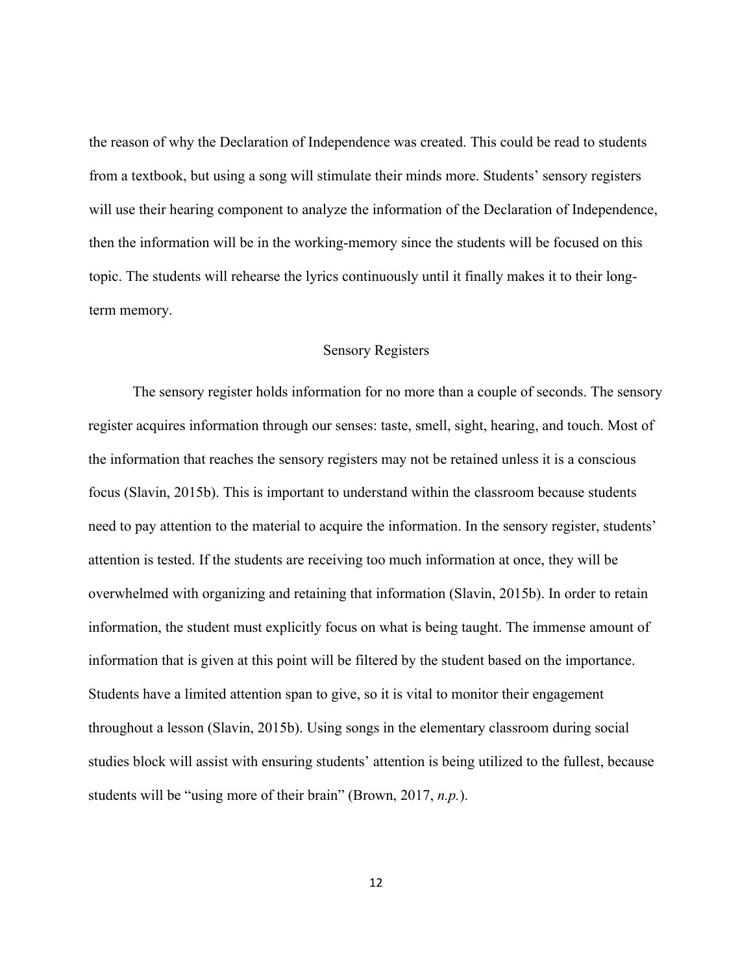the reason of why the Declaration of Independence was created. This could be read to students from a textbook, but using a song will stimulate their minds more. Students' sensory registers will use their hearing component to analyze the information of the Declaration of Independence, then the information will be in the working-memory since the students will be focused on this topic. The students will rehearse the lyrics continuously until it finally makes it to their longterm memory.

#### Sensory Registers

The sensory register holds information for no more than a couple of seconds. The sensory register acquires information through our senses: taste, smell, sight, hearing, and touch. Most of the information that reaches the sensory registers may not be retained unless it is a conscious focus (Slavin, 2015b). This is important to understand within the classroom because students need to pay attention to the material to acquire the information. In the sensory register, students' attention is tested. If the students are receiving too much information at once, they will be overwhelmed with organizing and retaining that information (Slavin, 2015b). In order to retain information, the student must explicitly focus on what is being taught. The immense amount of information that is given at this point will be filtered by the student based on the importance. Students have a limited attention span to give, so it is vital to monitor their engagement throughout a lesson (Slavin, 2015b). Using songs in the elementary classroom during social studies block will assist with ensuring students' attention is being utilized to the fullest, because students will be "using more of their brain" (Brown, 2017, *n.p.*).

12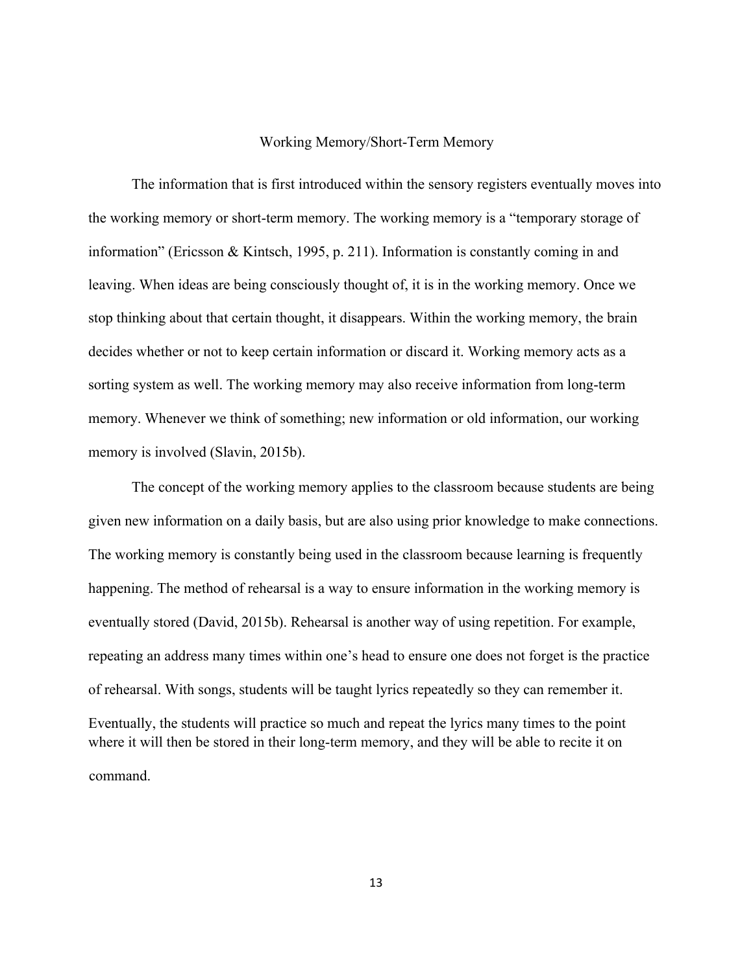#### Working Memory/Short-Term Memory

The information that is first introduced within the sensory registers eventually moves into the working memory or short-term memory. The working memory is a "temporary storage of information" (Ericsson & Kintsch, 1995, p. 211). Information is constantly coming in and leaving. When ideas are being consciously thought of, it is in the working memory. Once we stop thinking about that certain thought, it disappears. Within the working memory, the brain decides whether or not to keep certain information or discard it. Working memory acts as a sorting system as well. The working memory may also receive information from long-term memory. Whenever we think of something; new information or old information, our working memory is involved (Slavin, 2015b).

The concept of the working memory applies to the classroom because students are being given new information on a daily basis, but are also using prior knowledge to make connections. The working memory is constantly being used in the classroom because learning is frequently happening. The method of rehearsal is a way to ensure information in the working memory is eventually stored (David, 2015b). Rehearsal is another way of using repetition. For example, repeating an address many times within one's head to ensure one does not forget is the practice of rehearsal. With songs, students will be taught lyrics repeatedly so they can remember it. Eventually, the students will practice so much and repeat the lyrics many times to the point where it will then be stored in their long-term memory, and they will be able to recite it on command.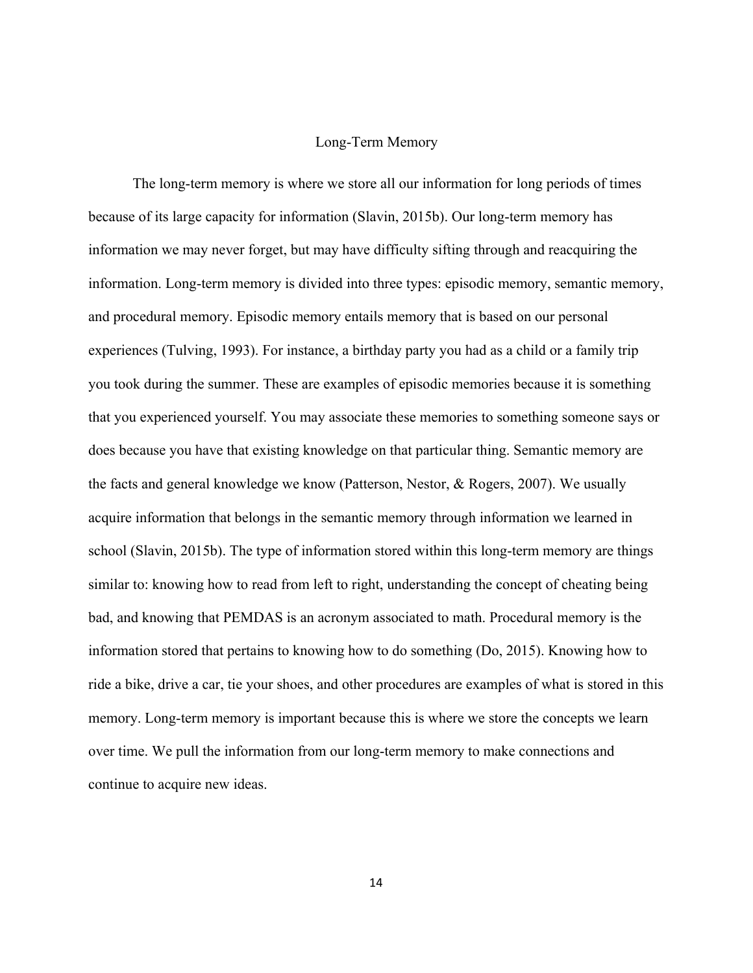#### Long-Term Memory

The long-term memory is where we store all our information for long periods of times because of its large capacity for information (Slavin, 2015b). Our long-term memory has information we may never forget, but may have difficulty sifting through and reacquiring the information. Long-term memory is divided into three types: episodic memory, semantic memory, and procedural memory. Episodic memory entails memory that is based on our personal experiences (Tulving, 1993). For instance, a birthday party you had as a child or a family trip you took during the summer. These are examples of episodic memories because it is something that you experienced yourself. You may associate these memories to something someone says or does because you have that existing knowledge on that particular thing. Semantic memory are the facts and general knowledge we know (Patterson, Nestor, & Rogers, 2007). We usually acquire information that belongs in the semantic memory through information we learned in school (Slavin, 2015b). The type of information stored within this long-term memory are things similar to: knowing how to read from left to right, understanding the concept of cheating being bad, and knowing that PEMDAS is an acronym associated to math. Procedural memory is the information stored that pertains to knowing how to do something (Do, 2015). Knowing how to ride a bike, drive a car, tie your shoes, and other procedures are examples of what is stored in this memory. Long-term memory is important because this is where we store the concepts we learn over time. We pull the information from our long-term memory to make connections and continue to acquire new ideas.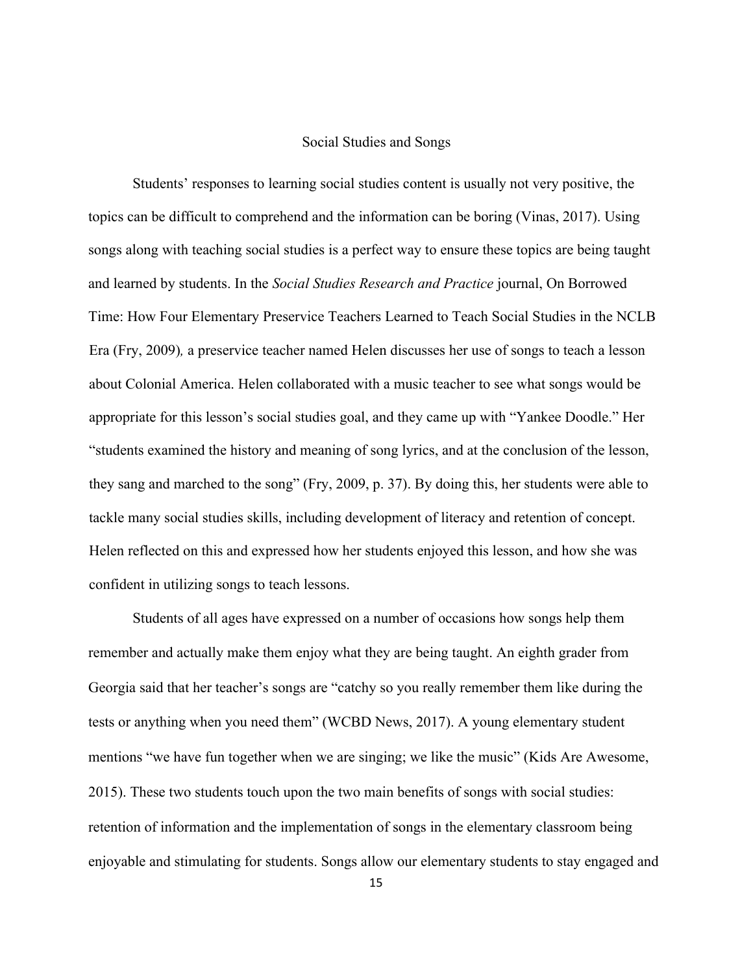#### Social Studies and Songs

Students' responses to learning social studies content is usually not very positive, the topics can be difficult to comprehend and the information can be boring (Vinas, 2017). Using songs along with teaching social studies is a perfect way to ensure these topics are being taught and learned by students. In the *Social Studies Research and Practice* journal, On Borrowed Time: How Four Elementary Preservice Teachers Learned to Teach Social Studies in the NCLB Era (Fry, 2009)*,* a preservice teacher named Helen discusses her use of songs to teach a lesson about Colonial America. Helen collaborated with a music teacher to see what songs would be appropriate for this lesson's social studies goal, and they came up with "Yankee Doodle." Her "students examined the history and meaning of song lyrics, and at the conclusion of the lesson, they sang and marched to the song" (Fry, 2009, p. 37). By doing this, her students were able to tackle many social studies skills, including development of literacy and retention of concept. Helen reflected on this and expressed how her students enjoyed this lesson, and how she was confident in utilizing songs to teach lessons.

Students of all ages have expressed on a number of occasions how songs help them remember and actually make them enjoy what they are being taught. An eighth grader from Georgia said that her teacher's songs are "catchy so you really remember them like during the tests or anything when you need them" (WCBD News, 2017). A young elementary student mentions "we have fun together when we are singing; we like the music" (Kids Are Awesome, 2015). These two students touch upon the two main benefits of songs with social studies: retention of information and the implementation of songs in the elementary classroom being enjoyable and stimulating for students. Songs allow our elementary students to stay engaged and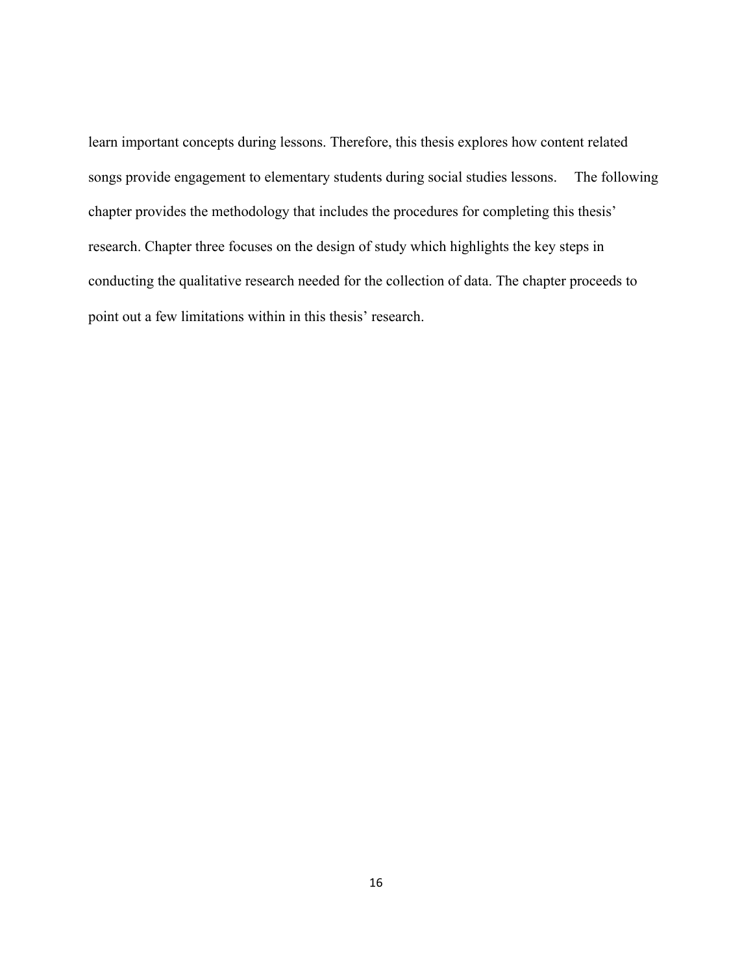learn important concepts during lessons. Therefore, this thesis explores how content related songs provide engagement to elementary students during social studies lessons. The following chapter provides the methodology that includes the procedures for completing this thesis' research. Chapter three focuses on the design of study which highlights the key steps in conducting the qualitative research needed for the collection of data. The chapter proceeds to point out a few limitations within in this thesis' research.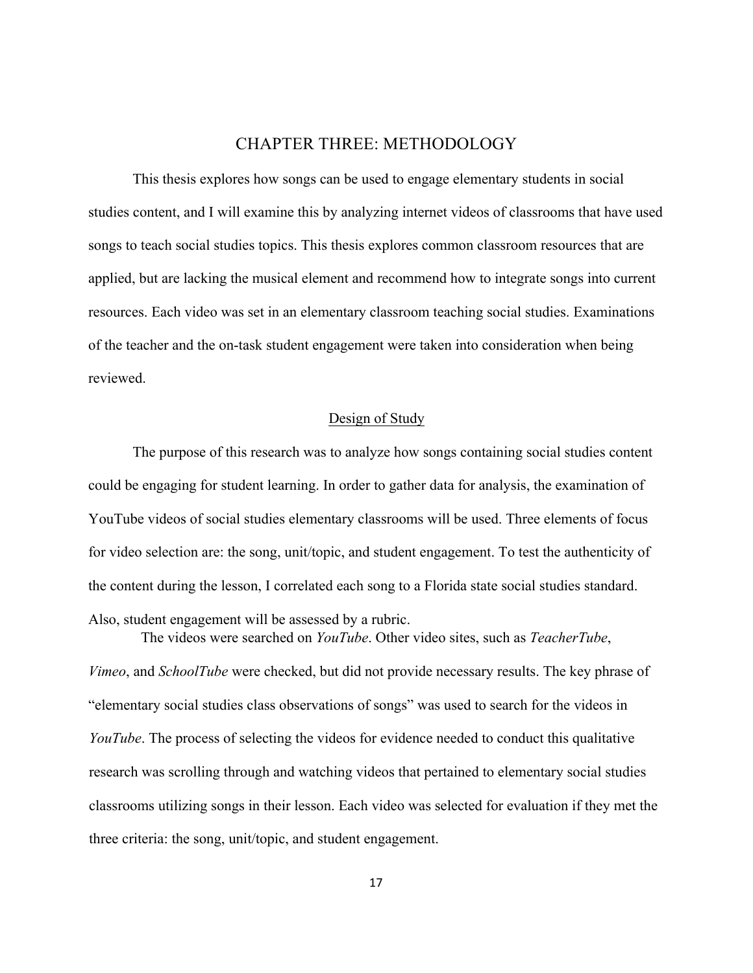# CHAPTER THREE: METHODOLOGY

This thesis explores how songs can be used to engage elementary students in social studies content, and I will examine this by analyzing internet videos of classrooms that have used songs to teach social studies topics. This thesis explores common classroom resources that are applied, but are lacking the musical element and recommend how to integrate songs into current resources. Each video was set in an elementary classroom teaching social studies. Examinations of the teacher and the on-task student engagement were taken into consideration when being reviewed.

#### Design of Study

The purpose of this research was to analyze how songs containing social studies content could be engaging for student learning. In order to gather data for analysis, the examination of YouTube videos of social studies elementary classrooms will be used. Three elements of focus for video selection are: the song, unit/topic, and student engagement. To test the authenticity of the content during the lesson, I correlated each song to a Florida state social studies standard. Also, student engagement will be assessed by a rubric.

The videos were searched on *YouTube*. Other video sites, such as *TeacherTube*, *Vimeo*, and *SchoolTube* were checked, but did not provide necessary results. The key phrase of "elementary social studies class observations of songs" was used to search for the videos in *YouTube*. The process of selecting the videos for evidence needed to conduct this qualitative research was scrolling through and watching videos that pertained to elementary social studies classrooms utilizing songs in their lesson. Each video was selected for evaluation if they met the three criteria: the song, unit/topic, and student engagement.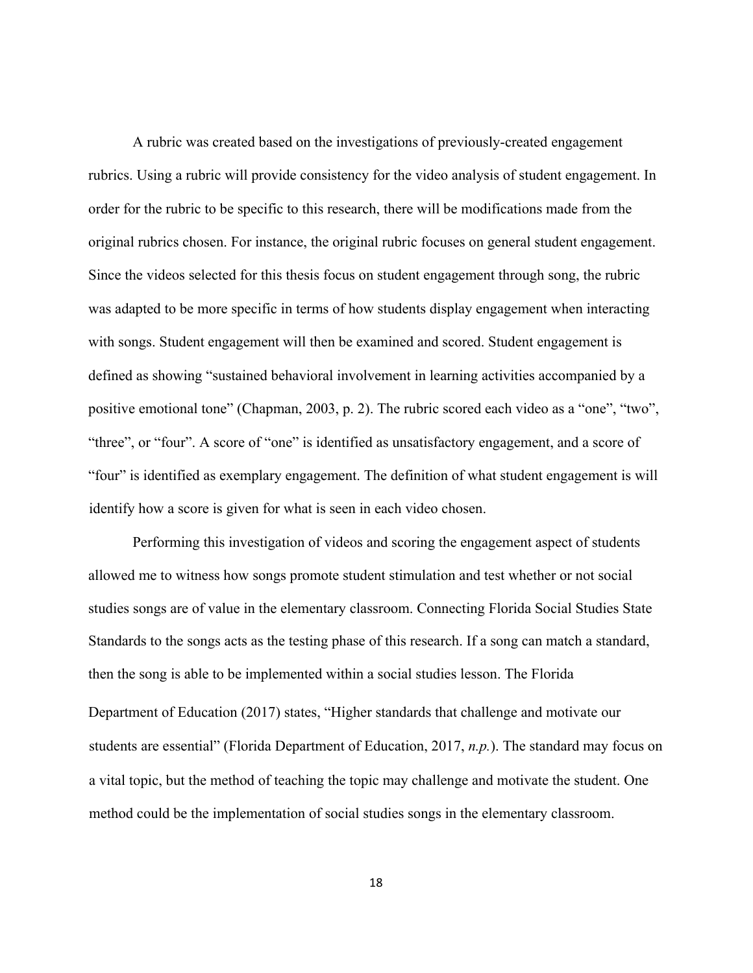A rubric was created based on the investigations of previously-created engagement rubrics. Using a rubric will provide consistency for the video analysis of student engagement. In order for the rubric to be specific to this research, there will be modifications made from the original rubrics chosen. For instance, the original rubric focuses on general student engagement. Since the videos selected for this thesis focus on student engagement through song, the rubric was adapted to be more specific in terms of how students display engagement when interacting with songs. Student engagement will then be examined and scored. Student engagement is defined as showing "sustained behavioral involvement in learning activities accompanied by a positive emotional tone" (Chapman, 2003, p. 2). The rubric scored each video as a "one", "two", "three", or "four". A score of "one" is identified as unsatisfactory engagement, and a score of "four" is identified as exemplary engagement. The definition of what student engagement is will identify how a score is given for what is seen in each video chosen.

Performing this investigation of videos and scoring the engagement aspect of students allowed me to witness how songs promote student stimulation and test whether or not social studies songs are of value in the elementary classroom. Connecting Florida Social Studies State Standards to the songs acts as the testing phase of this research. If a song can match a standard, then the song is able to be implemented within a social studies lesson. The Florida Department of Education (2017) states, "Higher standards that challenge and motivate our students are essential" (Florida Department of Education, 2017, *n.p.*). The standard may focus on a vital topic, but the method of teaching the topic may challenge and motivate the student. One method could be the implementation of social studies songs in the elementary classroom.

18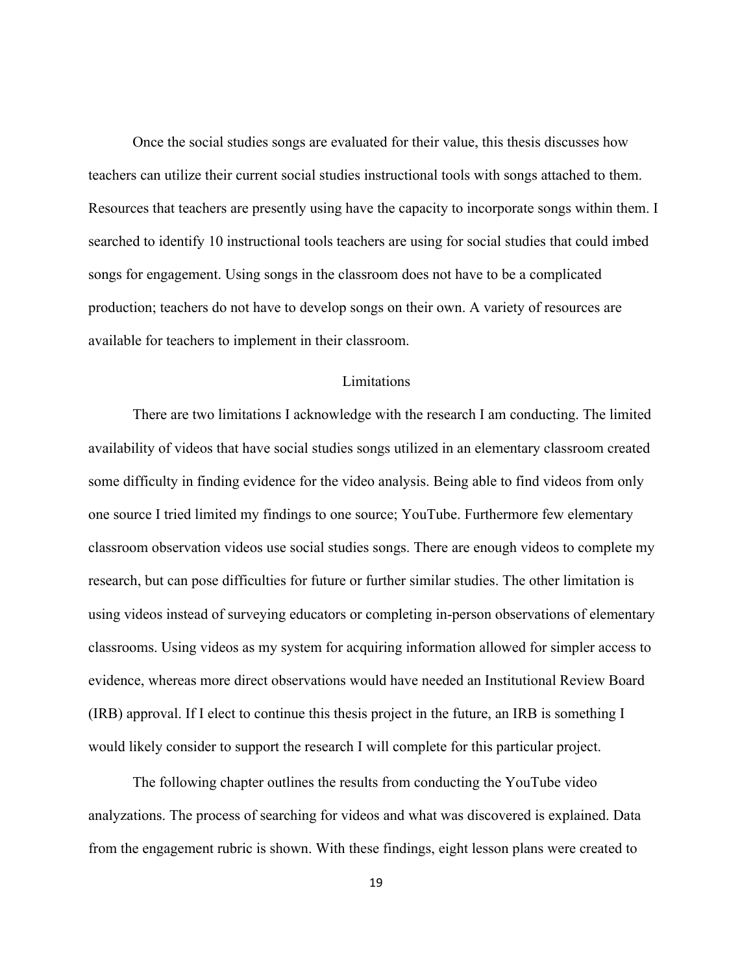Once the social studies songs are evaluated for their value, this thesis discusses how teachers can utilize their current social studies instructional tools with songs attached to them. Resources that teachers are presently using have the capacity to incorporate songs within them. I searched to identify 10 instructional tools teachers are using for social studies that could imbed songs for engagement. Using songs in the classroom does not have to be a complicated production; teachers do not have to develop songs on their own. A variety of resources are available for teachers to implement in their classroom.

## Limitations

There are two limitations I acknowledge with the research I am conducting. The limited availability of videos that have social studies songs utilized in an elementary classroom created some difficulty in finding evidence for the video analysis. Being able to find videos from only one source I tried limited my findings to one source; YouTube. Furthermore few elementary classroom observation videos use social studies songs. There are enough videos to complete my research, but can pose difficulties for future or further similar studies. The other limitation is using videos instead of surveying educators or completing in-person observations of elementary classrooms. Using videos as my system for acquiring information allowed for simpler access to evidence, whereas more direct observations would have needed an Institutional Review Board (IRB) approval. If I elect to continue this thesis project in the future, an IRB is something I would likely consider to support the research I will complete for this particular project.

The following chapter outlines the results from conducting the YouTube video analyzations. The process of searching for videos and what was discovered is explained. Data from the engagement rubric is shown. With these findings, eight lesson plans were created to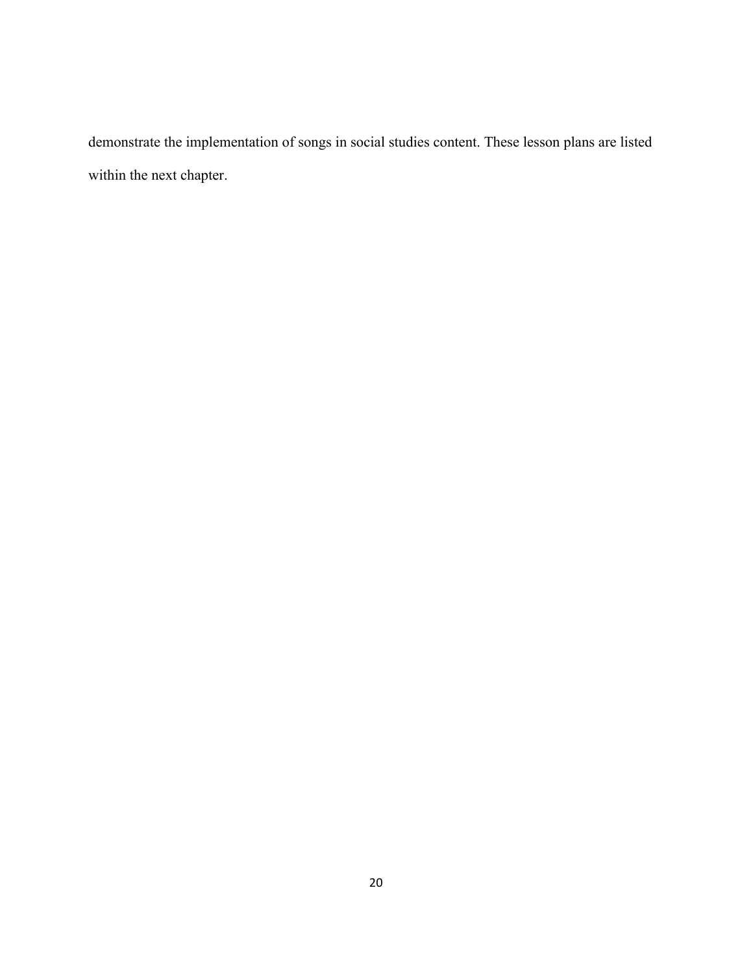demonstrate the implementation of songs in social studies content. These lesson plans are listed within the next chapter.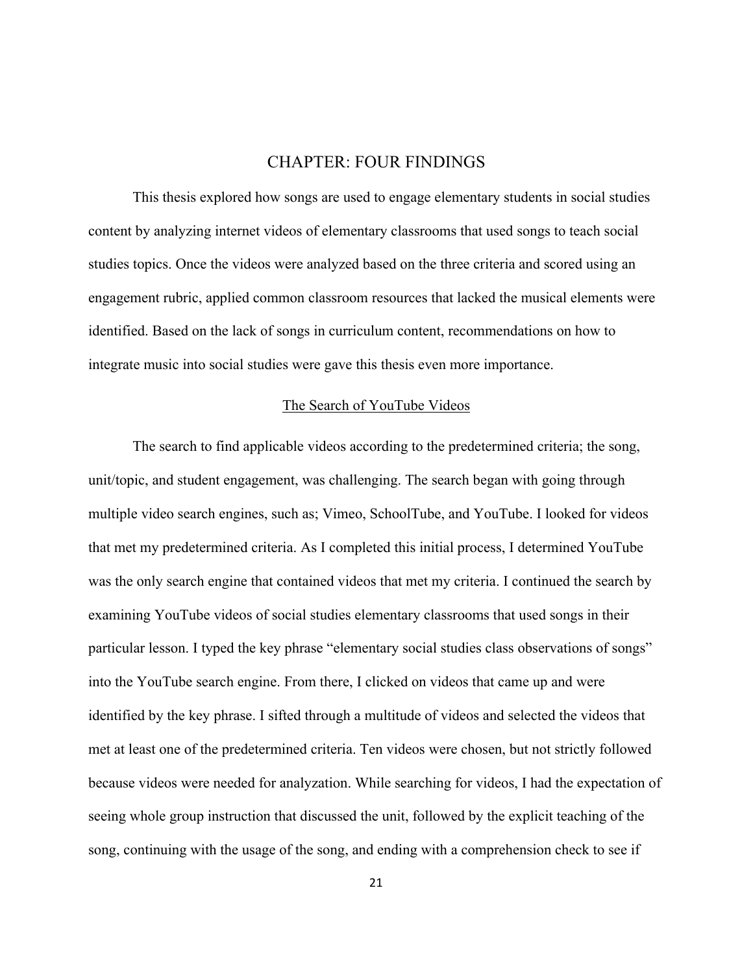## CHAPTER: FOUR FINDINGS

This thesis explored how songs are used to engage elementary students in social studies content by analyzing internet videos of elementary classrooms that used songs to teach social studies topics. Once the videos were analyzed based on the three criteria and scored using an engagement rubric, applied common classroom resources that lacked the musical elements were identified. Based on the lack of songs in curriculum content, recommendations on how to integrate music into social studies were gave this thesis even more importance.

#### The Search of YouTube Videos

The search to find applicable videos according to the predetermined criteria; the song, unit/topic, and student engagement, was challenging. The search began with going through multiple video search engines, such as; Vimeo, SchoolTube, and YouTube. I looked for videos that met my predetermined criteria. As I completed this initial process, I determined YouTube was the only search engine that contained videos that met my criteria. I continued the search by examining YouTube videos of social studies elementary classrooms that used songs in their particular lesson. I typed the key phrase "elementary social studies class observations of songs" into the YouTube search engine. From there, I clicked on videos that came up and were identified by the key phrase. I sifted through a multitude of videos and selected the videos that met at least one of the predetermined criteria. Ten videos were chosen, but not strictly followed because videos were needed for analyzation. While searching for videos, I had the expectation of seeing whole group instruction that discussed the unit, followed by the explicit teaching of the song, continuing with the usage of the song, and ending with a comprehension check to see if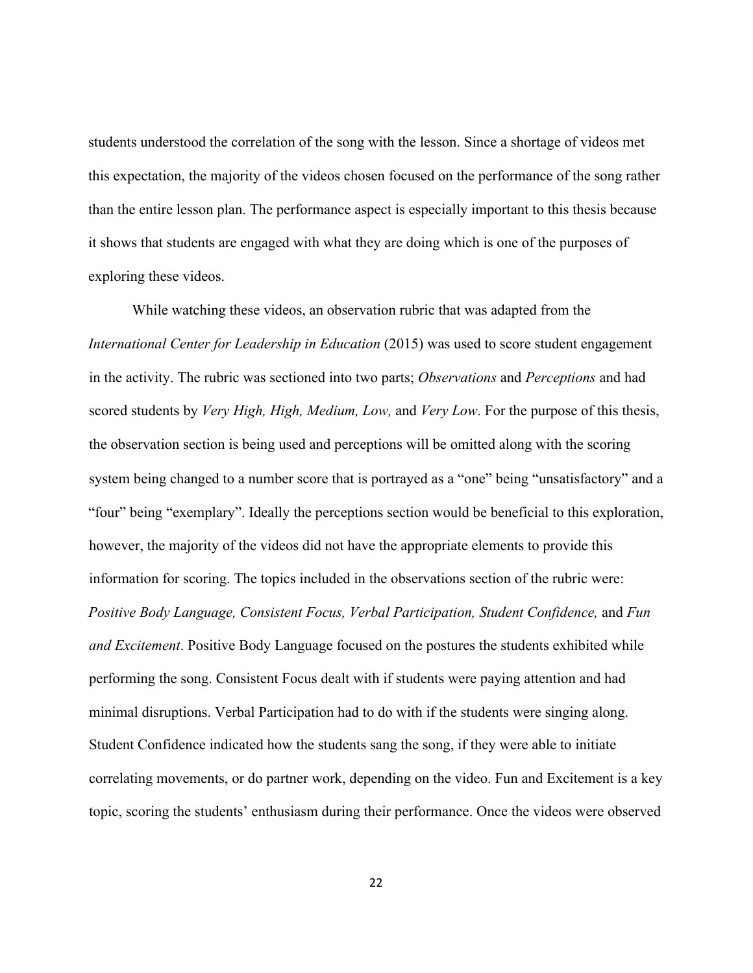students understood the correlation of the song with the lesson. Since a shortage of videos met this expectation, the majority of the videos chosen focused on the performance of the song rather than the entire lesson plan. The performance aspect is especially important to this thesis because it shows that students are engaged with what they are doing which is one of the purposes of exploring these videos.

While watching these videos, an observation rubric that was adapted from the *International Center for Leadership in Education* (2015) was used to score student engagement in the activity. The rubric was sectioned into two parts; *Observations* and *Perceptions* and had scored students by *Very High, High, Medium, Low,* and *Very Low*. For the purpose of this thesis, the observation section is being used and perceptions will be omitted along with the scoring system being changed to a number score that is portrayed as a "one" being "unsatisfactory" and a "four" being "exemplary". Ideally the perceptions section would be beneficial to this exploration, however, the majority of the videos did not have the appropriate elements to provide this information for scoring. The topics included in the observations section of the rubric were: *Positive Body Language, Consistent Focus, Verbal Participation, Student Confidence,* and *Fun and Excitement*. Positive Body Language focused on the postures the students exhibited while performing the song. Consistent Focus dealt with if students were paying attention and had minimal disruptions. Verbal Participation had to do with if the students were singing along. Student Confidence indicated how the students sang the song, if they were able to initiate correlating movements, or do partner work, depending on the video. Fun and Excitement is a key topic, scoring the students' enthusiasm during their performance. Once the videos were observed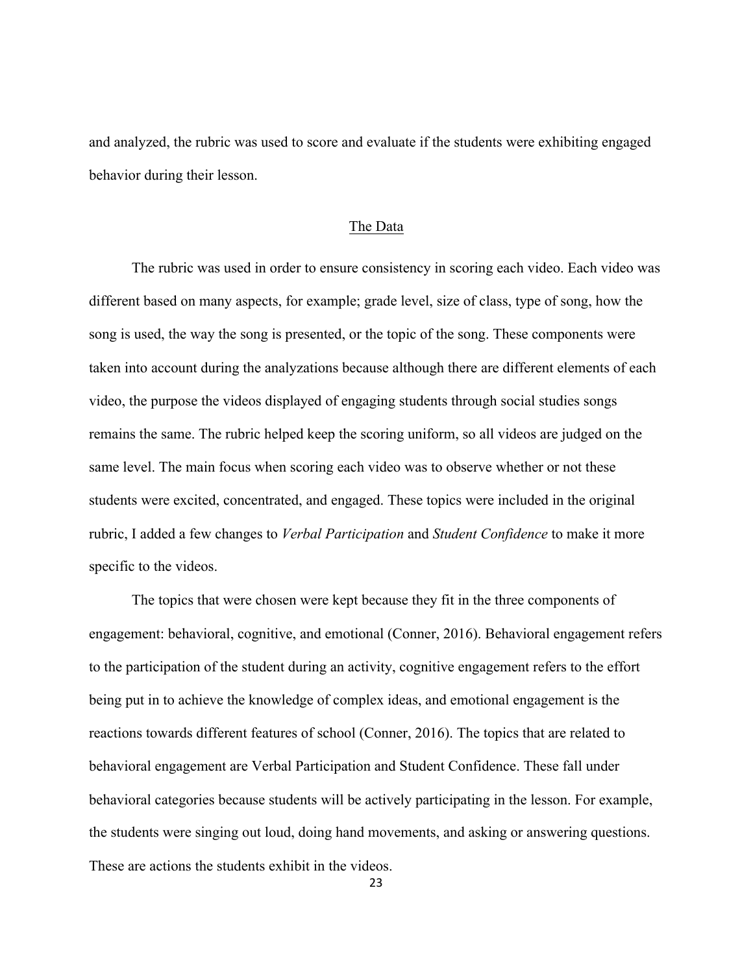and analyzed, the rubric was used to score and evaluate if the students were exhibiting engaged behavior during their lesson.

#### The Data

The rubric was used in order to ensure consistency in scoring each video. Each video was different based on many aspects, for example; grade level, size of class, type of song, how the song is used, the way the song is presented, or the topic of the song. These components were taken into account during the analyzations because although there are different elements of each video, the purpose the videos displayed of engaging students through social studies songs remains the same. The rubric helped keep the scoring uniform, so all videos are judged on the same level. The main focus when scoring each video was to observe whether or not these students were excited, concentrated, and engaged. These topics were included in the original rubric, I added a few changes to *Verbal Participation* and *Student Confidence* to make it more specific to the videos.

 The topics that were chosen were kept because they fit in the three components of engagement: behavioral, cognitive, and emotional (Conner, 2016). Behavioral engagement refers to the participation of the student during an activity, cognitive engagement refers to the effort being put in to achieve the knowledge of complex ideas, and emotional engagement is the reactions towards different features of school (Conner, 2016). The topics that are related to behavioral engagement are Verbal Participation and Student Confidence. These fall under behavioral categories because students will be actively participating in the lesson. For example, the students were singing out loud, doing hand movements, and asking or answering questions. These are actions the students exhibit in the videos.

23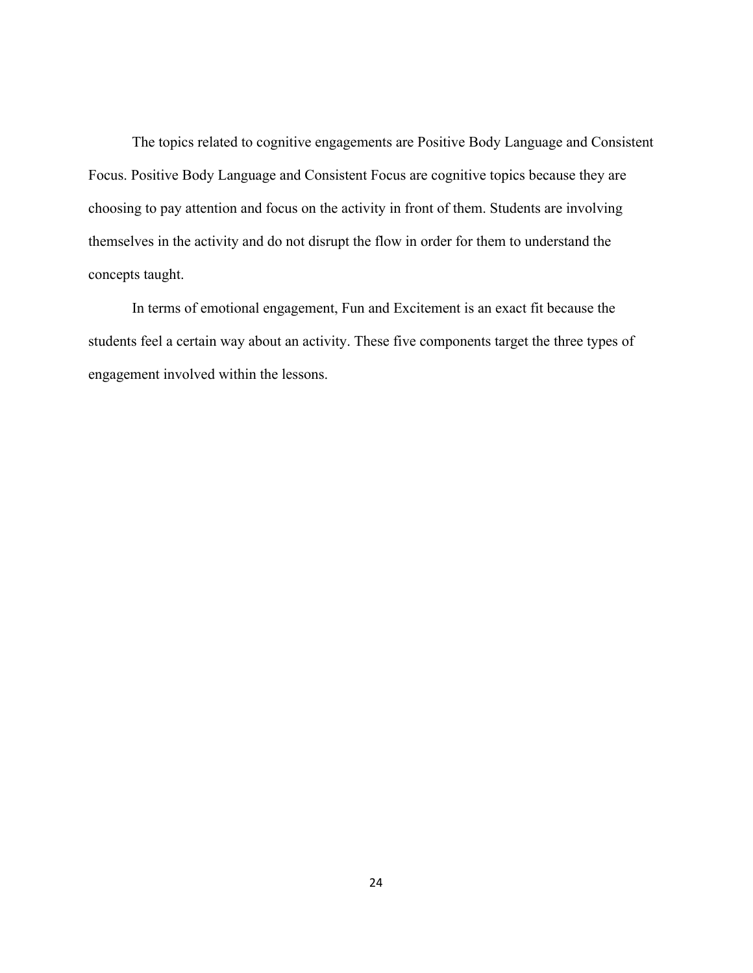The topics related to cognitive engagements are Positive Body Language and Consistent Focus. Positive Body Language and Consistent Focus are cognitive topics because they are choosing to pay attention and focus on the activity in front of them. Students are involving themselves in the activity and do not disrupt the flow in order for them to understand the concepts taught.

In terms of emotional engagement, Fun and Excitement is an exact fit because the students feel a certain way about an activity. These five components target the three types of engagement involved within the lessons.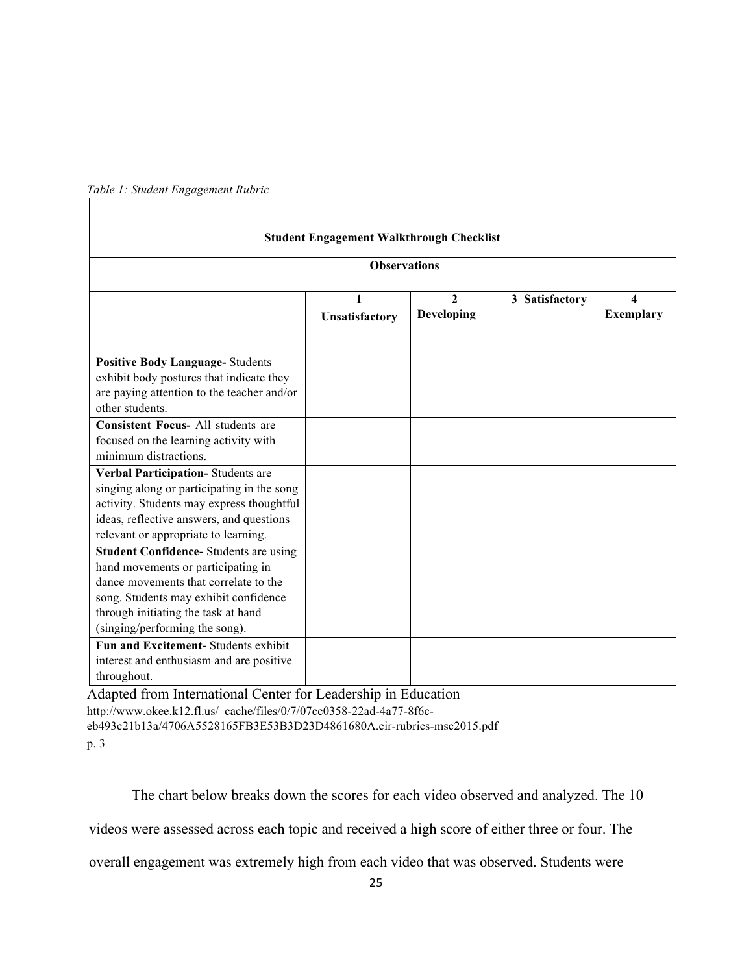| <b>Student Engagement Walkthrough Checklist</b>                                                                                                                                                                                                |                     |                            |                |                       |  |
|------------------------------------------------------------------------------------------------------------------------------------------------------------------------------------------------------------------------------------------------|---------------------|----------------------------|----------------|-----------------------|--|
| <b>Observations</b>                                                                                                                                                                                                                            |                     |                            |                |                       |  |
|                                                                                                                                                                                                                                                | 1<br>Unsatisfactory | $\mathbf{2}$<br>Developing | 3 Satisfactory | Δ<br><b>Exemplary</b> |  |
| <b>Positive Body Language-Students</b><br>exhibit body postures that indicate they<br>are paying attention to the teacher and/or<br>other students.                                                                                            |                     |                            |                |                       |  |
| <b>Consistent Focus- All students are</b><br>focused on the learning activity with<br>minimum distractions.                                                                                                                                    |                     |                            |                |                       |  |
| Verbal Participation-Students are<br>singing along or participating in the song<br>activity. Students may express thoughtful<br>ideas, reflective answers, and questions<br>relevant or appropriate to learning.                               |                     |                            |                |                       |  |
| <b>Student Confidence-</b> Students are using<br>hand movements or participating in<br>dance movements that correlate to the<br>song. Students may exhibit confidence<br>through initiating the task at hand<br>(singing/performing the song). |                     |                            |                |                       |  |
| Fun and Excitement-Students exhibit<br>interest and enthusiasm and are positive<br>throughout.                                                                                                                                                 |                     |                            |                |                       |  |

*Table 1: Student Engagement Rubric* 

Adapted from International Center for Leadership in Education http://www.okee.k12.fl.us/\_cache/files/0/7/07cc0358-22ad-4a77-8f6c-

eb493c21b13a/4706A5528165FB3E53B3D23D4861680A.cir-rubrics-msc2015.pdf p. 3

The chart below breaks down the scores for each video observed and analyzed. The 10

videos were assessed across each topic and received a high score of either three or four. The

overall engagement was extremely high from each video that was observed. Students were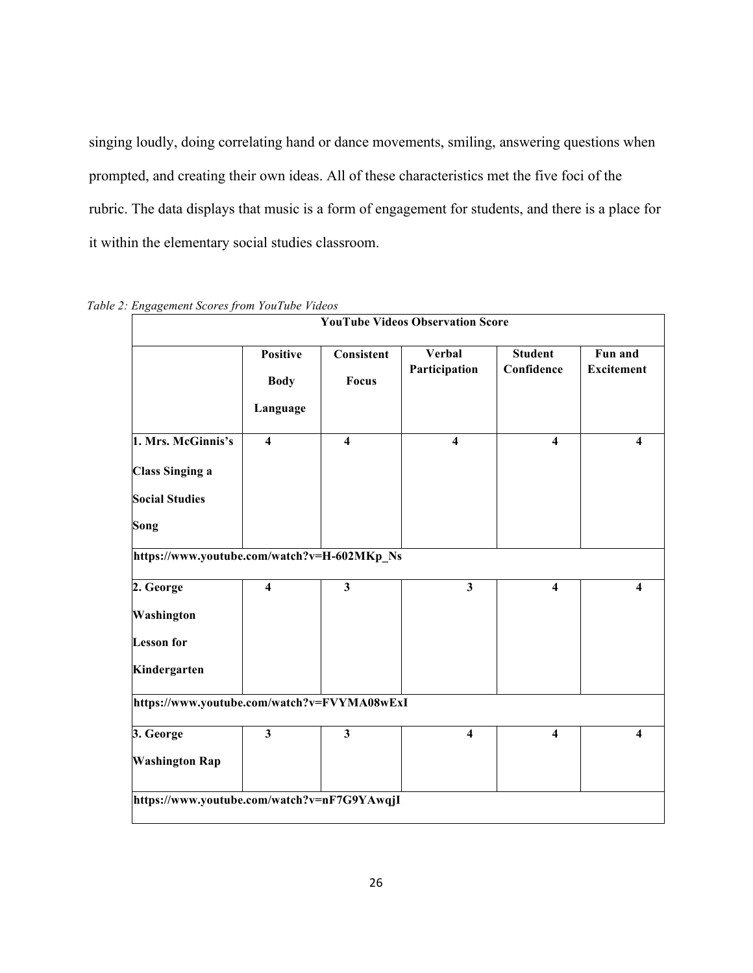singing loudly, doing correlating hand or dance movements, smiling, answering questions when prompted, and creating their own ideas. All of these characteristics met the five foci of the rubric. The data displays that music is a form of engagement for students, and there is a place for it within the elementary social studies classroom.

|                                                                       |                                            |                         | <b>YouTube Videos Observation Score</b> |                              |                              |
|-----------------------------------------------------------------------|--------------------------------------------|-------------------------|-----------------------------------------|------------------------------|------------------------------|
|                                                                       | <b>Positive</b><br><b>Body</b><br>Language | Consistent<br>Focus     | <b>Verbal</b><br>Participation          | <b>Student</b><br>Confidence | Fun and<br><b>Excitement</b> |
| 1. Mrs. McGinnis's<br><b>Class Singing a</b><br><b>Social Studies</b> | $\overline{\mathbf{4}}$                    | $\overline{\mathbf{4}}$ | $\overline{\mathbf{4}}$                 | $\overline{\mathbf{4}}$      | $\overline{\mathbf{4}}$      |
| Song<br>https://www.youtube.com/watch?v=H-602MKp_Ns                   |                                            |                         |                                         |                              |                              |
| 2. George<br>Washington<br><b>Lesson</b> for<br>Kindergarten          | $\overline{\mathbf{4}}$                    | $\overline{\mathbf{3}}$ | $\mathbf{3}$                            | $\overline{\mathbf{4}}$      | $\overline{\mathbf{4}}$      |
| https://www.youtube.com/watch?v=FVYMA08wExI                           |                                            |                         |                                         |                              |                              |
| 3. George<br><b>Washington Rap</b>                                    | $\overline{\mathbf{3}}$                    | $\overline{\mathbf{3}}$ | $\overline{\mathbf{4}}$                 | $\overline{\mathbf{4}}$      | $\overline{\mathbf{4}}$      |
| https://www.youtube.com/watch?v=nF7G9YAwqjI                           |                                            |                         |                                         |                              |                              |

*Table 2: Engagement Scores from YouTube Videos*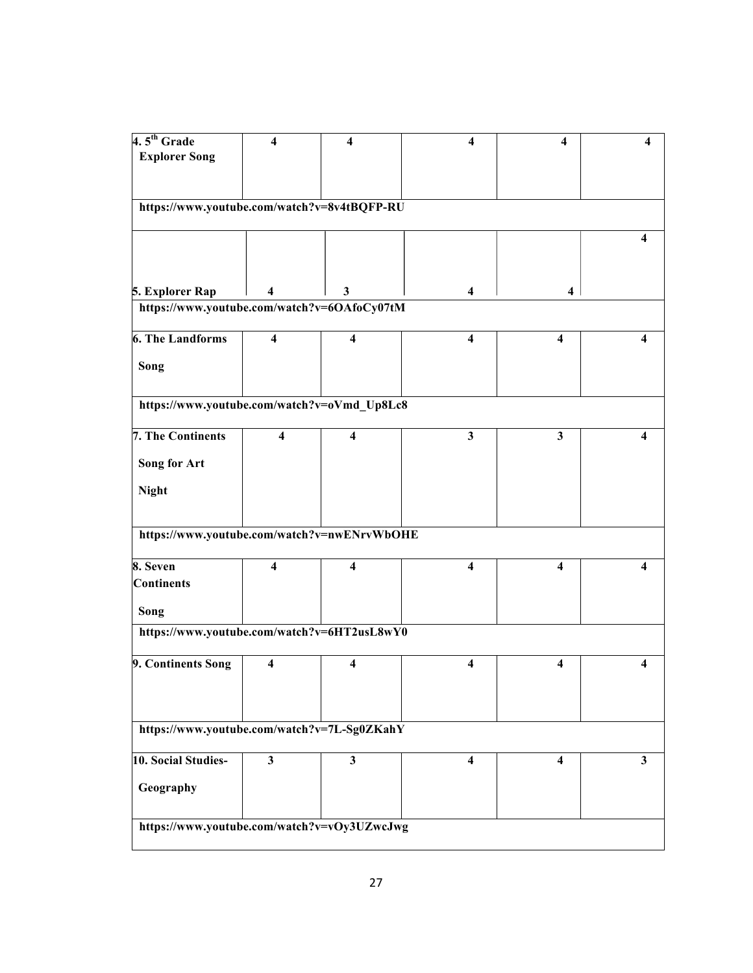| $4.5th$ Grade                               | 4                       | $\boldsymbol{4}$        | 4                       | $\boldsymbol{4}$        | 4            |
|---------------------------------------------|-------------------------|-------------------------|-------------------------|-------------------------|--------------|
| <b>Explorer Song</b>                        |                         |                         |                         |                         |              |
|                                             |                         |                         |                         |                         |              |
|                                             |                         |                         |                         |                         |              |
| https://www.youtube.com/watch?v=8v4tBQFP-RU |                         |                         |                         |                         |              |
|                                             |                         |                         |                         |                         |              |
|                                             |                         |                         |                         |                         | 4            |
|                                             |                         |                         |                         |                         |              |
|                                             |                         |                         |                         |                         |              |
|                                             |                         |                         |                         |                         |              |
| 5. Explorer Rap                             | 4                       | 3                       | 4                       | 4                       |              |
| https://www.youtube.com/watch?v=6OAfoCy07tM |                         |                         |                         |                         |              |
| <b>6. The Landforms</b>                     | $\overline{\mathbf{4}}$ | $\overline{\mathbf{4}}$ | $\overline{\mathbf{4}}$ | 4                       | 4            |
|                                             |                         |                         |                         |                         |              |
| Song                                        |                         |                         |                         |                         |              |
|                                             |                         |                         |                         |                         |              |
|                                             |                         |                         |                         |                         |              |
| https://www.youtube.com/watch?v=oVmd_Up8Lc8 |                         |                         |                         |                         |              |
| 7. The Continents                           | 4                       | 4                       | 3                       | 3                       | 4            |
|                                             |                         |                         |                         |                         |              |
| <b>Song for Art</b>                         |                         |                         |                         |                         |              |
|                                             |                         |                         |                         |                         |              |
| <b>Night</b>                                |                         |                         |                         |                         |              |
|                                             |                         |                         |                         |                         |              |
|                                             |                         |                         |                         |                         |              |
| https://www.youtube.com/watch?v=nwENrvWbOHE |                         |                         |                         |                         |              |
| 8. Seven                                    | $\overline{\mathbf{4}}$ | $\overline{\mathbf{4}}$ | 4                       | $\overline{\mathbf{4}}$ | 4            |
|                                             |                         |                         |                         |                         |              |
| <b>Continents</b>                           |                         |                         |                         |                         |              |
| Song                                        |                         |                         |                         |                         |              |
|                                             |                         |                         |                         |                         |              |
| https://www.youtube.com/watch?v=6HT2usL8wY0 |                         |                         |                         |                         |              |
|                                             |                         |                         |                         |                         |              |
| 9. Continents Song                          | 4                       | 4                       | 4                       | 4                       |              |
|                                             |                         |                         |                         |                         |              |
|                                             |                         |                         |                         |                         |              |
|                                             |                         |                         |                         |                         |              |
| https://www.youtube.com/watch?v=7L-Sg0ZKahY |                         |                         |                         |                         |              |
| 10. Social Studies-                         | $\overline{\mathbf{3}}$ | $\mathbf{3}$            |                         |                         |              |
|                                             |                         |                         | 4                       | 4                       | $\mathbf{3}$ |
| Geography                                   |                         |                         |                         |                         |              |
|                                             |                         |                         |                         |                         |              |
|                                             |                         |                         |                         |                         |              |
| https://www.youtube.com/watch?v=vOy3UZwcJwg |                         |                         |                         |                         |              |
|                                             |                         |                         |                         |                         |              |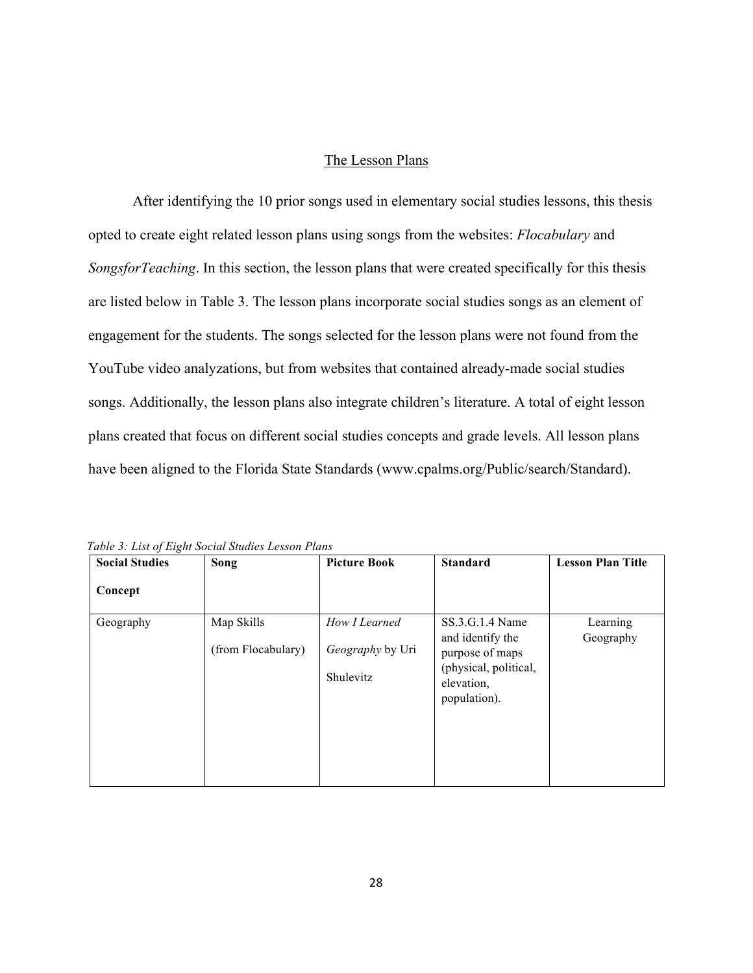#### The Lesson Plans

After identifying the 10 prior songs used in elementary social studies lessons, this thesis opted to create eight related lesson plans using songs from the websites: *Flocabulary* and *SongsforTeaching*. In this section, the lesson plans that were created specifically for this thesis are listed below in Table 3. The lesson plans incorporate social studies songs as an element of engagement for the students. The songs selected for the lesson plans were not found from the YouTube video analyzations, but from websites that contained already-made social studies songs. Additionally, the lesson plans also integrate children's literature. A total of eight lesson plans created that focus on different social studies concepts and grade levels. All lesson plans have been aligned to the Florida State Standards (www.cpalms.org/Public/search/Standard).

| <b>Social Studies</b> | Song                             | <b>Picture Book</b>                            | <b>Standard</b>                                                                                               | <b>Lesson Plan Title</b> |
|-----------------------|----------------------------------|------------------------------------------------|---------------------------------------------------------------------------------------------------------------|--------------------------|
| Concept               |                                  |                                                |                                                                                                               |                          |
| Geography             | Map Skills<br>(from Flocabulary) | How I Learned<br>Geography by Uri<br>Shulevitz | SS.3.G.1.4 Name<br>and identify the<br>purpose of maps<br>(physical, political,<br>elevation,<br>population). | Learning<br>Geography    |

*Table 3: List of Eight Social Studies Lesson Plans*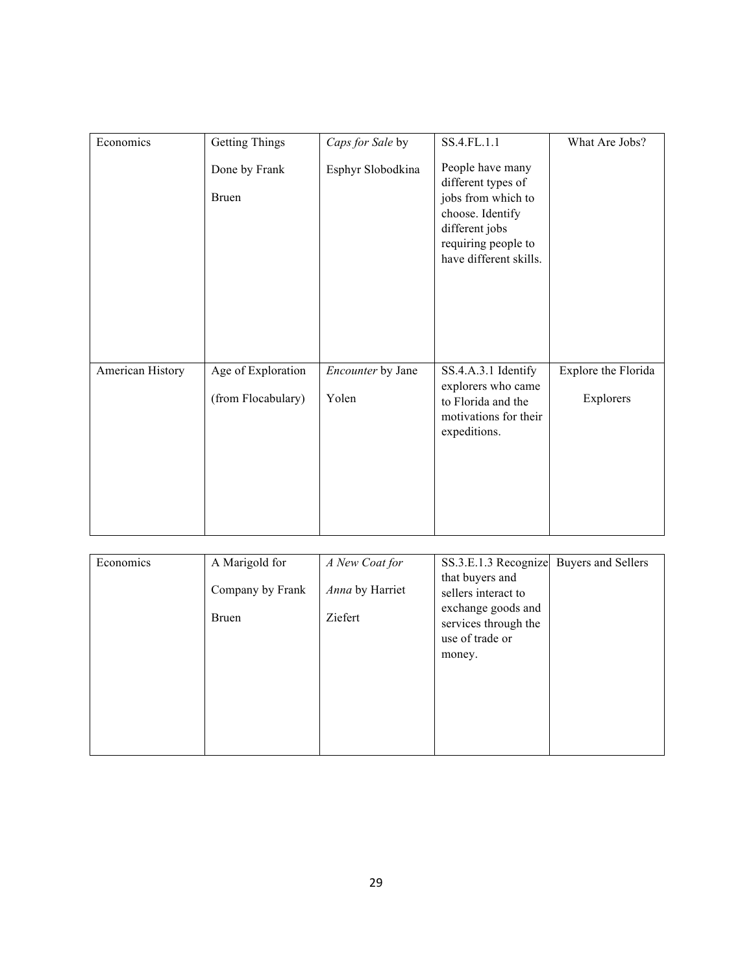| Economics        | <b>Getting Things</b>         | Caps for Sale by  | SS.4.FL.1.1                                                                                                                                         | What Are Jobs?      |
|------------------|-------------------------------|-------------------|-----------------------------------------------------------------------------------------------------------------------------------------------------|---------------------|
|                  | Done by Frank<br><b>Bruen</b> | Esphyr Slobodkina | People have many<br>different types of<br>jobs from which to<br>choose. Identify<br>different jobs<br>requiring people to<br>have different skills. |                     |
| American History | Age of Exploration            | Encounter by Jane | SS.4.A.3.1 Identify                                                                                                                                 | Explore the Florida |
|                  | (from Flocabulary)            | Yolen             | explorers who came<br>to Florida and the<br>motivations for their<br>expeditions.                                                                   | Explorers           |

| Economics | A Marigold for   | A New Coat for  | SS.3.E.1.3 Recognize                       | <b>Buyers and Sellers</b> |
|-----------|------------------|-----------------|--------------------------------------------|---------------------------|
|           |                  |                 | that buyers and                            |                           |
|           | Company by Frank | Anna by Harriet | sellers interact to                        |                           |
|           | <b>Bruen</b>     | Ziefert         | exchange goods and<br>services through the |                           |
|           |                  |                 | use of trade or                            |                           |
|           |                  |                 | money.                                     |                           |
|           |                  |                 |                                            |                           |
|           |                  |                 |                                            |                           |
|           |                  |                 |                                            |                           |
|           |                  |                 |                                            |                           |
|           |                  |                 |                                            |                           |
|           |                  |                 |                                            |                           |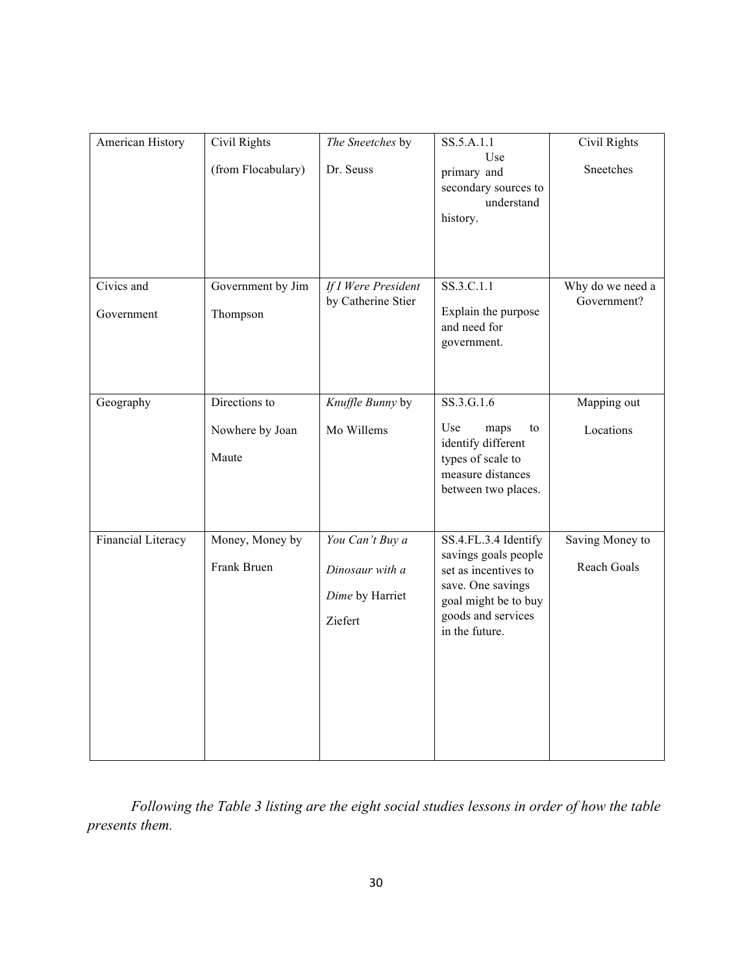| American History   | <b>Civil Rights</b>      | The Sneetches by    | SS.5.A.1.1                                                                                               | <b>Civil Rights</b> |
|--------------------|--------------------------|---------------------|----------------------------------------------------------------------------------------------------------|---------------------|
|                    | (from Flocabulary)       | Dr. Seuss           | Use<br>primary and<br>secondary sources to<br>understand<br>history.                                     | Sneetches           |
| Civics and         | Government by Jim        | If I Were President | $SS.3.C.1.\overline{1}$                                                                                  | Why do we need a    |
| Government         | Thompson                 | by Catherine Stier  | Explain the purpose<br>and need for<br>government.                                                       | Government?         |
| Geography          | Directions to            | Knuffle Bunny by    | SS.3.G.1.6                                                                                               | Mapping out         |
|                    | Nowhere by Joan<br>Maute | Mo Willems          | Use<br>maps<br>to<br>identify different<br>types of scale to<br>measure distances<br>between two places. | Locations           |
| Financial Literacy | Money, Money by          | You Can't Buy a     | SS.4.FL.3.4 Identify<br>savings goals people                                                             | Saving Money to     |
|                    | Frank Bruen              | Dinosaur with a     | set as incentives to                                                                                     | Reach Goals         |
|                    |                          | Dime by Harriet     | save. One savings<br>goal might be to buy                                                                |                     |
|                    |                          | Ziefert             | goods and services<br>in the future.                                                                     |                     |
|                    |                          |                     |                                                                                                          |                     |

*Following the Table 3 listing are the eight social studies lessons in order of how the table presents them.*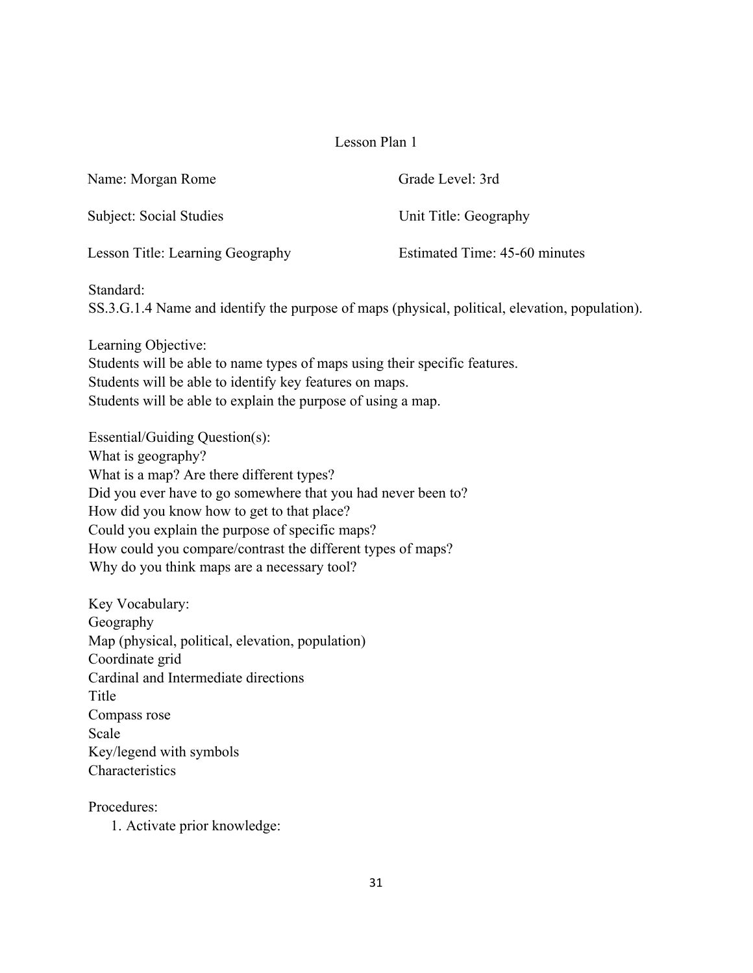| Name: Morgan Rome                | Grade Level: 3rd              |
|----------------------------------|-------------------------------|
| Subject: Social Studies          | Unit Title: Geography         |
| Lesson Title: Learning Geography | Estimated Time: 45-60 minutes |

Standard:

SS.3.G.1.4 Name and identify the purpose of maps (physical, political, elevation, population).

Learning Objective: Students will be able to name types of maps using their specific features. Students will be able to identify key features on maps. Students will be able to explain the purpose of using a map.

Essential/Guiding Question(s): What is geography? What is a map? Are there different types? Did you ever have to go somewhere that you had never been to? How did you know how to get to that place? Could you explain the purpose of specific maps? How could you compare/contrast the different types of maps? Why do you think maps are a necessary tool?

Key Vocabulary: Geography Map (physical, political, elevation, population) Coordinate grid Cardinal and Intermediate directions Title Compass rose Scale Key/legend with symbols **Characteristics** 

Procedures:

1. Activate prior knowledge: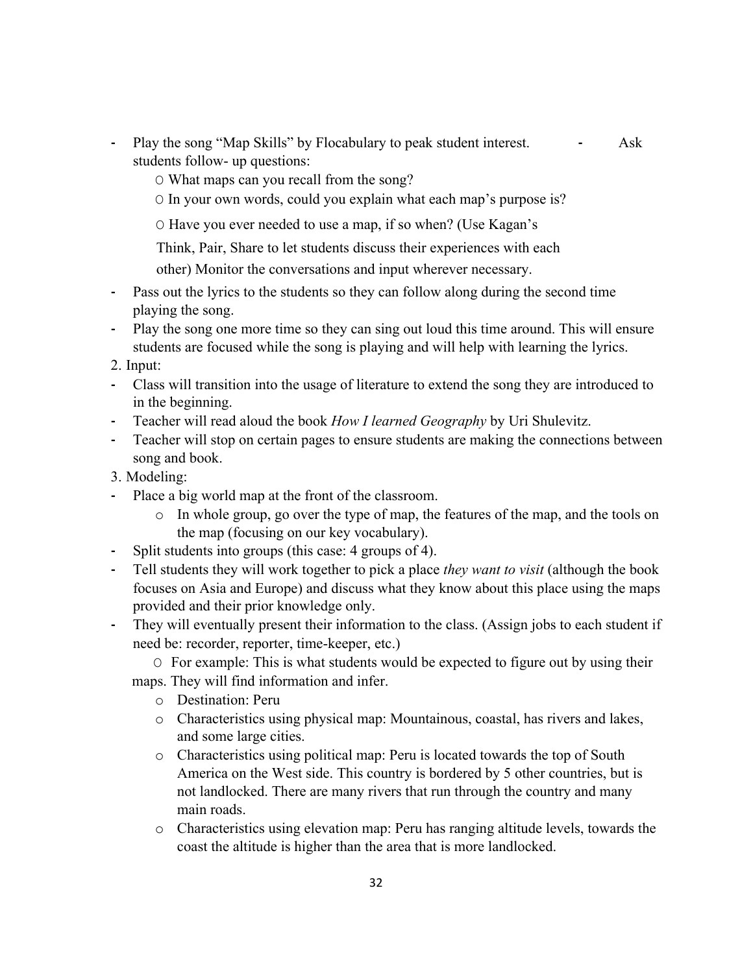- **-** Play the song "Map Skills" by Flocabulary to peak student interest. **-** Ask students follow- up questions:
	- O What maps can you recall from the song?
	- O In your own words, could you explain what each map's purpose is?
	- O Have you ever needed to use a map, if so when? (Use Kagan's

Think, Pair, Share to let students discuss their experiences with each

other) Monitor the conversations and input wherever necessary.

- **-** Pass out the lyrics to the students so they can follow along during the second time playing the song.
- **-** Play the song one more time so they can sing out loud this time around. This will ensure students are focused while the song is playing and will help with learning the lyrics.
- 2. Input:
- **-** Class will transition into the usage of literature to extend the song they are introduced to in the beginning.
- **-** Teacher will read aloud the book *How I learned Geography* by Uri Shulevitz.
- **-** Teacher will stop on certain pages to ensure students are making the connections between song and book.
- 3. Modeling:
- **-** Place a big world map at the front of the classroom.
	- o In whole group, go over the type of map, the features of the map, and the tools on the map (focusing on our key vocabulary).
- **-** Split students into groups (this case: 4 groups of 4).
- **-** Tell students they will work together to pick a place *they want to visit* (although the book focuses on Asia and Europe) and discuss what they know about this place using the maps provided and their prior knowledge only.
- **-** They will eventually present their information to the class. (Assign jobs to each student if need be: recorder, reporter, time-keeper, etc.)

O For example: This is what students would be expected to figure out by using their maps. They will find information and infer.

- o Destination: Peru
- o Characteristics using physical map: Mountainous, coastal, has rivers and lakes, and some large cities.
- o Characteristics using political map: Peru is located towards the top of South America on the West side. This country is bordered by 5 other countries, but is not landlocked. There are many rivers that run through the country and many main roads.
- o Characteristics using elevation map: Peru has ranging altitude levels, towards the coast the altitude is higher than the area that is more landlocked.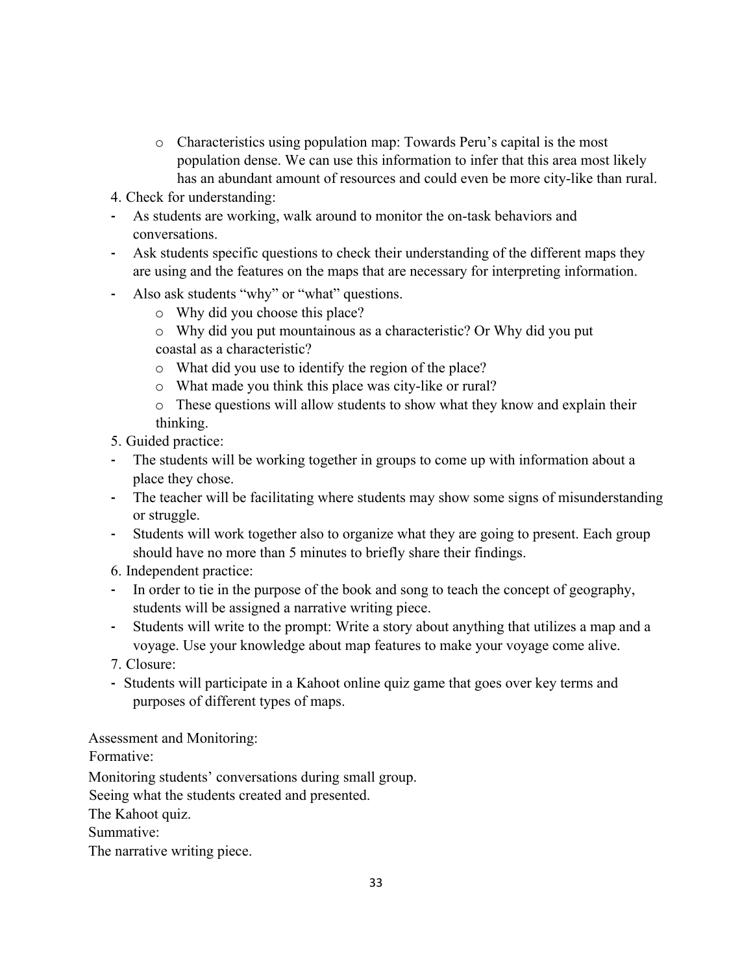- o Characteristics using population map: Towards Peru's capital is the most population dense. We can use this information to infer that this area most likely has an abundant amount of resources and could even be more city-like than rural.
- 4. Check for understanding:
- **-** As students are working, walk around to monitor the on-task behaviors and conversations.
- **-** Ask students specific questions to check their understanding of the different maps they are using and the features on the maps that are necessary for interpreting information.
- **-** Also ask students "why" or "what" questions.
	- o Why did you choose this place?
	- o Why did you put mountainous as a characteristic? Or Why did you put coastal as a characteristic?
	- o What did you use to identify the region of the place?
	- o What made you think this place was city-like or rural?
	- o These questions will allow students to show what they know and explain their thinking.
- 5. Guided practice:
- **-** The students will be working together in groups to come up with information about a place they chose.
- **-** The teacher will be facilitating where students may show some signs of misunderstanding or struggle.
- **-** Students will work together also to organize what they are going to present. Each group should have no more than 5 minutes to briefly share their findings.
- 6. Independent practice:
- **-** In order to tie in the purpose of the book and song to teach the concept of geography, students will be assigned a narrative writing piece.
- **-** Students will write to the prompt: Write a story about anything that utilizes a map and a voyage. Use your knowledge about map features to make your voyage come alive.
- 7. Closure:
- **-** Students will participate in a Kahoot online quiz game that goes over key terms and purposes of different types of maps.

Assessment and Monitoring:

Formative:

Monitoring students' conversations during small group. Seeing what the students created and presented. The Kahoot quiz. Summative: The narrative writing piece.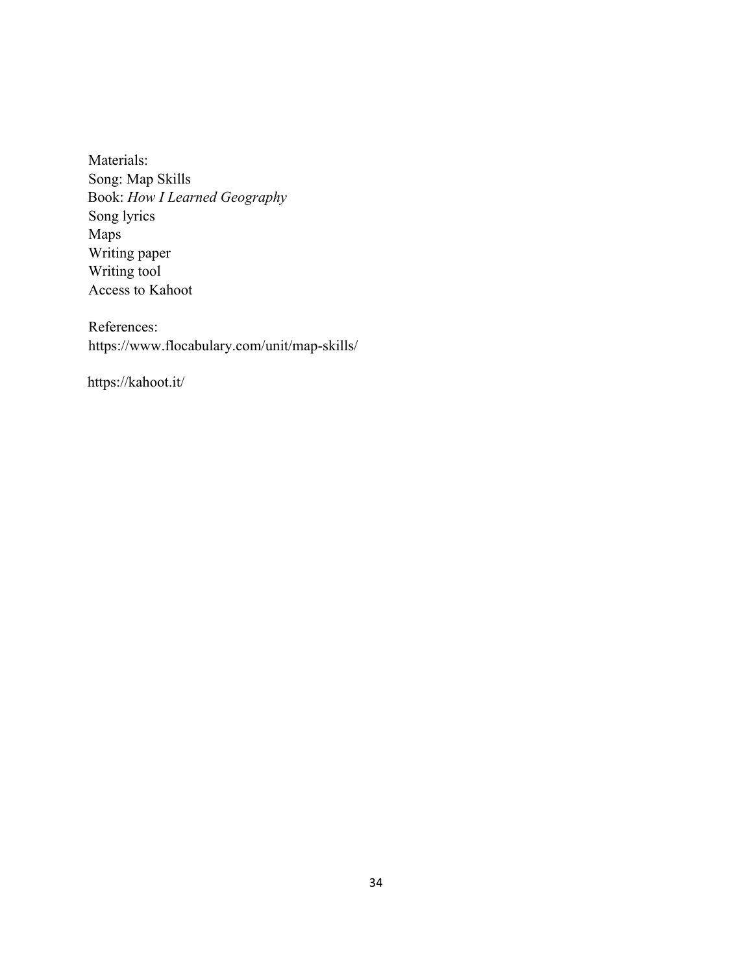Materials: Song: Map Skills Book: *How I Learned Geography* Song lyrics Maps Writing paper Writing tool Access to Kahoot

References: https://www.flocabulary.com/unit/map-skills/

https://kahoot.it/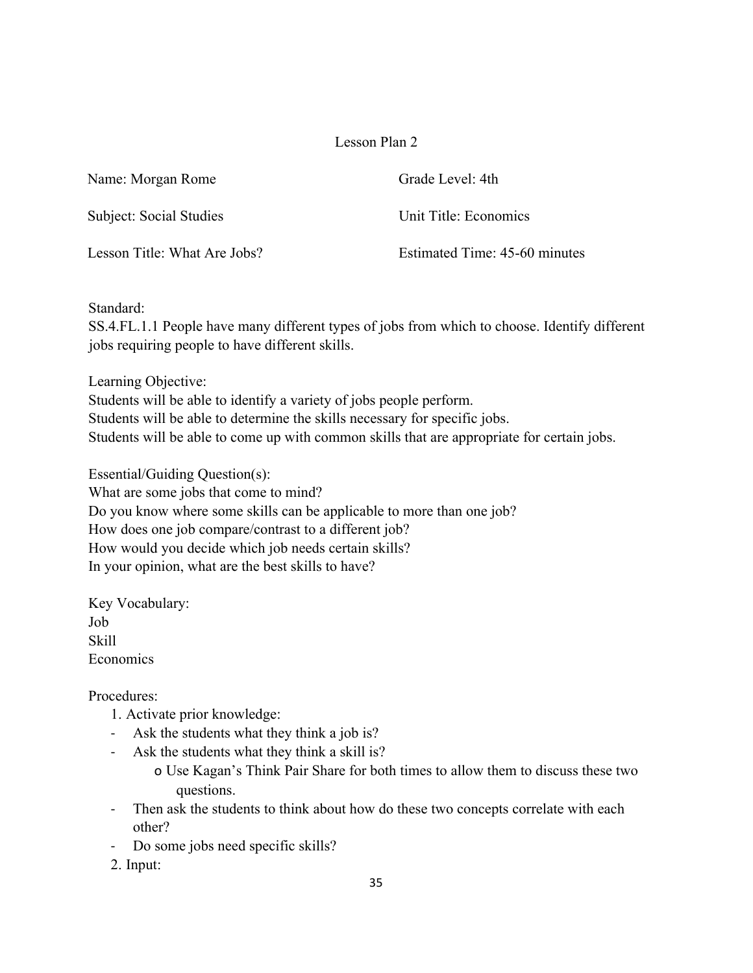| Name: Morgan Rome            | Grade Level: 4th              |
|------------------------------|-------------------------------|
| Subject: Social Studies      | Unit Title: Economics         |
| Lesson Title: What Are Jobs? | Estimated Time: 45-60 minutes |

Standard:

SS.4.FL.1.1 People have many different types of jobs from which to choose. Identify different jobs requiring people to have different skills.

Learning Objective:

Students will be able to identify a variety of jobs people perform. Students will be able to determine the skills necessary for specific jobs. Students will be able to come up with common skills that are appropriate for certain jobs.

Essential/Guiding Question(s): What are some jobs that come to mind? Do you know where some skills can be applicable to more than one job? How does one job compare/contrast to a different job? How would you decide which job needs certain skills? In your opinion, what are the best skills to have?

Key Vocabulary: Job Skill Economics

Procedures:

- 1. Activate prior knowledge:
- Ask the students what they think a job is?
- Ask the students what they think a skill is?
	- o Use Kagan's Think Pair Share for both times to allow them to discuss these two questions.
- Then ask the students to think about how do these two concepts correlate with each other?
- Do some jobs need specific skills?
- 2. Input: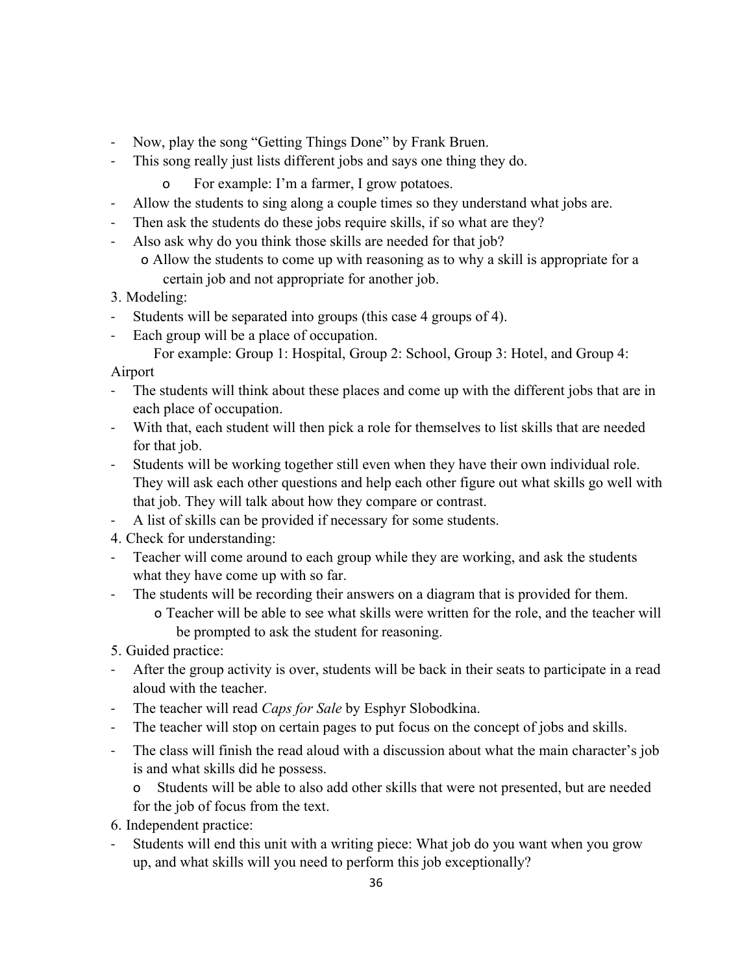- Now, play the song "Getting Things Done" by Frank Bruen.
- This song really just lists different jobs and says one thing they do.
	- o For example: I'm a farmer, I grow potatoes.
- Allow the students to sing along a couple times so they understand what jobs are.
- Then ask the students do these jobs require skills, if so what are they?
- Also ask why do you think those skills are needed for that job?
	- o Allow the students to come up with reasoning as to why a skill is appropriate for a certain job and not appropriate for another job.

3. Modeling:

- Students will be separated into groups (this case 4 groups of 4).
- Each group will be a place of occupation.

For example: Group 1: Hospital, Group 2: School, Group 3: Hotel, and Group 4:

Airport

- The students will think about these places and come up with the different jobs that are in each place of occupation.
- With that, each student will then pick a role for themselves to list skills that are needed for that job.
- Students will be working together still even when they have their own individual role. They will ask each other questions and help each other figure out what skills go well with that job. They will talk about how they compare or contrast.
- A list of skills can be provided if necessary for some students.
- 4. Check for understanding:
- Teacher will come around to each group while they are working, and ask the students what they have come up with so far.
- The students will be recording their answers on a diagram that is provided for them. o Teacher will be able to see what skills were written for the role, and the teacher will be prompted to ask the student for reasoning.
- 5. Guided practice:
- After the group activity is over, students will be back in their seats to participate in a read aloud with the teacher.
- The teacher will read *Caps for Sale* by Esphyr Slobodkina.
- The teacher will stop on certain pages to put focus on the concept of jobs and skills.
- The class will finish the read aloud with a discussion about what the main character's job is and what skills did he possess.

o Students will be able to also add other skills that were not presented, but are needed for the job of focus from the text.

- 6. Independent practice:
- Students will end this unit with a writing piece: What job do you want when you grow up, and what skills will you need to perform this job exceptionally?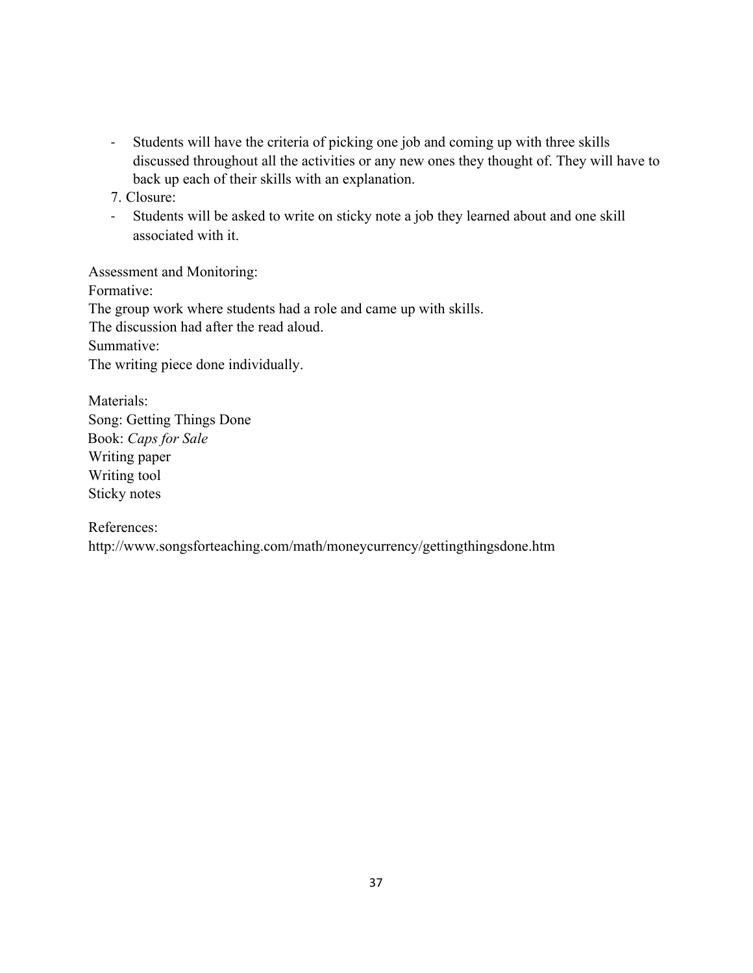- Students will have the criteria of picking one job and coming up with three skills discussed throughout all the activities or any new ones they thought of. They will have to back up each of their skills with an explanation.

7. Closure:

- Students will be asked to write on sticky note a job they learned about and one skill associated with it.

Assessment and Monitoring:

Formative: The group work where students had a role and came up with skills. The discussion had after the read aloud. Summative: The writing piece done individually.

Materials: Song: Getting Things Done Book: *Caps for Sale* Writing paper Writing tool Sticky notes

References:

http://www.songsforteaching.com/math/moneycurrency/gettingthingsdone.htm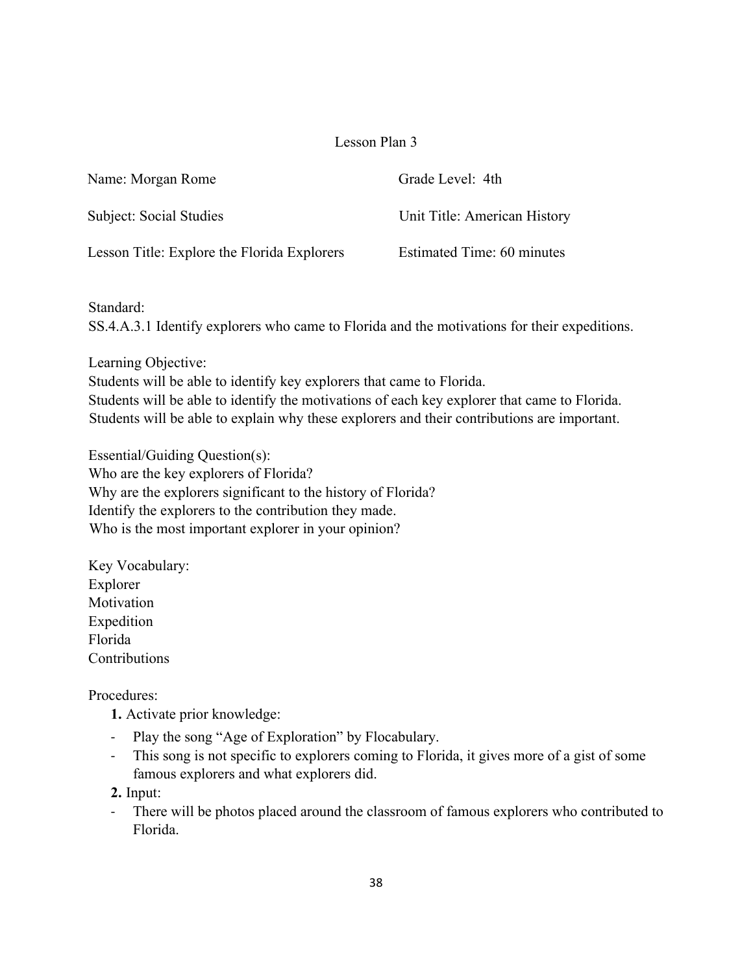| Name: Morgan Rome                           | Grade Level: 4th             |
|---------------------------------------------|------------------------------|
| Subject: Social Studies                     | Unit Title: American History |
| Lesson Title: Explore the Florida Explorers | Estimated Time: 60 minutes   |

Standard:

SS.4.A.3.1 Identify explorers who came to Florida and the motivations for their expeditions.

Learning Objective:

Students will be able to identify key explorers that came to Florida. Students will be able to identify the motivations of each key explorer that came to Florida. Students will be able to explain why these explorers and their contributions are important.

Essential/Guiding Question(s): Who are the key explorers of Florida? Why are the explorers significant to the history of Florida? Identify the explorers to the contribution they made. Who is the most important explorer in your opinion?

Key Vocabulary: Explorer Motivation Expedition Florida Contributions

Procedures:

- **1.** Activate prior knowledge:
- Play the song "Age of Exploration" by Flocabulary.
- This song is not specific to explorers coming to Florida, it gives more of a gist of some famous explorers and what explorers did.

**2.** Input:

- There will be photos placed around the classroom of famous explorers who contributed to Florida.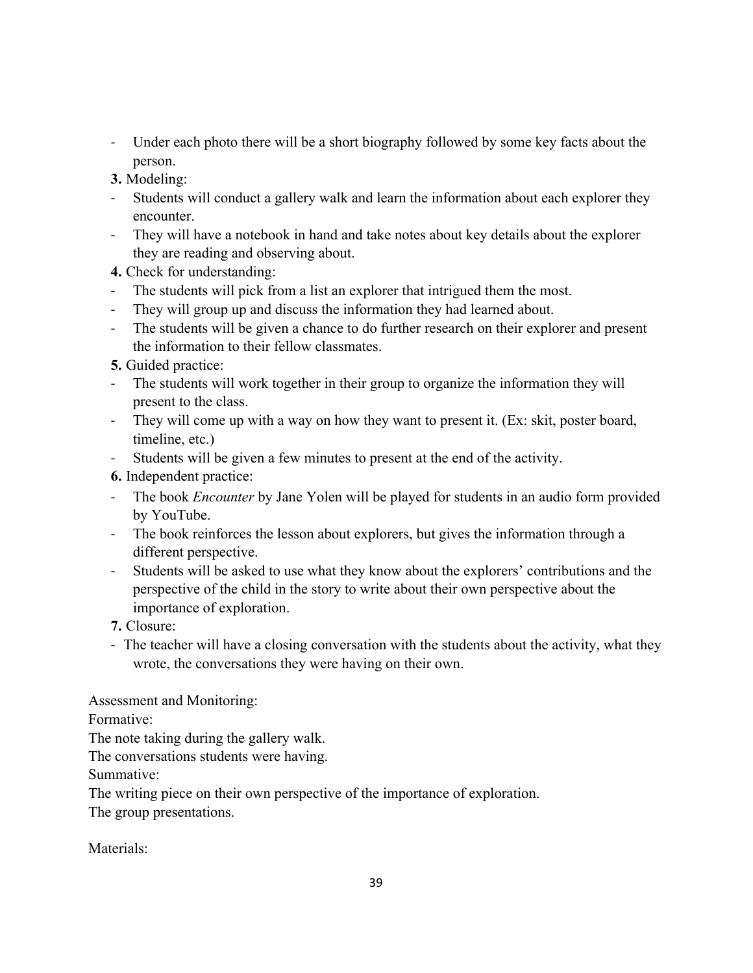- Under each photo there will be a short biography followed by some key facts about the person.

**3.** Modeling:

- Students will conduct a gallery walk and learn the information about each explorer they encounter.
- They will have a notebook in hand and take notes about key details about the explorer they are reading and observing about.

**4.** Check for understanding:

- The students will pick from a list an explorer that intrigued them the most.
- They will group up and discuss the information they had learned about.
- The students will be given a chance to do further research on their explorer and present the information to their fellow classmates.

**5.** Guided practice:

- The students will work together in their group to organize the information they will present to the class.
- They will come up with a way on how they want to present it. (Ex: skit, poster board, timeline, etc.)
- Students will be given a few minutes to present at the end of the activity.

**6.** Independent practice:

- The book *Encounter* by Jane Yolen will be played for students in an audio form provided by YouTube.
- The book reinforces the lesson about explorers, but gives the information through a different perspective.
- Students will be asked to use what they know about the explorers' contributions and the perspective of the child in the story to write about their own perspective about the importance of exploration.

**7.** Closure:

- The teacher will have a closing conversation with the students about the activity, what they wrote, the conversations they were having on their own.

Assessment and Monitoring:

Formative:

The note taking during the gallery walk.

The conversations students were having.

Summative:

The writing piece on their own perspective of the importance of exploration. The group presentations.

Materials<sup>.</sup>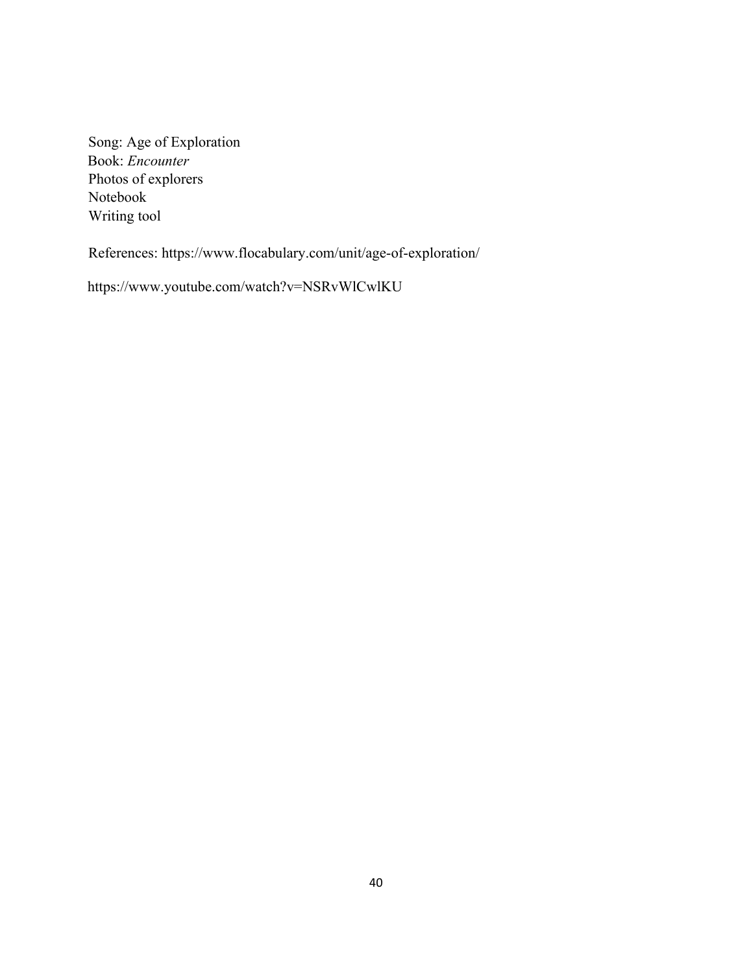Song: Age of Exploration Book: *Encounter*  Photos of explorers Notebook Writing tool

References: https://www.flocabulary.com/unit/age-of-exploration/

https://www.youtube.com/watch?v=NSRvWlCwlKU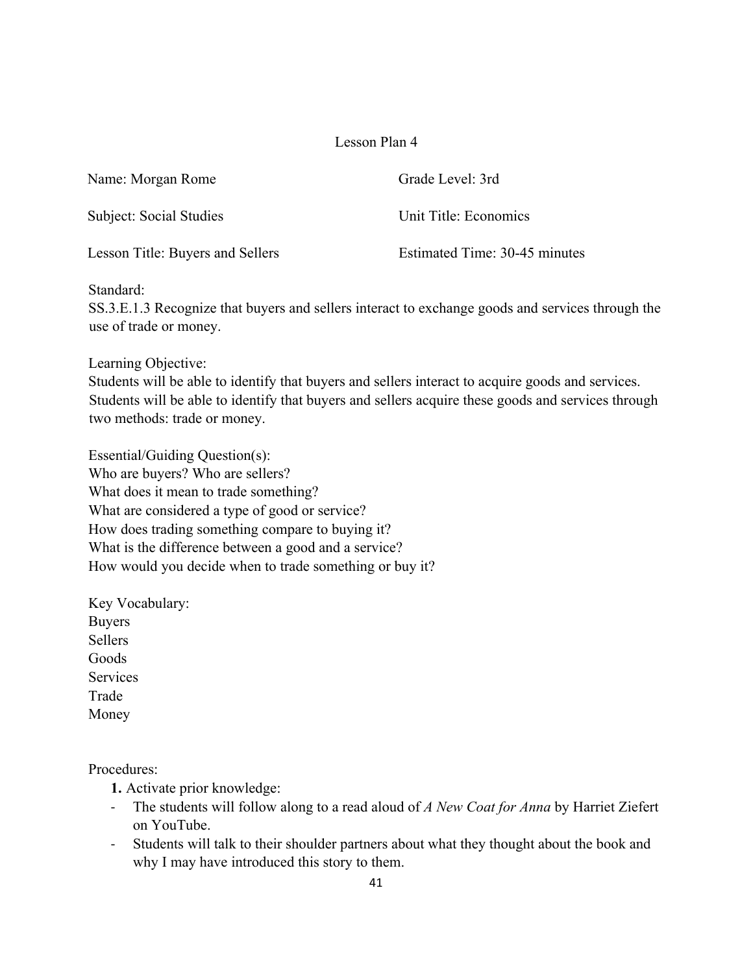| Name: Morgan Rome                | Grade Level: 3rd              |
|----------------------------------|-------------------------------|
| Subject: Social Studies          | Unit Title: Economics         |
| Lesson Title: Buyers and Sellers | Estimated Time: 30-45 minutes |

## Standard:

SS.3.E.1.3 Recognize that buyers and sellers interact to exchange goods and services through the use of trade or money.

Learning Objective:

Students will be able to identify that buyers and sellers interact to acquire goods and services. Students will be able to identify that buyers and sellers acquire these goods and services through two methods: trade or money.

Essential/Guiding Question(s): Who are buyers? Who are sellers? What does it mean to trade something? What are considered a type of good or service? How does trading something compare to buying it? What is the difference between a good and a service? How would you decide when to trade something or buy it?

Key Vocabulary: Buyers Sellers Goods **Services** Trade Money

Procedures:

**1.** Activate prior knowledge:

- The students will follow along to a read aloud of *A New Coat for Anna* by Harriet Ziefert on YouTube.
- Students will talk to their shoulder partners about what they thought about the book and why I may have introduced this story to them.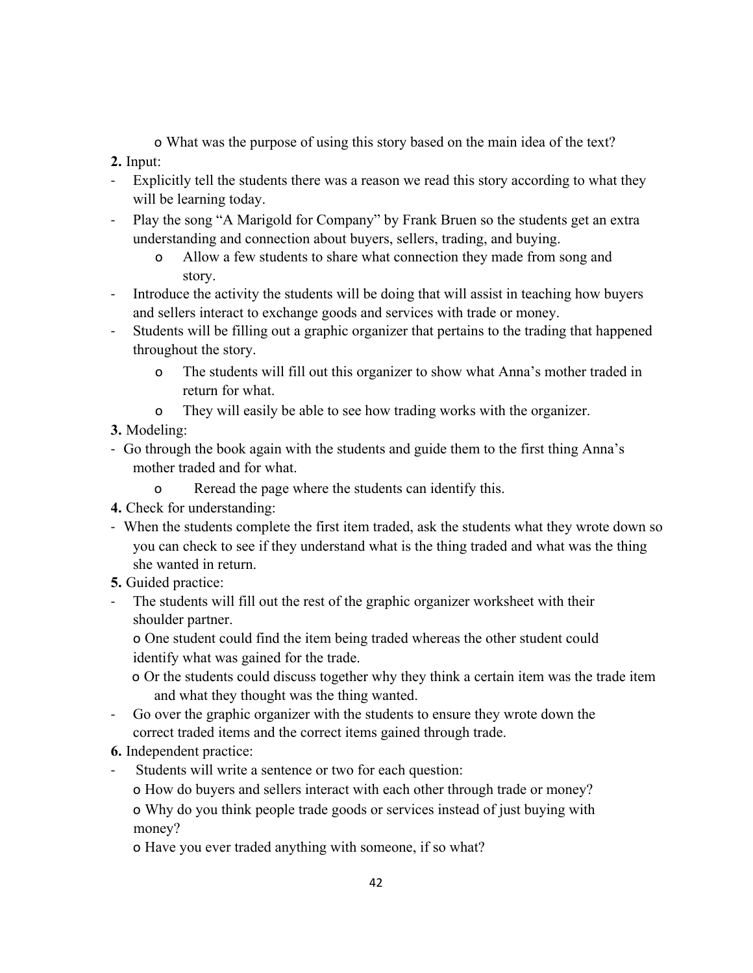o What was the purpose of using this story based on the main idea of the text?

**2.** Input:

- Explicitly tell the students there was a reason we read this story according to what they will be learning today.
- Play the song "A Marigold for Company" by Frank Bruen so the students get an extra understanding and connection about buyers, sellers, trading, and buying.
	- o Allow a few students to share what connection they made from song and story.
- Introduce the activity the students will be doing that will assist in teaching how buyers and sellers interact to exchange goods and services with trade or money.
- Students will be filling out a graphic organizer that pertains to the trading that happened throughout the story.
	- o The students will fill out this organizer to show what Anna's mother traded in return for what.
	- o They will easily be able to see how trading works with the organizer.

**3.** Modeling:

- Go through the book again with the students and guide them to the first thing Anna's mother traded and for what.
	- o Reread the page where the students can identify this.
- **4.** Check for understanding:
- When the students complete the first item traded, ask the students what they wrote down so you can check to see if they understand what is the thing traded and what was the thing she wanted in return.
- **5.** Guided practice:
- The students will fill out the rest of the graphic organizer worksheet with their shoulder partner.

o One student could find the item being traded whereas the other student could identify what was gained for the trade.

- o Or the students could discuss together why they think a certain item was the trade item and what they thought was the thing wanted.
- Go over the graphic organizer with the students to ensure they wrote down the correct traded items and the correct items gained through trade.

# **6.** Independent practice:

- Students will write a sentence or two for each question:
	- o How do buyers and sellers interact with each other through trade or money?

o Why do you think people trade goods or services instead of just buying with money?

o Have you ever traded anything with someone, if so what?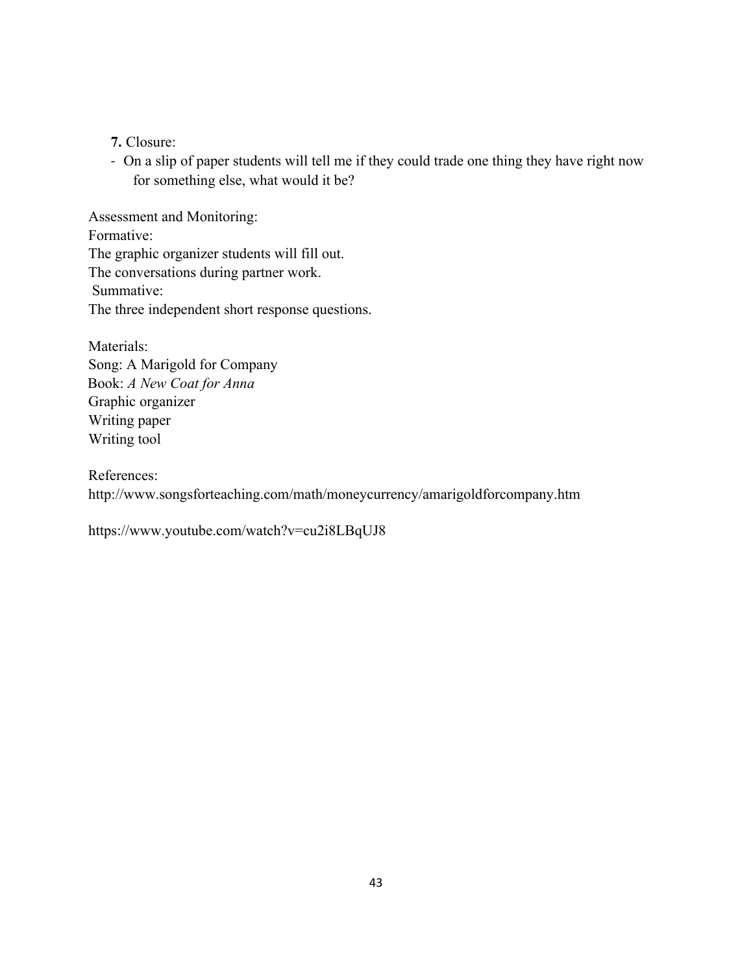**7.** Closure:

- On a slip of paper students will tell me if they could trade one thing they have right now for something else, what would it be?

Assessment and Monitoring: Formative: The graphic organizer students will fill out. The conversations during partner work. Summative: The three independent short response questions.

Materials: Song: A Marigold for Company Book: *A New Coat for Anna* Graphic organizer Writing paper Writing tool

References: http://www.songsforteaching.com/math/moneycurrency/amarigoldforcompany.htm

https://www.youtube.com/watch?v=cu2i8LBqUJ8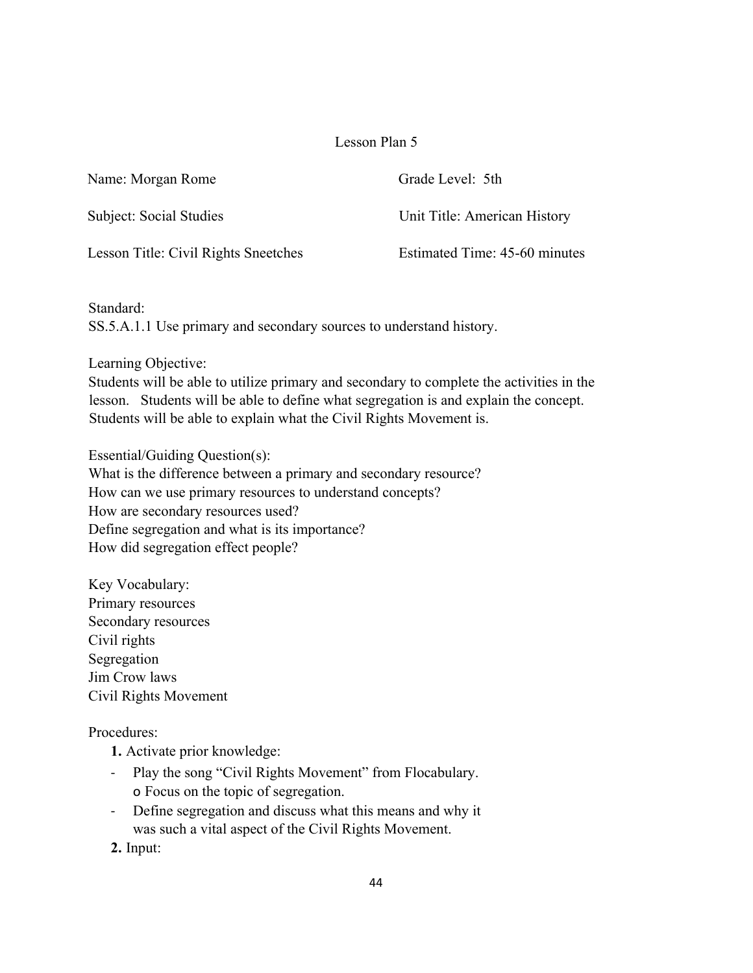| Name: Morgan Rome                    | Grade Level: 5th              |
|--------------------------------------|-------------------------------|
| Subject: Social Studies              | Unit Title: American History  |
| Lesson Title: Civil Rights Sneetches | Estimated Time: 45-60 minutes |

Standard: SS.5.A.1.1 Use primary and secondary sources to understand history.

Learning Objective:

Students will be able to utilize primary and secondary to complete the activities in the lesson. Students will be able to define what segregation is and explain the concept. Students will be able to explain what the Civil Rights Movement is.

Essential/Guiding Question(s): What is the difference between a primary and secondary resource? How can we use primary resources to understand concepts? How are secondary resources used? Define segregation and what is its importance? How did segregation effect people?

Key Vocabulary: Primary resources Secondary resources Civil rights Segregation Jim Crow laws Civil Rights Movement

Procedures:

- **1.** Activate prior knowledge:
- Play the song "Civil Rights Movement" from Flocabulary. o Focus on the topic of segregation.
- Define segregation and discuss what this means and why it was such a vital aspect of the Civil Rights Movement.

**2.** Input: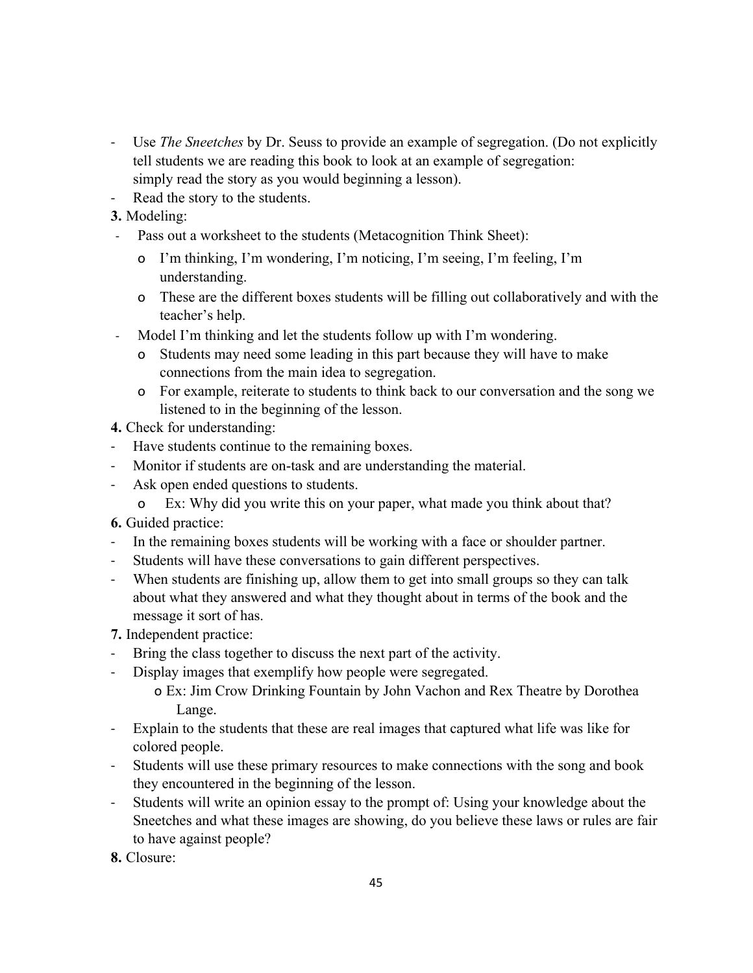- Use *The Sneetches* by Dr. Seuss to provide an example of segregation. (Do not explicitly tell students we are reading this book to look at an example of segregation: simply read the story as you would beginning a lesson).
- Read the story to the students.
- **3.** Modeling:
- Pass out a worksheet to the students (Metacognition Think Sheet):
	- o I'm thinking, I'm wondering, I'm noticing, I'm seeing, I'm feeling, I'm understanding.
	- o These are the different boxes students will be filling out collaboratively and with the teacher's help.
- Model I'm thinking and let the students follow up with I'm wondering.
	- o Students may need some leading in this part because they will have to make connections from the main idea to segregation.
	- o For example, reiterate to students to think back to our conversation and the song we listened to in the beginning of the lesson.
- **4.** Check for understanding:
- Have students continue to the remaining boxes.
- Monitor if students are on-task and are understanding the material.
- Ask open ended questions to students.
	- o Ex: Why did you write this on your paper, what made you think about that?

**6.** Guided practice:

- In the remaining boxes students will be working with a face or shoulder partner.
- Students will have these conversations to gain different perspectives.
- When students are finishing up, allow them to get into small groups so they can talk about what they answered and what they thought about in terms of the book and the message it sort of has.
- **7.** Independent practice:
- Bring the class together to discuss the next part of the activity.
- Display images that exemplify how people were segregated.
	- o Ex: Jim Crow Drinking Fountain by John Vachon and Rex Theatre by Dorothea Lange.
- Explain to the students that these are real images that captured what life was like for colored people.
- Students will use these primary resources to make connections with the song and book they encountered in the beginning of the lesson.
- Students will write an opinion essay to the prompt of: Using your knowledge about the Sneetches and what these images are showing, do you believe these laws or rules are fair to have against people?

**8.** Closure: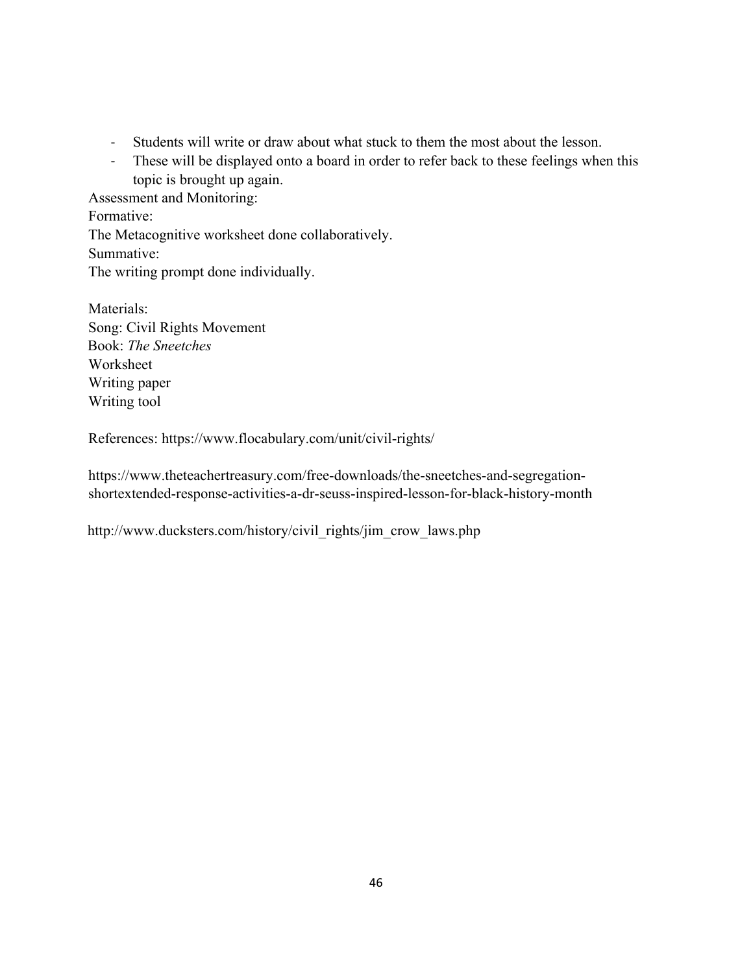- Students will write or draw about what stuck to them the most about the lesson.
- These will be displayed onto a board in order to refer back to these feelings when this topic is brought up again.

Assessment and Monitoring: Formative: The Metacognitive worksheet done collaboratively. Summative: The writing prompt done individually.

Materials: Song: Civil Rights Movement Book: *The Sneetches* Worksheet Writing paper Writing tool

References: https://www.flocabulary.com/unit/civil-rights/

https://www.theteachertreasury.com/free-downloads/the-sneetches-and-segregationshortextended-response-activities-a-dr-seuss-inspired-lesson-for-black-history-month

http://www.ducksters.com/history/civil\_rights/jim\_crow\_laws.php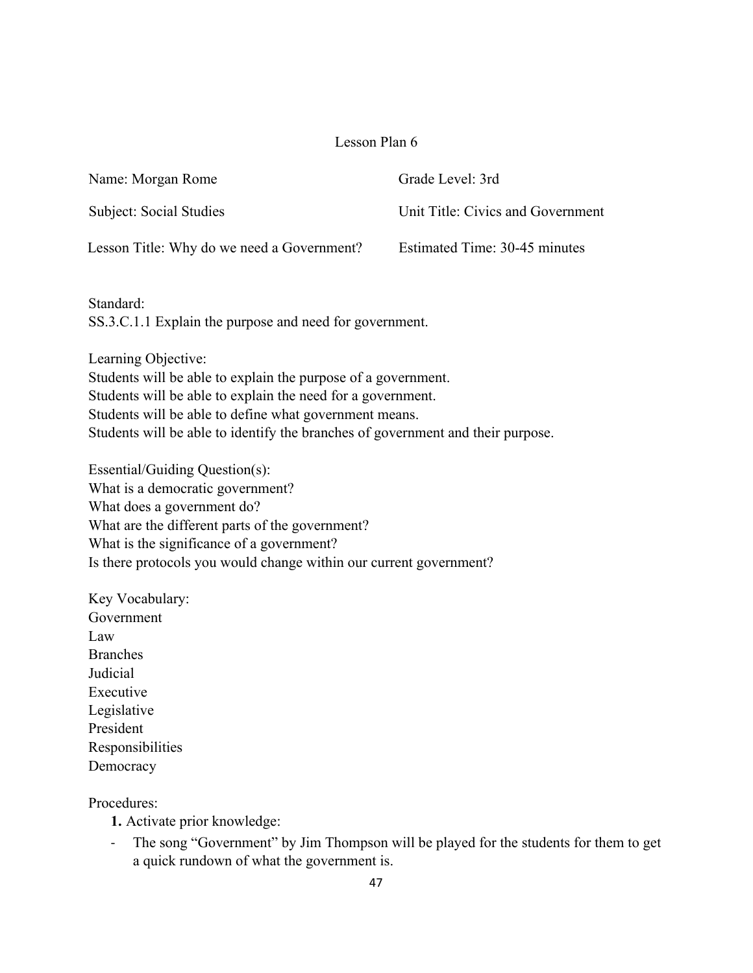| Name: Morgan Rome                          | Grade Level: 3rd                  |
|--------------------------------------------|-----------------------------------|
| Subject: Social Studies                    | Unit Title: Civics and Government |
| Lesson Title: Why do we need a Government? | Estimated Time: 30-45 minutes     |

Standard: SS.3.C.1.1 Explain the purpose and need for government.

Learning Objective: Students will be able to explain the purpose of a government. Students will be able to explain the need for a government. Students will be able to define what government means. Students will be able to identify the branches of government and their purpose.

Essential/Guiding Question(s): What is a democratic government? What does a government do? What are the different parts of the government? What is the significance of a government? Is there protocols you would change within our current government?

Key Vocabulary: Government Law Branches Judicial Executive Legislative President Responsibilities **Democracy** 

Procedures:

**1.** Activate prior knowledge:

- The song "Government" by Jim Thompson will be played for the students for them to get a quick rundown of what the government is.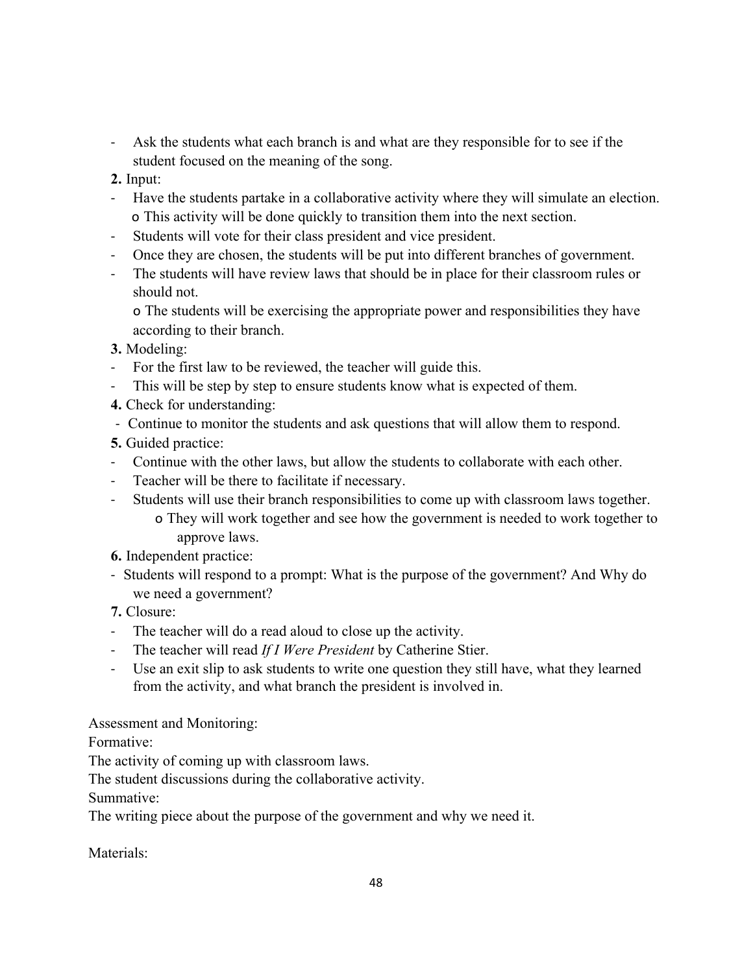- Ask the students what each branch is and what are they responsible for to see if the student focused on the meaning of the song.
- **2.** Input:
- Have the students partake in a collaborative activity where they will simulate an election. o This activity will be done quickly to transition them into the next section.
- Students will vote for their class president and vice president.
- Once they are chosen, the students will be put into different branches of government.
- The students will have review laws that should be in place for their classroom rules or should not.

o The students will be exercising the appropriate power and responsibilities they have according to their branch.

- **3.** Modeling:
- For the first law to be reviewed, the teacher will guide this.
- This will be step by step to ensure students know what is expected of them.
- **4.** Check for understanding:
- Continue to monitor the students and ask questions that will allow them to respond.
- **5.** Guided practice:
- Continue with the other laws, but allow the students to collaborate with each other.
- Teacher will be there to facilitate if necessary.
- Students will use their branch responsibilities to come up with classroom laws together.
	- o They will work together and see how the government is needed to work together to approve laws.
- **6.** Independent practice:
- Students will respond to a prompt: What is the purpose of the government? And Why do we need a government?
- **7.** Closure:
- The teacher will do a read aloud to close up the activity.
- The teacher will read *If I Were President* by Catherine Stier.
- Use an exit slip to ask students to write one question they still have, what they learned from the activity, and what branch the president is involved in.

Assessment and Monitoring:

Formative:

The activity of coming up with classroom laws.

The student discussions during the collaborative activity.

Summative:

The writing piece about the purpose of the government and why we need it.

Materials<sup>.</sup>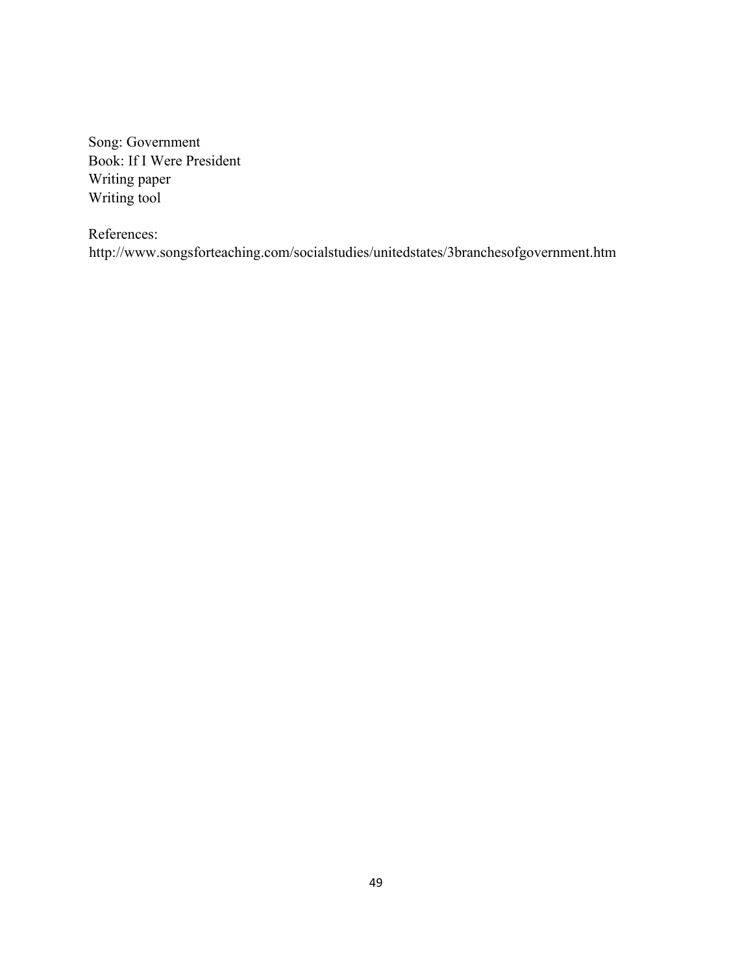Song: Government Book: If I Were President Writing paper Writing tool

References: http://www.songsforteaching.com/socialstudies/unitedstates/3branchesofgovernment.htm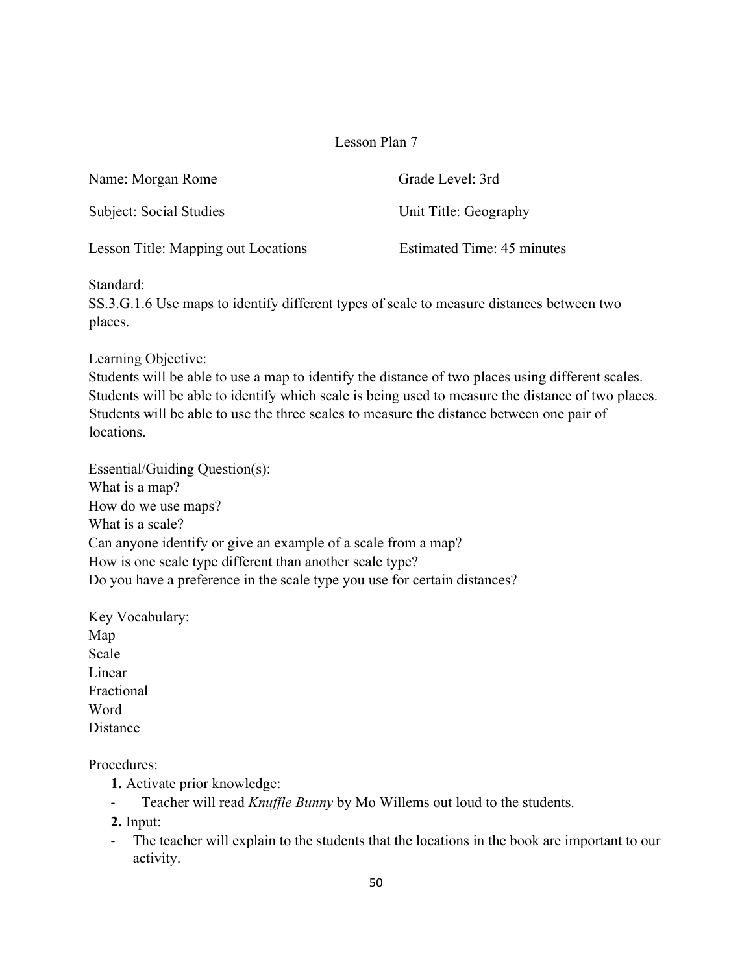| Name: Morgan Rome                   | Grade Level: 3rd           |
|-------------------------------------|----------------------------|
| Subject: Social Studies             | Unit Title: Geography      |
| Lesson Title: Mapping out Locations | Estimated Time: 45 minutes |

Standard:

SS.3.G.1.6 Use maps to identify different types of scale to measure distances between two places.

Learning Objective:

Students will be able to use a map to identify the distance of two places using different scales. Students will be able to identify which scale is being used to measure the distance of two places. Students will be able to use the three scales to measure the distance between one pair of locations.

Essential/Guiding Question(s): What is a map? How do we use maps? What is a scale? Can anyone identify or give an example of a scale from a map? How is one scale type different than another scale type? Do you have a preference in the scale type you use for certain distances?

Key Vocabulary: Map Scale Linear Fractional Word **Distance** 

Procedures:

- **1.** Activate prior knowledge:
- Teacher will read *Knuffle Bunny* by Mo Willems out loud to the students.

**2.** Input:

- The teacher will explain to the students that the locations in the book are important to our activity.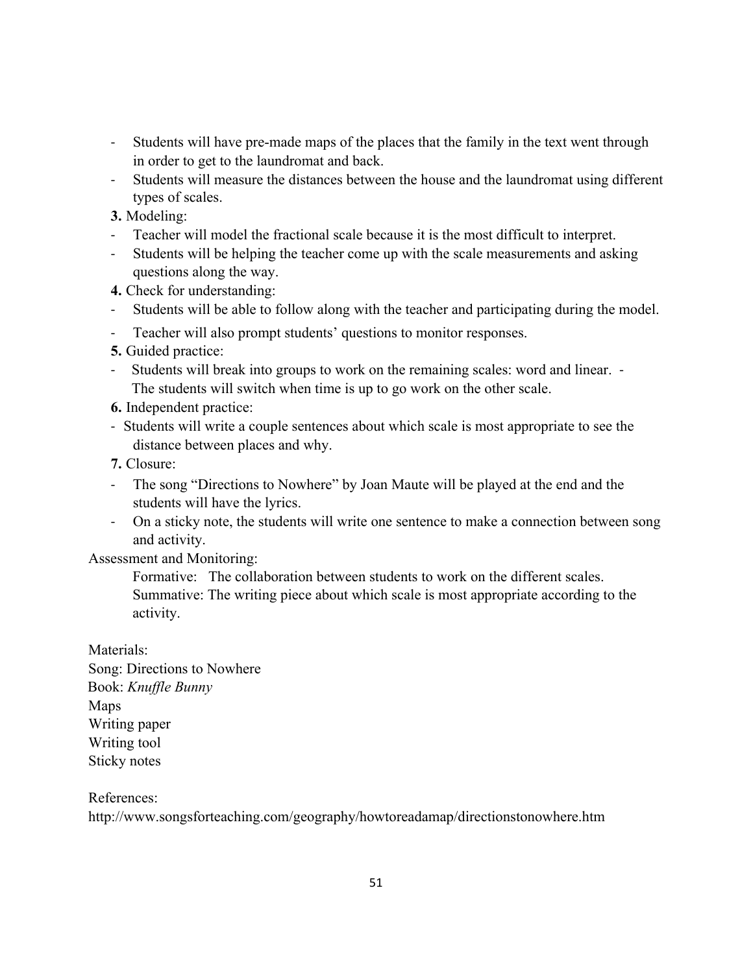- Students will have pre-made maps of the places that the family in the text went through in order to get to the laundromat and back.
- Students will measure the distances between the house and the laundromat using different types of scales.
- **3.** Modeling:
- Teacher will model the fractional scale because it is the most difficult to interpret.
- Students will be helping the teacher come up with the scale measurements and asking questions along the way.
- **4.** Check for understanding:
- Students will be able to follow along with the teacher and participating during the model.
- Teacher will also prompt students' questions to monitor responses.
- **5.** Guided practice:
- Students will break into groups to work on the remaining scales: word and linear. The students will switch when time is up to go work on the other scale.
- **6.** Independent practice:
- Students will write a couple sentences about which scale is most appropriate to see the distance between places and why.
- **7.** Closure:
- The song "Directions to Nowhere" by Joan Maute will be played at the end and the students will have the lyrics.
- On a sticky note, the students will write one sentence to make a connection between song and activity.

Assessment and Monitoring:

 Formative: The collaboration between students to work on the different scales. Summative: The writing piece about which scale is most appropriate according to the activity.

Materials: Song: Directions to Nowhere Book: *Knuffle Bunny* Maps Writing paper Writing tool Sticky notes

References:

http://www.songsforteaching.com/geography/howtoreadamap/directionstonowhere.htm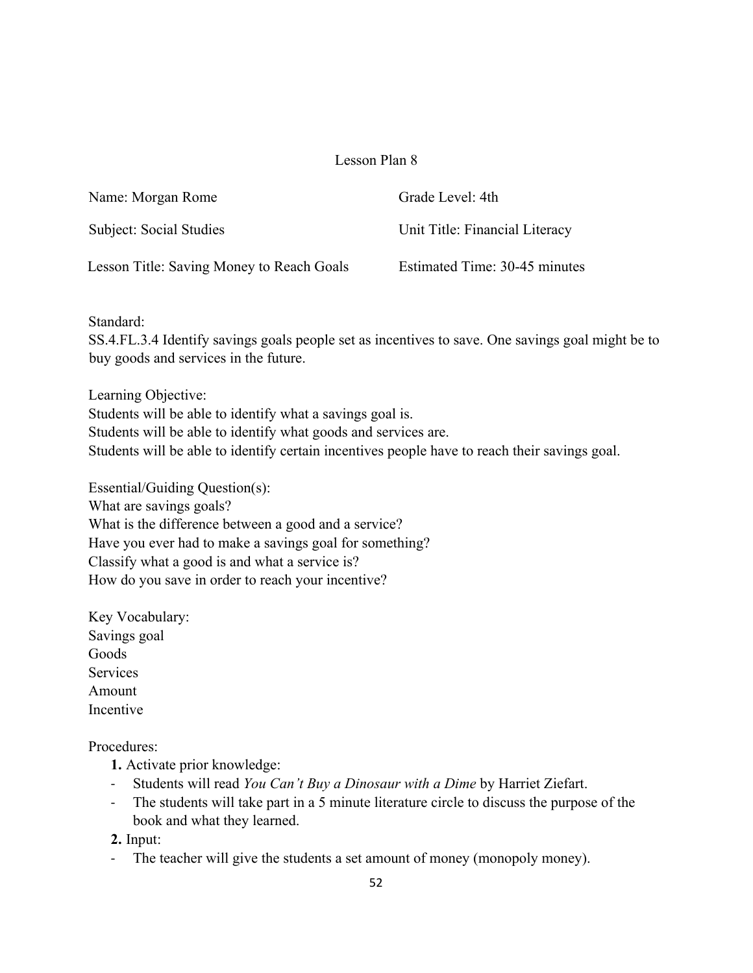| Name: Morgan Rome                         | Grade Level: 4th               |
|-------------------------------------------|--------------------------------|
| Subject: Social Studies                   | Unit Title: Financial Literacy |
| Lesson Title: Saving Money to Reach Goals | Estimated Time: 30-45 minutes  |

Standard:

SS.4.FL.3.4 Identify savings goals people set as incentives to save. One savings goal might be to buy goods and services in the future.

Learning Objective:

Students will be able to identify what a savings goal is. Students will be able to identify what goods and services are. Students will be able to identify certain incentives people have to reach their savings goal.

Essential/Guiding Question(s): What are savings goals? What is the difference between a good and a service? Have you ever had to make a savings goal for something? Classify what a good is and what a service is? How do you save in order to reach your incentive?

Key Vocabulary: Savings goal Goods **Services** Amount Incentive

Procedures:

- **1.** Activate prior knowledge:
- Students will read *You Can't Buy a Dinosaur with a Dime* by Harriet Ziefart.
- The students will take part in a 5 minute literature circle to discuss the purpose of the book and what they learned.

**2.** Input:

- The teacher will give the students a set amount of money (monopoly money).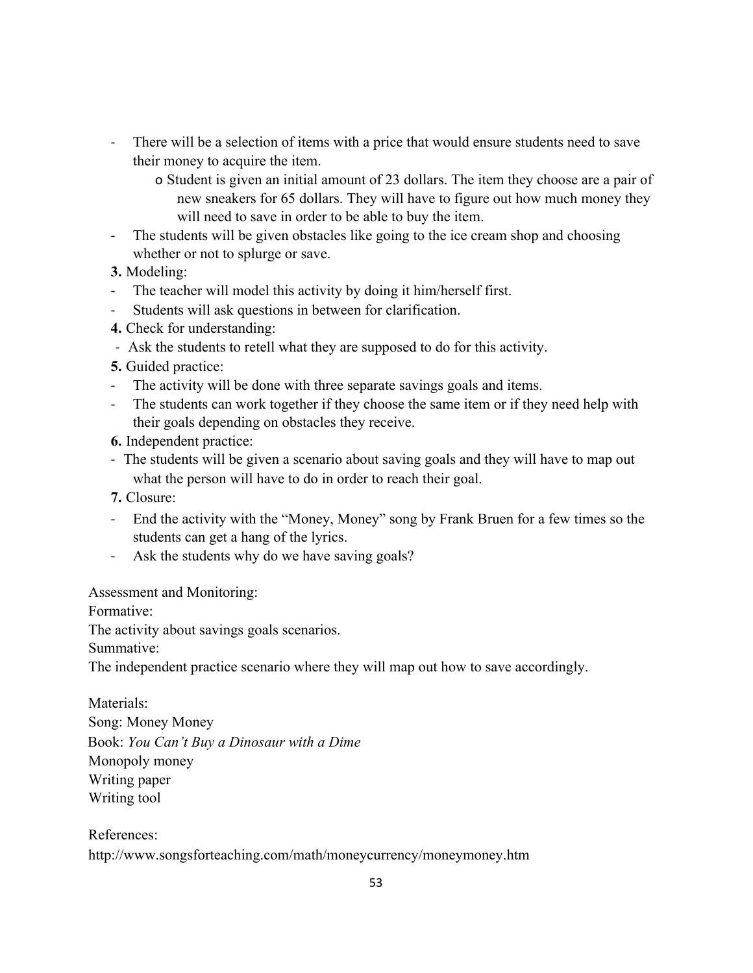- There will be a selection of items with a price that would ensure students need to save their money to acquire the item.
	- o Student is given an initial amount of 23 dollars. The item they choose are a pair of new sneakers for 65 dollars. They will have to figure out how much money they will need to save in order to be able to buy the item.
- The students will be given obstacles like going to the ice cream shop and choosing whether or not to splurge or save.

**3.** Modeling:

- The teacher will model this activity by doing it him/herself first.
- Students will ask questions in between for clarification.
- **4.** Check for understanding:
- Ask the students to retell what they are supposed to do for this activity.
- **5.** Guided practice:
- The activity will be done with three separate savings goals and items.
- The students can work together if they choose the same item or if they need help with their goals depending on obstacles they receive.
- **6.** Independent practice:
- The students will be given a scenario about saving goals and they will have to map out what the person will have to do in order to reach their goal.
- **7.** Closure:
- End the activity with the "Money, Money" song by Frank Bruen for a few times so the students can get a hang of the lyrics.
- Ask the students why do we have saving goals?

Assessment and Monitoring:

Formative:

The activity about savings goals scenarios.

Summative:

The independent practice scenario where they will map out how to save accordingly.

Materials: Song: Money Money Book: *You Can't Buy a Dinosaur with a Dime* Monopoly money Writing paper Writing tool

References: http://www.songsforteaching.com/math/moneycurrency/moneymoney.htm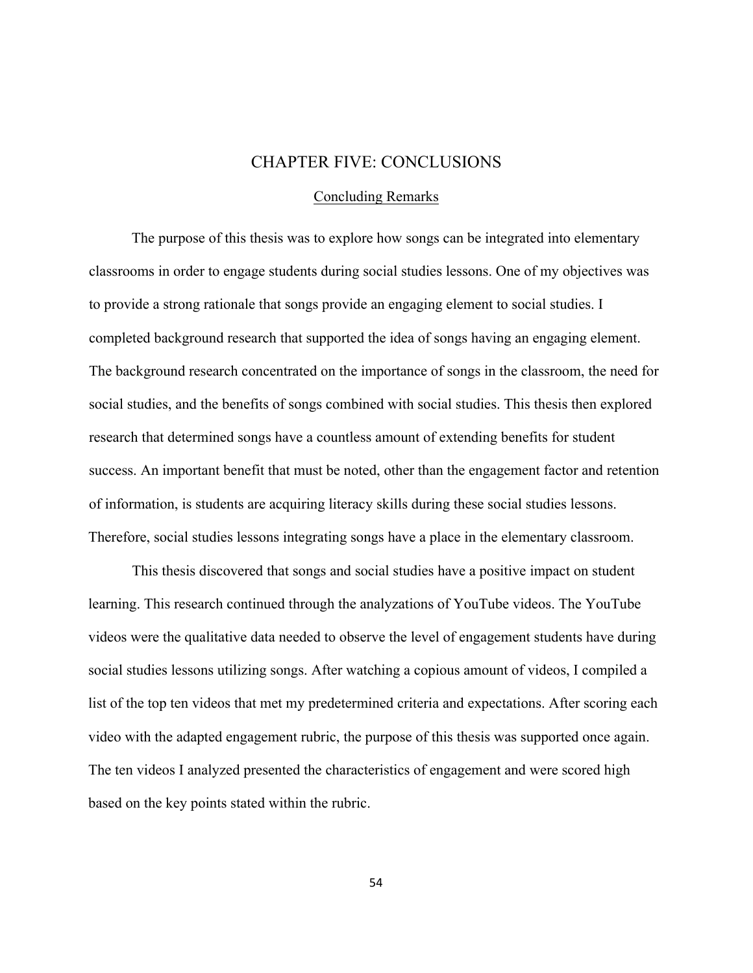# CHAPTER FIVE: CONCLUSIONS

#### Concluding Remarks

 The purpose of this thesis was to explore how songs can be integrated into elementary classrooms in order to engage students during social studies lessons. One of my objectives was to provide a strong rationale that songs provide an engaging element to social studies. I completed background research that supported the idea of songs having an engaging element. The background research concentrated on the importance of songs in the classroom, the need for social studies, and the benefits of songs combined with social studies. This thesis then explored research that determined songs have a countless amount of extending benefits for student success. An important benefit that must be noted, other than the engagement factor and retention of information, is students are acquiring literacy skills during these social studies lessons. Therefore, social studies lessons integrating songs have a place in the elementary classroom.

This thesis discovered that songs and social studies have a positive impact on student learning. This research continued through the analyzations of YouTube videos. The YouTube videos were the qualitative data needed to observe the level of engagement students have during social studies lessons utilizing songs. After watching a copious amount of videos, I compiled a list of the top ten videos that met my predetermined criteria and expectations. After scoring each video with the adapted engagement rubric, the purpose of this thesis was supported once again. The ten videos I analyzed presented the characteristics of engagement and were scored high based on the key points stated within the rubric.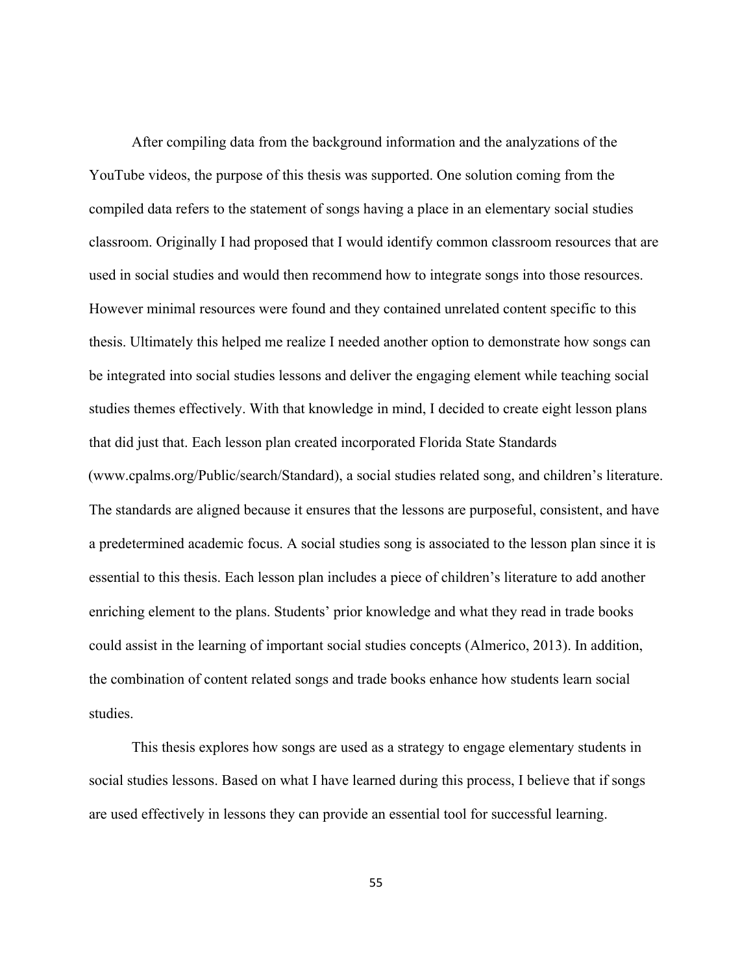After compiling data from the background information and the analyzations of the YouTube videos, the purpose of this thesis was supported. One solution coming from the compiled data refers to the statement of songs having a place in an elementary social studies classroom. Originally I had proposed that I would identify common classroom resources that are used in social studies and would then recommend how to integrate songs into those resources. However minimal resources were found and they contained unrelated content specific to this thesis. Ultimately this helped me realize I needed another option to demonstrate how songs can be integrated into social studies lessons and deliver the engaging element while teaching social studies themes effectively. With that knowledge in mind, I decided to create eight lesson plans that did just that. Each lesson plan created incorporated Florida State Standards (www.cpalms.org/Public/search/Standard), a social studies related song, and children's literature. The standards are aligned because it ensures that the lessons are purposeful, consistent, and have a predetermined academic focus. A social studies song is associated to the lesson plan since it is essential to this thesis. Each lesson plan includes a piece of children's literature to add another enriching element to the plans. Students' prior knowledge and what they read in trade books could assist in the learning of important social studies concepts (Almerico, 2013). In addition, the combination of content related songs and trade books enhance how students learn social studies.

 This thesis explores how songs are used as a strategy to engage elementary students in social studies lessons. Based on what I have learned during this process, I believe that if songs are used effectively in lessons they can provide an essential tool for successful learning.

55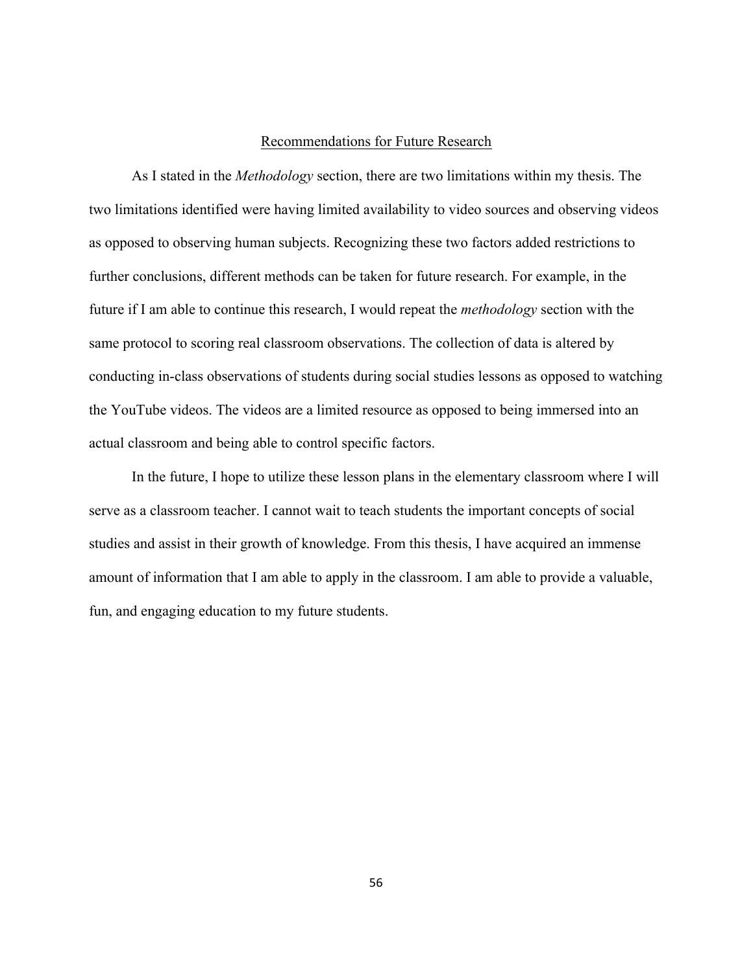#### Recommendations for Future Research

As I stated in the *Methodology* section, there are two limitations within my thesis. The two limitations identified were having limited availability to video sources and observing videos as opposed to observing human subjects. Recognizing these two factors added restrictions to further conclusions, different methods can be taken for future research. For example, in the future if I am able to continue this research, I would repeat the *methodology* section with the same protocol to scoring real classroom observations. The collection of data is altered by conducting in-class observations of students during social studies lessons as opposed to watching the YouTube videos. The videos are a limited resource as opposed to being immersed into an actual classroom and being able to control specific factors.

In the future, I hope to utilize these lesson plans in the elementary classroom where I will serve as a classroom teacher. I cannot wait to teach students the important concepts of social studies and assist in their growth of knowledge. From this thesis, I have acquired an immense amount of information that I am able to apply in the classroom. I am able to provide a valuable, fun, and engaging education to my future students.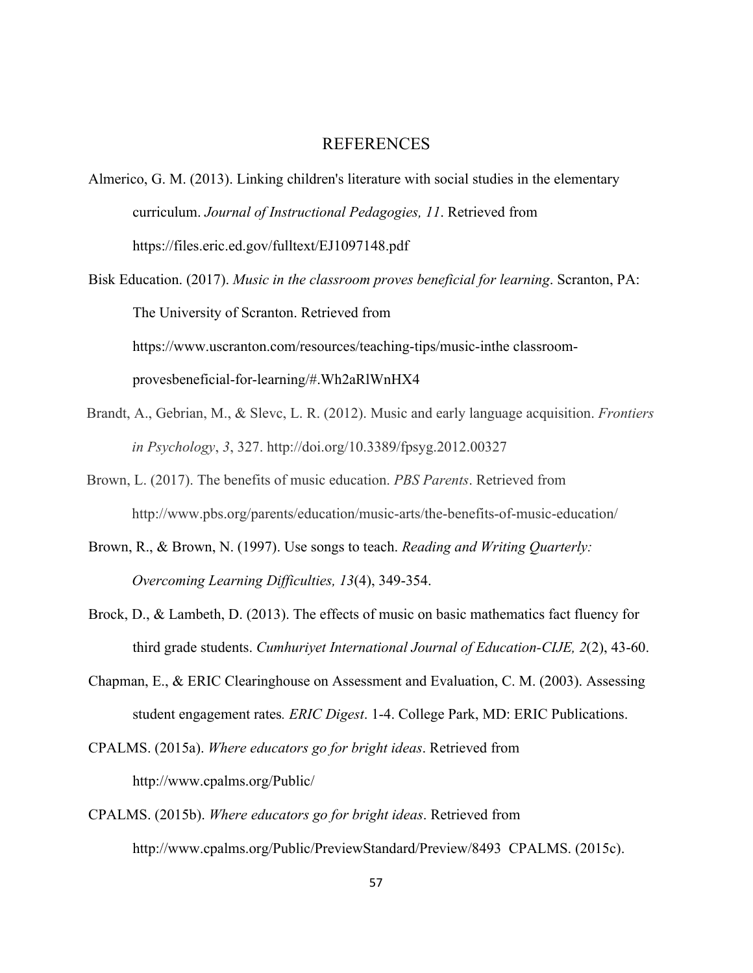#### REFERENCES

- Almerico, G. M. (2013). Linking children's literature with social studies in the elementary curriculum. *Journal of Instructional Pedagogies, 11*. Retrieved from https://files.eric.ed.gov/fulltext/EJ1097148.pdf
- Bisk Education. (2017). *Music in the classroom proves beneficial for learning*. Scranton, PA: The University of Scranton. Retrieved from https://www.uscranton.com/resources/teaching-tips/music-inthe classroomprovesbeneficial-for-learning/#.Wh2aRlWnHX4
- Brandt, A., Gebrian, M., & Slevc, L. R. (2012). Music and early language acquisition. *Frontiers in Psychology*, *3*, 327. http://doi.org/10.3389/fpsyg.2012.00327
- Brown, L. (2017). The benefits of music education. *PBS Parents*. Retrieved from http://www.pbs.org/parents/education/music-arts/the-benefits-of-music-education/
- Brown, R., & Brown, N. (1997). Use songs to teach. *Reading and Writing Quarterly: Overcoming Learning Difficulties, 13*(4), 349-354.
- Brock, D., & Lambeth, D. (2013). The effects of music on basic mathematics fact fluency for third grade students. *Cumhuriyet International Journal of Education-CIJE, 2*(2), 43-60.
- Chapman, E., & ERIC Clearinghouse on Assessment and Evaluation, C. M. (2003). Assessing student engagement rates*. ERIC Digest*. 1-4. College Park, MD: ERIC Publications.
- CPALMS. (2015a). *Where educators go for bright ideas*. Retrieved from http://www.cpalms.org/Public/
- CPALMS. (2015b). *Where educators go for bright ideas*. Retrieved from http://www.cpalms.org/Public/PreviewStandard/Preview/8493 CPALMS. (2015c).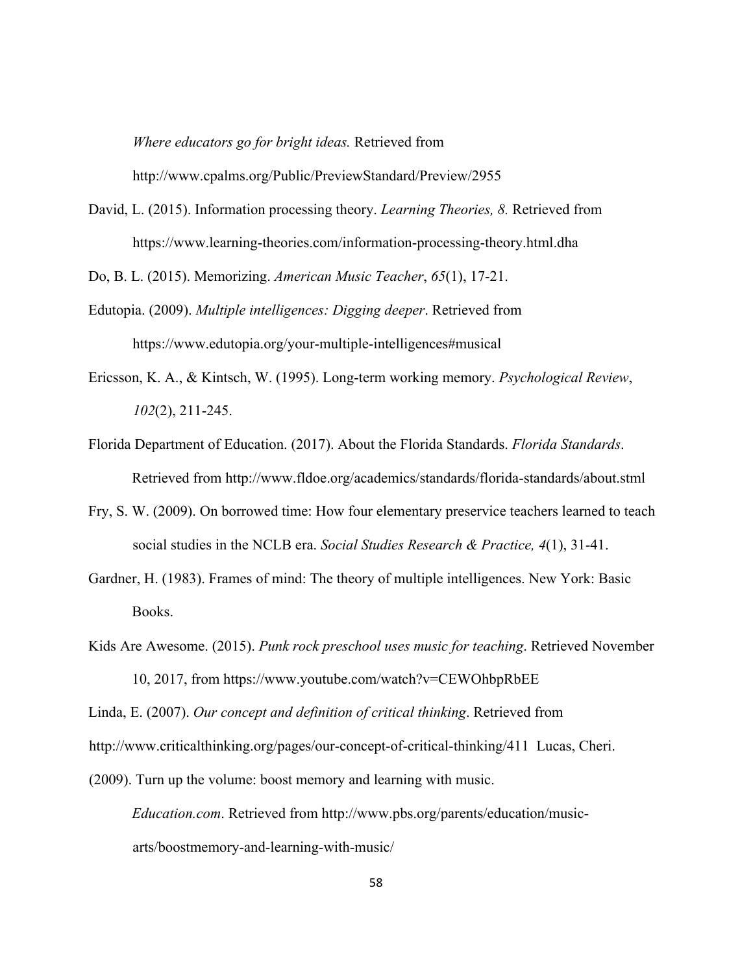*Where educators go for bright ideas.* Retrieved from http://www.cpalms.org/Public/PreviewStandard/Preview/2955

David, L. (2015). Information processing theory. *Learning Theories, 8.* Retrieved from https://www.learning-theories.com/information-processing-theory.html.dha

Do, B. L. (2015). Memorizing. *American Music Teacher*, *65*(1), 17-21.

- Edutopia. (2009). *Multiple intelligences: Digging deeper*. Retrieved from https://www.edutopia.org/your-multiple-intelligences#musical
- Ericsson, K. A., & Kintsch, W. (1995). Long-term working memory. *Psychological Review*, *102*(2), 211-245.
- Florida Department of Education. (2017). About the Florida Standards. *Florida Standards*. Retrieved from http://www.fldoe.org/academics/standards/florida-standards/about.stml
- Fry, S. W. (2009). On borrowed time: How four elementary preservice teachers learned to teach social studies in the NCLB era. *Social Studies Research & Practice, 4*(1), 31-41.
- Gardner, H. (1983). Frames of mind: The theory of multiple intelligences. New York: Basic Books.
- Kids Are Awesome. (2015). *Punk rock preschool uses music for teaching*. Retrieved November 10, 2017, from https://www.youtube.com/watch?v=CEWOhbpRbEE

Linda, E. (2007). *Our concept and definition of critical thinking*. Retrieved from

http://www.criticalthinking.org/pages/our-concept-of-critical-thinking/411 Lucas, Cheri.

(2009). Turn up the volume: boost memory and learning with music.

*Education.com*. Retrieved from http://www.pbs.org/parents/education/musicarts/boostmemory-and-learning-with-music/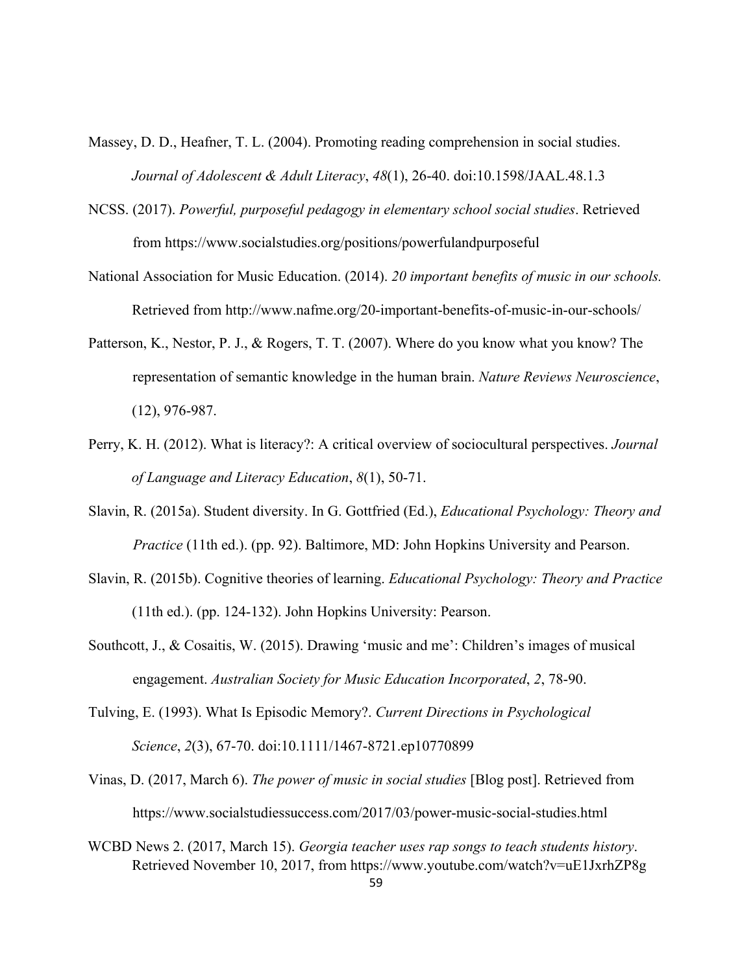- Massey, D. D., Heafner, T. L. (2004). Promoting reading comprehension in social studies. *Journal of Adolescent & Adult Literacy*, *48*(1), 26-40. doi:10.1598/JAAL.48.1.3
- NCSS. (2017). *Powerful, purposeful pedagogy in elementary school social studies*. Retrieved from https://www.socialstudies.org/positions/powerfulandpurposeful
- National Association for Music Education. (2014). *20 important benefits of music in our schools.* Retrieved from http://www.nafme.org/20-important-benefits-of-music-in-our-schools/
- Patterson, K., Nestor, P. J., & Rogers, T. T. (2007). Where do you know what you know? The representation of semantic knowledge in the human brain. *Nature Reviews Neuroscience*, (12), 976-987.
- Perry, K. H. (2012). What is literacy?: A critical overview of sociocultural perspectives. *Journal of Language and Literacy Education*, *8*(1), 50-71.
- Slavin, R. (2015a). Student diversity. In G. Gottfried (Ed.), *Educational Psychology: Theory and Practice* (11th ed.). (pp. 92). Baltimore, MD: John Hopkins University and Pearson.
- Slavin, R. (2015b). Cognitive theories of learning. *Educational Psychology: Theory and Practice*  (11th ed.). (pp. 124-132). John Hopkins University: Pearson.
- Southcott, J., & Cosaitis, W. (2015). Drawing 'music and me': Children's images of musical engagement. *Australian Society for Music Education Incorporated*, *2*, 78-90.
- Tulving, E. (1993). What Is Episodic Memory?. *Current Directions in Psychological Science*, *2*(3), 67-70. doi:10.1111/1467-8721.ep10770899
- Vinas, D. (2017, March 6). *The power of music in social studies* [Blog post]. Retrieved from https://www.socialstudiessuccess.com/2017/03/power-music-social-studies.html
- WCBD News 2. (2017, March 15). *Georgia teacher uses rap songs to teach students history*. Retrieved November 10, 2017, from https://www.youtube.com/watch?v=uE1JxrhZP8g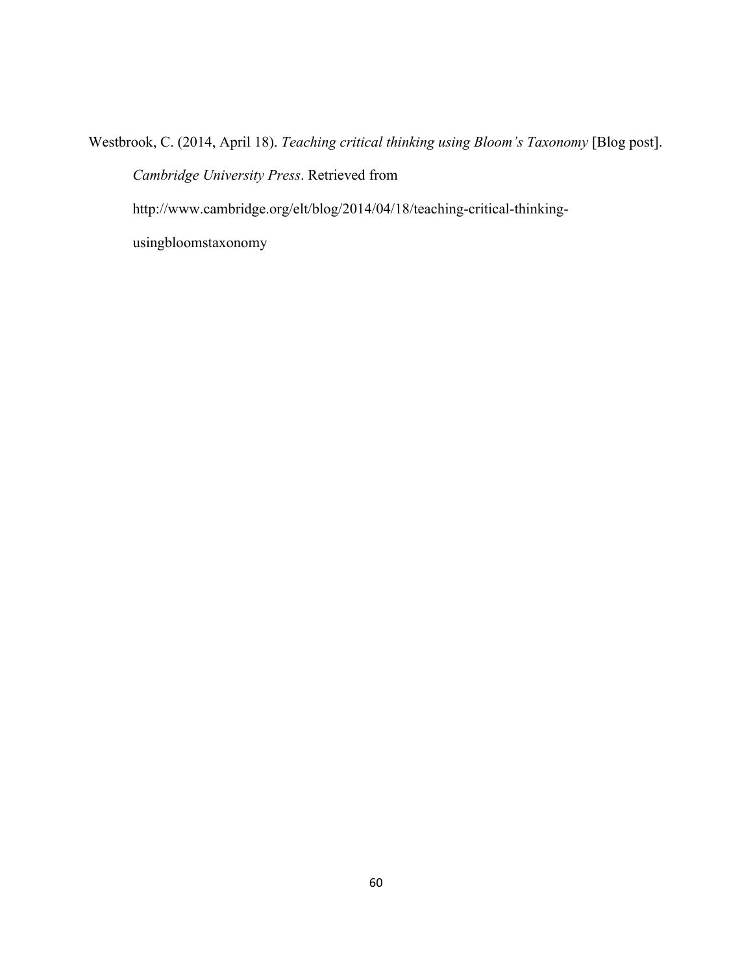Westbrook, C. (2014, April 18). *Teaching critical thinking using Bloom's Taxonomy* [Blog post]. *Cambridge University Press*. Retrieved from http://www.cambridge.org/elt/blog/2014/04/18/teaching-critical-thinking-

usingbloomstaxonomy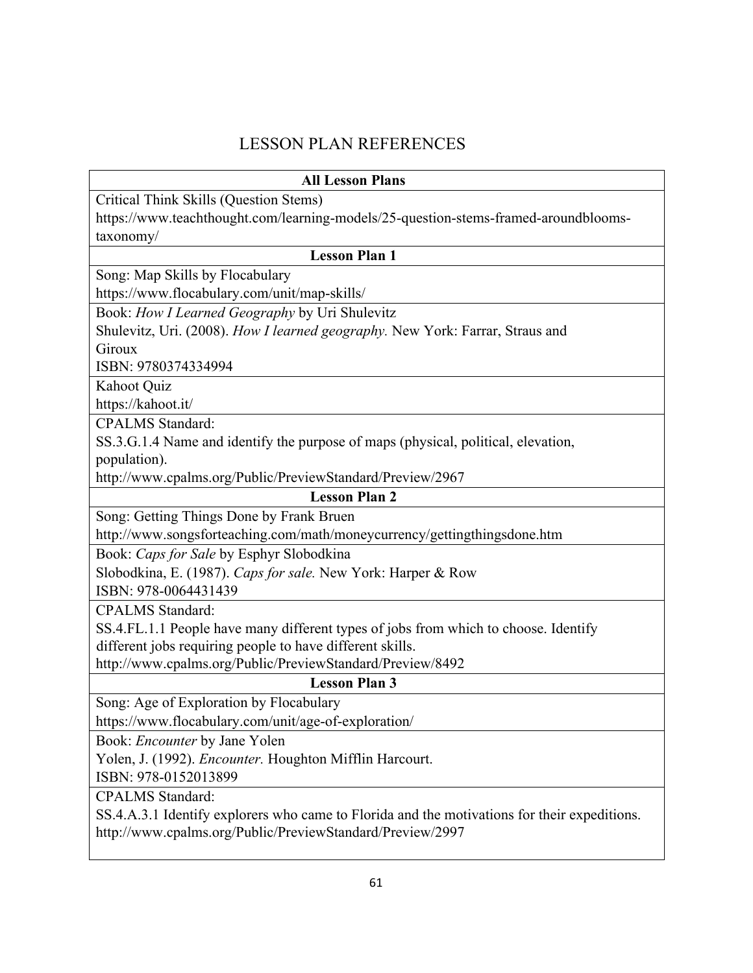# LESSON PLAN REFERENCES

| <b>All Lesson Plans</b>                                                                      |
|----------------------------------------------------------------------------------------------|
| Critical Think Skills (Question Stems)                                                       |
| https://www.teachthought.com/learning-models/25-question-stems-framed-aroundblooms-          |
| taxonomy/                                                                                    |
| <b>Lesson Plan 1</b>                                                                         |
| Song: Map Skills by Flocabulary                                                              |
| https://www.flocabulary.com/unit/map-skills/                                                 |
| Book: How I Learned Geography by Uri Shulevitz                                               |
| Shulevitz, Uri. (2008). How I learned geography. New York: Farrar, Straus and                |
| Giroux                                                                                       |
| ISBN: 9780374334994                                                                          |
| Kahoot Quiz                                                                                  |
| https://kahoot.it/                                                                           |
| <b>CPALMS</b> Standard:                                                                      |
| SS.3.G.1.4 Name and identify the purpose of maps (physical, political, elevation,            |
| population).                                                                                 |
| http://www.cpalms.org/Public/PreviewStandard/Preview/2967                                    |
| <b>Lesson Plan 2</b>                                                                         |
| Song: Getting Things Done by Frank Bruen                                                     |
| http://www.songsforteaching.com/math/moneycurrency/gettingthingsdone.htm                     |
| Book: Caps for Sale by Esphyr Slobodkina                                                     |
| Slobodkina, E. (1987). Caps for sale. New York: Harper & Row                                 |
| ISBN: 978-0064431439                                                                         |
| <b>CPALMS</b> Standard:                                                                      |
| SS.4.FL.1.1 People have many different types of jobs from which to choose. Identify          |
| different jobs requiring people to have different skills.                                    |
| http://www.cpalms.org/Public/PreviewStandard/Preview/8492                                    |
| <b>Lesson Plan 3</b>                                                                         |
| Song: Age of Exploration by Flocabulary                                                      |
| https://www.flocabulary.com/unit/age-of-exploration/                                         |
| Book: Encounter by Jane Yolen                                                                |
| Yolen, J. (1992). <i>Encounter</i> . Houghton Mifflin Harcourt.                              |
| ISBN: 978-0152013899                                                                         |
| <b>CPALMS</b> Standard:                                                                      |
| SS.4.A.3.1 Identify explorers who came to Florida and the motivations for their expeditions. |
| http://www.cpalms.org/Public/PreviewStandard/Preview/2997                                    |
|                                                                                              |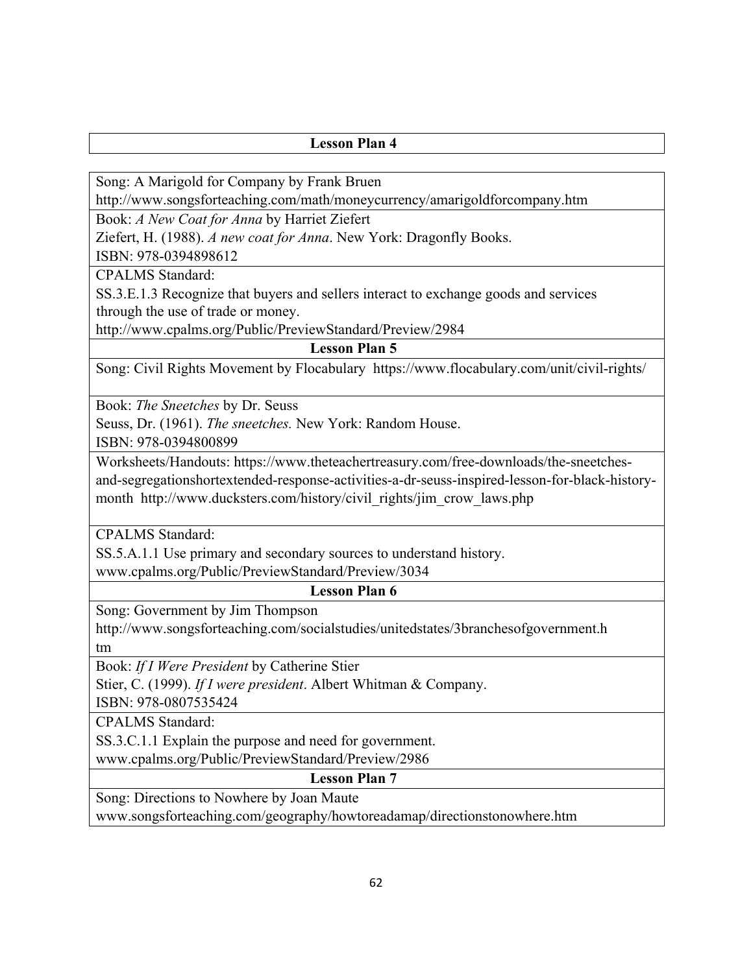Song: A Marigold for Company by Frank Bruen

http://www.songsforteaching.com/math/moneycurrency/amarigoldforcompany.htm

Book: *A New Coat for Anna* by Harriet Ziefert

Ziefert, H. (1988). *A new coat for Anna*. New York: Dragonfly Books.

ISBN: 978-0394898612

CPALMS Standard:

SS.3.E.1.3 Recognize that buyers and sellers interact to exchange goods and services through the use of trade or money.

http://www.cpalms.org/Public/PreviewStandard/Preview/2984

**Lesson Plan 5** 

Song: Civil Rights Movement by Flocabulary https://www.flocabulary.com/unit/civil-rights/

Book: *The Sneetches* by Dr. Seuss

Seuss, Dr. (1961). *The sneetches.* New York: Random House.

ISBN: 978-0394800899

Worksheets/Handouts: https://www.theteachertreasury.com/free-downloads/the-sneetchesand-segregationshortextended-response-activities-a-dr-seuss-inspired-lesson-for-black-historymonth http://www.ducksters.com/history/civil\_rights/jim\_crow\_laws.php

CPALMS Standard:

SS.5.A.1.1 Use primary and secondary sources to understand history.

www.cpalms.org/Public/PreviewStandard/Preview/3034

**Lesson Plan 6** 

Song: Government by Jim Thompson

http://www.songsforteaching.com/socialstudies/unitedstates/3branchesofgovernment.h tm

Book: *If I Were President* by Catherine Stier

Stier, C. (1999). *If I were president*. Albert Whitman & Company.

ISBN: 978-0807535424

CPALMS Standard:

SS.3.C.1.1 Explain the purpose and need for government.

www.cpalms.org/Public/PreviewStandard/Preview/2986

**Lesson Plan 7** 

Song: Directions to Nowhere by Joan Maute

www.songsforteaching.com/geography/howtoreadamap/directionstonowhere.htm